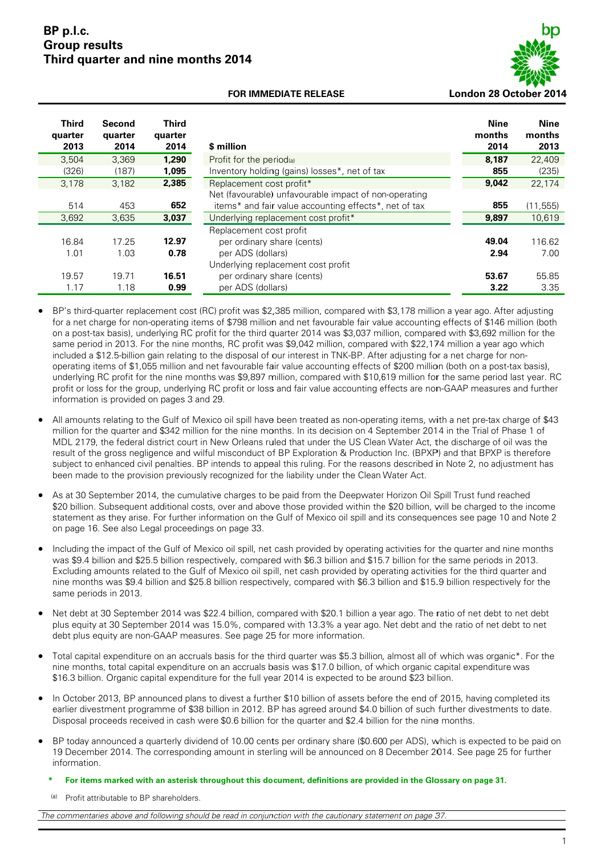#### **BP P p.l.c. Group results Third quarter and nine months 2014**



#### **FOR IMMEDIATE RELEASE**

| <b>Third</b><br>quarter<br>2013 | Second<br>quarter<br>2014 | <b>Third</b><br>quarter<br>2014 | \$ million                                                                                                                                            | Nine<br>months<br>2014 | <b>Nine</b><br>months<br>2013 |
|---------------------------------|---------------------------|---------------------------------|-------------------------------------------------------------------------------------------------------------------------------------------------------|------------------------|-------------------------------|
| 3,504                           | 3.369                     | 1,290                           | Profit for the period(a)                                                                                                                              | 8,187                  | 22,409                        |
| (326)                           | (187)                     | 1.095                           | Inventory holding (gains) losses <sup>*</sup> , net of tax                                                                                            | 855                    | (235)                         |
| 3,178                           | 3,182                     | 2,385                           | Replacement cost profit*                                                                                                                              | 9.042                  | 22,174                        |
| 514<br>3,692                    | 453<br>3,635              | 652<br>3,037                    | Net (favourable) unfavourable impact of non-operating<br>items* and fair value accounting effects*, net of tax<br>Underlying replacement cost profit* | 855<br>9,897           | (11, 555)<br>10,619           |
| 16.84<br>1.01                   | 17.25<br>1.03             | 12.97<br>0.78                   | Replacement cost profit<br>per ordinary share (cents)<br>per ADS (dollars)<br>Underlying replacement cost profit                                      | 49.04<br>2.94          | 116.62<br>7.00                |
| 19.57<br>1.17                   | 19.71<br>1.18             | 16.51<br>0.99                   | per ordinary share (cents)<br>per ADS (dollars)                                                                                                       | 53.67<br>3.22          | 55.85<br>3.35                 |

- BP's third-quarter replacement cost (RC) profit was \$2,385 million, compared with \$3,178 million a year ago. After adjusting for a net charge for non-operating items of \$798 million and net favourable fair value accounting effects of \$146 million (both on a post-tax basis), underlying RC profit for the third quarter 2014 was \$3,037 million, compared with \$3,692 million for the same period in 2013. For the nine months, RC profit was \$9,042 million, compared with \$22,174 million a year ago which included a \$12.5-billion gain relating to the disposal of our interest in TNK-BP. After adjusting for a net charge for nonoperating items of \$1,055 million and net favourable fair value accounting effects of \$200 million (both on a post-tax basis), underlying RC profit for the nine months was \$9,897 million, compared with \$10,619 million for the same period last year. RC profit or loss for the group, underlying RC profit or loss and fair value accounting effects are non-GAAP measures and further information is provided on pages 3 and 29.
- All amounts relating to the Gulf of Mexico oil spill have been treated as non-operating items, with a net pre-tax charge of \$43 million for the quarter and \$342 million for the nine months. In its decision on 4 September 2014 in the Trial of Phase 1 of MDL 2179, the federal district court in New Orleans ruled that under the US Clean Water Act, the discharge of oil was the MDL 2179, the federal district court in New Orleans ruled that under the US Clean Water Act, the discharge of oil was the<br>result of the gross negligence and wilful misconduct of BP Exploration & Production Inc. (BPXP) and subject to enhanced civil penalties. BP intends to appeal this ruling. For the reasons described in Note 2, no adjustment has been made to the provision previously recognized for the liability under the Clean Water Act.
- As at 30 September 2014, the cumulative charges to be paid from the Deepwater Horizon Oil Spill Trust fund reached \$20 billion. Subsequent additional costs, over and above those provided within the \$20 billion, will be charged to the income statement as they arise. For further information on the Gulf of Mexico oil spill and its consequences see page 10 and Note 2 on page 16. See also Legal proceedings on page 33.
- Including the impact of the Gulf of Mexico oil spill, net cash provided by operating activities for the quarter and nine months was \$9.4 billion and \$25.5 billion respectively, compared with \$6.3 billion and \$15.7 billion for the same periods in 2013. Excluding amounts related to the Gulf of Mexico oil spill, net cash provided by operating activities for the third quarter and nine months was \$9.4 billion and \$25.8 billion respectively, compared with \$6.3 billion and \$15.9 billion respectively for the s same periods in 2013. e<br>t
- Net debt at 30 September 2014 was \$22.4 billion, compared with \$20.1 billion a year ago. The ratio of net debt to net deb plus equity at 30 September 2014 was 15.0%, compared with 13.3% a year ago. Net debt and the ratio of net debt to net debt plus equity are non-GAAP measures. See page 25 for more information. plus equity at 30 September 2014 was 15.0%, compared with 13.3% a year ago. Net debt and the ratio of net debt to net<br>debt plus equity are non-GAAP measures. See page 25 for more information.<br>Total capital expenditure on a
- nine months, total capital expenditure on an accruals basis was \$17.0 billion, of which organic capital expenditure was \$16.3 billion. Organic capital expenditure for the full year 2014 is expected to be around \$23 billion.
- In October 2013, BP announced plans to divest a further \$10 billion of assets before the end of 2015, having completed its In October 2013, BP announced plans to divest a further \$10 billion of assets before the end of 2015, having completed its<br>earlier divestment programme of \$38 billion in 2012. BP has agreed around \$4.0 billion of such furt Disposal proceeds received in cash were \$0.6 billion for the quarter and \$2.4 billion for the nine months.
- BP today announced a quarterly dividend of 10.00 cents per ordinary share (\$0.600 per ADS), which is expected to be paid on 19 December 2014. The corresponding amount in sterling will be announced on 8 December 2014. See page 25 for further i nformation.
	- **\*** For items marked with an asterisk throughout this document, definitions are provided in the Glossary on page 31.
	- (a) Profit attributable to BP shareholders.

*The commentaries above and following should be read in conjunction with the cautionary statement on page 37.*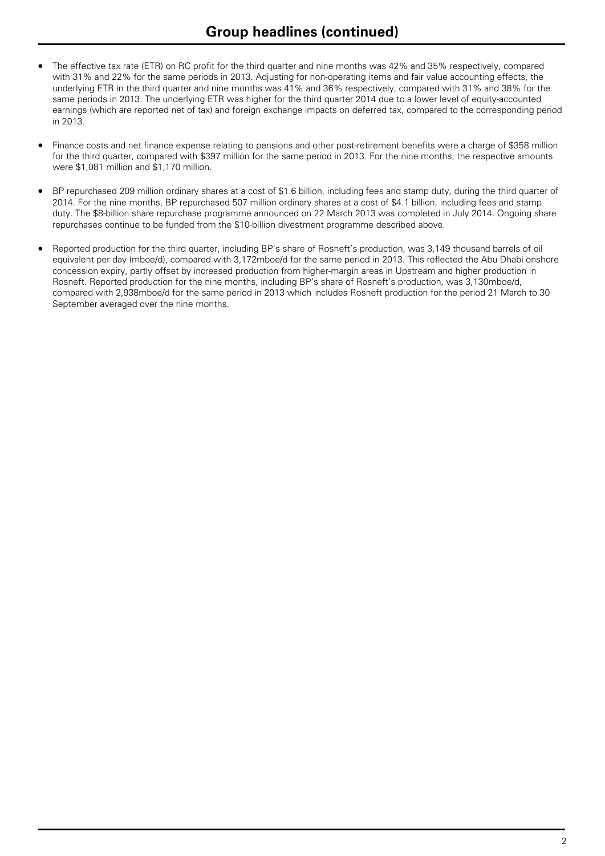- The effective tax rate (ETR) on RC profit for the third quarter and nine months was 42% and 35% respectively, compared with 31% and 22% for the same periods in 2013. Adjusting for non-operating items and fair value accounting effects, the underlying ETR in the third quarter and nine months was 41% and 36% respectively, compared with 31% and 38% for the same periods in 2013. The underlying ETR was higher for the third quarter 2014 due to a lower level of equity-accounted earnings (which are reported net of tax) and foreign exchange impacts on deferred tax, compared to the corresponding period in 2013.
- Finance costs and net finance expense relating to pensions and other post-retirement benefits were a charge of \$358 million for the third quarter, compared with \$397 million for the same period in 2013. For the nine months, the respective amounts were \$1,081 million and \$1,170 million.
- BP repurchased 209 million ordinary shares at a cost of \$1.6 billion, including fees and stamp duty, during the third quarter of 2014. For the nine months, BP repurchased 507 million ordinary shares at a cost of \$4.1 billion, including fees and stamp duty. The \$8-billion share repurchase programme announced on 22 March 2013 was completed in July 2014. Ongoing share repurchases continue to be funded from the \$10-billion divestment programme described above.
- Reported production for the third quarter, including BP's share of Rosneft's production, was 3,149 thousand barrels of oil equivalent per day (mboe/d), compared with 3,172mboe/d for the same period in 2013. This reflected the Abu Dhabi onshore concession expiry, partly offset by increased production from higher-margin areas in Upstream and higher production in Rosneft. Reported production for the nine months, including BP's share of Rosneft's production, was 3,130mboe/d, compared with 2,938mboe/d for the same period in 2013 which includes Rosneft production for the period 21 March to 30 September averaged over the nine months.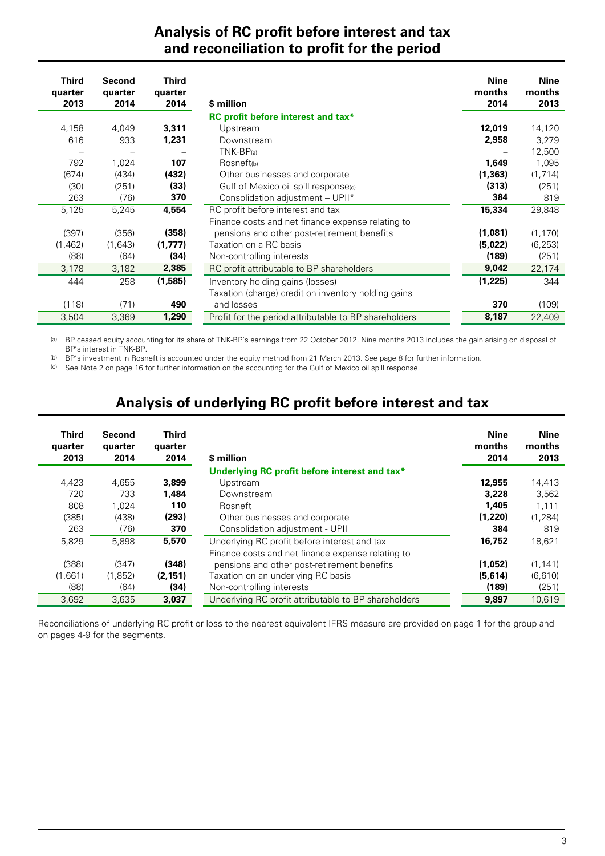## **Analysis of RC profit before interest and tax and reconciliation to profit for the period**

| Third<br>quarter<br>2013 | Second<br>quarter<br>2014 | Third<br>quarter<br>2014 | \$ million                                            | <b>Nine</b><br>months<br>2014 | <b>Nine</b><br>months<br>2013 |
|--------------------------|---------------------------|--------------------------|-------------------------------------------------------|-------------------------------|-------------------------------|
|                          |                           |                          | RC profit before interest and tax*                    |                               |                               |
| 4,158                    | 4,049                     | 3,311                    | Upstream                                              | 12,019                        | 14,120                        |
| 616                      | 933                       | 1,231                    | Downstream                                            | 2,958                         | 3,279                         |
|                          |                           |                          | $TNK-BP(a)$                                           |                               | 12,500                        |
| 792                      | 1,024                     | 107                      | Rosneft(b)                                            | 1,649                         | 1,095                         |
| (674)                    | (434)                     | (432)                    | Other businesses and corporate                        | (1, 363)                      | (1,714)                       |
| (30)                     | (251)                     | (33)                     | Gulf of Mexico oil spill response(c)                  | (313)                         | (251)                         |
| 263                      | (76)                      | 370                      | Consolidation adjustment - UPII*                      | 384                           | 819                           |
| 5,125                    | 5,245                     | 4,554                    | RC profit before interest and tax                     | 15,334                        | 29,848                        |
|                          |                           |                          | Finance costs and net finance expense relating to     |                               |                               |
| (397)                    | (356)                     | (358)                    | pensions and other post-retirement benefits           | (1,081)                       | (1, 170)                      |
| (1, 462)                 | (1.643)                   | (1,777)                  | Taxation on a RC basis                                | (5,022)                       | (6, 253)                      |
| (88)                     | (64)                      | (34)                     | Non-controlling interests                             | (189)                         | (251)                         |
| 3,178                    | 3,182                     | 2,385                    | RC profit attributable to BP shareholders             | 9,042                         | 22,174                        |
| 444                      | 258                       | (1,585)                  | Inventory holding gains (losses)                      | (1,225)                       | 344                           |
|                          |                           |                          | Taxation (charge) credit on inventory holding gains   |                               |                               |
| (118)                    | (71)                      | 490                      | and losses                                            | 370                           | (109)                         |
| 3,504                    | 3,369                     | 1,290                    | Profit for the period attributable to BP shareholders | 8,187                         | 22,409                        |

(a) BP ceased equity accounting for its share of TNK-BP's earnings from 22 October 2012. Nine months 2013 includes the gain arising on disposal of BP's interest in TNK-BP.

(b) BP's investment in Rosneft is accounted under the equity method from 21 March 2013. See page 8 for further information.

(c) See Note 2 on page 16 for further information on the accounting for the Gulf of Mexico oil spill response.

# **Analysis of underlying RC profit before interest and tax**

| Third<br>quarter<br>2013 | Second<br>quarter<br>2014 | <b>Third</b><br>quarter<br>2014 | \$ million                                           | <b>Nine</b><br>months<br>2014 | Nine<br>months<br>2013 |
|--------------------------|---------------------------|---------------------------------|------------------------------------------------------|-------------------------------|------------------------|
|                          |                           |                                 | Underlying RC profit before interest and tax*        |                               |                        |
| 4,423                    | 4,655                     | 3,899                           | <b>Upstream</b>                                      | 12,955                        | 14,413                 |
| 720                      | 733                       | 1.484                           | Downstream                                           | 3,228                         | 3.562                  |
| 808                      | 1.024                     | 110                             | Rosneft                                              | 1,405                         | 1,111                  |
| (385)                    | (438)                     | (293)                           | Other businesses and corporate                       | (1,220)                       | (1,284)                |
| 263                      | (76)                      | 370                             | Consolidation adjustment - UPII                      | 384                           | 819                    |
| 5,829                    | 5,898                     | 5,570                           | Underlying RC profit before interest and tax         | 16.752                        | 18,621                 |
|                          |                           |                                 | Finance costs and net finance expense relating to    |                               |                        |
| (388)                    | (347)                     | (348)                           | pensions and other post-retirement benefits          | (1,052)                       | (1, 141)               |
| (1.661)                  | (1,852)                   | (2, 151)                        | Taxation on an underlying RC basis                   | (5,614)                       | (6,610)                |
| (88)                     | (64)                      | (34)                            | Non-controlling interests                            | (189)                         | (251)                  |
| 3,692                    | 3,635                     | 3,037                           | Underlying RC profit attributable to BP shareholders | 9,897                         | 10,619                 |

Reconciliations of underlying RC profit or loss to the nearest equivalent IFRS measure are provided on page 1 for the group and on pages 4-9 for the segments.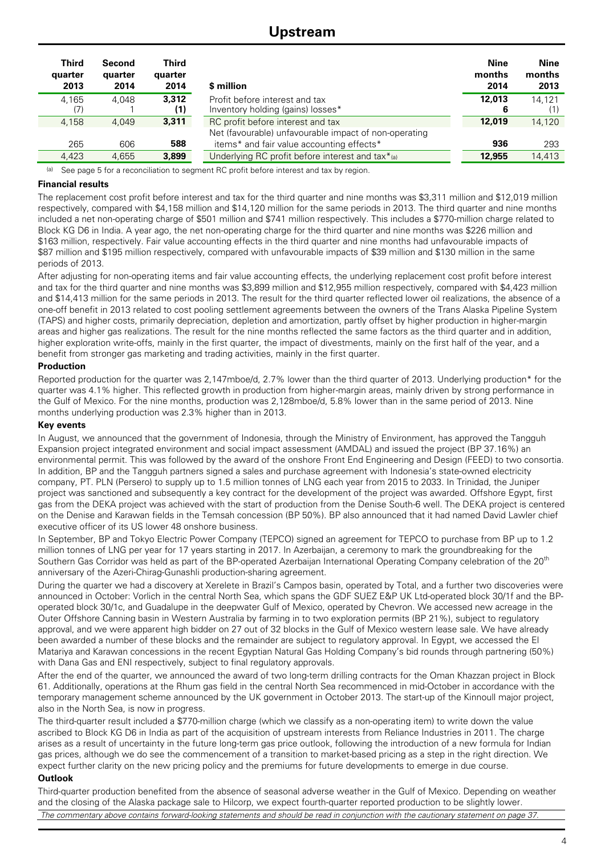### **Upstream**

| <b>Third</b><br>quarter<br>2013 | Second<br>quarter<br>2014 | Third<br>quarter<br>2014 | \$ million                                                                                 | <b>Nine</b><br>months<br>2014 | Nine<br>months<br>2013 |
|---------------------------------|---------------------------|--------------------------|--------------------------------------------------------------------------------------------|-------------------------------|------------------------|
| 4.165<br>(7)                    | 4.048                     | 3.312<br>(1)             | Profit before interest and tax<br>Inventory holding (gains) losses*                        | 12.013<br>6                   | 14.121<br>(1)          |
| 4.158                           | 4.049                     | 3.311                    | RC profit before interest and tax<br>Net (favourable) unfavourable impact of non-operating | 12.019                        | 14,120                 |
| 265                             | 606                       | 588                      | items* and fair value accounting effects*                                                  | 936                           | 293                    |
| 4,423                           | 4.655                     | 3,899                    | Underlying RC profit before interest and tax*(a)                                           | 12.955                        | 14,413                 |

(a) See page 5 for a reconciliation to segment RC profit before interest and tax by region.

#### **Financial results**

The replacement cost profit before interest and tax for the third quarter and nine months was \$3,311 million and \$12,019 million respectively, compared with \$4,158 million and \$14,120 million for the same periods in 2013. The third quarter and nine months included a net non-operating charge of \$501 million and \$741 million respectively. This includes a \$770-million charge related to Block KG D6 in India. A year ago, the net non-operating charge for the third quarter and nine months was \$226 million and \$163 million, respectively. Fair value accounting effects in the third quarter and nine months had unfavourable impacts of \$87 million and \$195 million respectively, compared with unfavourable impacts of \$39 million and \$130 million in the same periods of 2013.

After adjusting for non-operating items and fair value accounting effects, the underlying replacement cost profit before interest and tax for the third quarter and nine months was \$3,899 million and \$12,955 million respectively, compared with \$4,423 million and \$14,413 million for the same periods in 2013. The result for the third quarter reflected lower oil realizations, the absence of a one-off benefit in 2013 related to cost pooling settlement agreements between the owners of the Trans Alaska Pipeline System (TAPS) and higher costs, primarily depreciation, depletion and amortization, partly offset by higher production in higher-margin areas and higher gas realizations. The result for the nine months reflected the same factors as the third quarter and in addition, higher exploration write-offs, mainly in the first quarter, the impact of divestments, mainly on the first half of the year, and a benefit from stronger gas marketing and trading activities, mainly in the first quarter.

#### **Production**

Reported production for the quarter was 2,147mboe/d, 2.7% lower than the third quarter of 2013. Underlying production\* for the quarter was 4.1% higher. This reflected growth in production from higher-margin areas, mainly driven by strong performance in the Gulf of Mexico. For the nine months, production was 2,128mboe/d, 5.8% lower than in the same period of 2013. Nine months underlying production was 2.3% higher than in 2013.

#### **Key events**

In August, we announced that the government of Indonesia, through the Ministry of Environment, has approved the Tangguh Expansion project integrated environment and social impact assessment (AMDAL) and issued the project (BP 37.16%) an environmental permit. This was followed by the award of the onshore Front End Engineering and Design (FEED) to two consortia. In addition, BP and the Tangguh partners signed a sales and purchase agreement with Indonesia's state-owned electricity company, PT. PLN (Persero) to supply up to 1.5 million tonnes of LNG each year from 2015 to 2033. In Trinidad, the Juniper project was sanctioned and subsequently a key contract for the development of the project was awarded. Offshore Egypt, first gas from the DEKA project was achieved with the start of production from the Denise South-6 well. The DEKA project is centered on the Denise and Karawan fields in the Temsah concession (BP 50%). BP also announced that it had named David Lawler chief executive officer of its US lower 48 onshore business.

In September, BP and Tokyo Electric Power Company (TEPCO) signed an agreement for TEPCO to purchase from BP up to 1.2 million tonnes of LNG per year for 17 years starting in 2017. In Azerbaijan, a ceremony to mark the groundbreaking for the Southern Gas Corridor was held as part of the BP-operated Azerbaijan International Operating Company celebration of the 20<sup>th</sup> anniversary of the Azeri-Chirag-Gunashli production-sharing agreement.

During the quarter we had a discovery at Xerelete in Brazil's Campos basin, operated by Total, and a further two discoveries were announced in October: Vorlich in the central North Sea, which spans the GDF SUEZ E&P UK Ltd-operated block 30/1f and the BPoperated block 30/1c, and Guadalupe in the deepwater Gulf of Mexico, operated by Chevron. We accessed new acreage in the Outer Offshore Canning basin in Western Australia by farming in to two exploration permits (BP 21%), subject to regulatory approval, and we were apparent high bidder on 27 out of 32 blocks in the Gulf of Mexico western lease sale. We have already been awarded a number of these blocks and the remainder are subject to regulatory approval. In Egypt, we accessed the El Matariya and Karawan concessions in the recent Egyptian Natural Gas Holding Company's bid rounds through partnering (50%) with Dana Gas and ENI respectively, subject to final regulatory approvals.

After the end of the quarter, we announced the award of two long-term drilling contracts for the Oman Khazzan project in Block 61. Additionally, operations at the Rhum gas field in the central North Sea recommenced in mid-October in accordance with the temporary management scheme announced by the UK government in October 2013. The start-up of the Kinnoull major project, also in the North Sea, is now in progress.

The third-quarter result included a \$770-million charge (which we classify as a non-operating item) to write down the value ascribed to Block KG D6 in India as part of the acquisition of upstream interests from Reliance Industries in 2011. The charge arises as a result of uncertainty in the future long-term gas price outlook, following the introduction of a new formula for Indian gas prices, although we do see the commencement of a transition to market-based pricing as a step in the right direction. We expect further clarity on the new pricing policy and the premiums for future developments to emerge in due course.

#### **Outlook**

Third-quarter production benefited from the absence of seasonal adverse weather in the Gulf of Mexico. Depending on weather and the closing of the Alaska package sale to Hilcorp, we expect fourth-quarter reported production to be slightly lower. *The commentary above contains forward-looking statements and should be read in conjunction with the cautionary statement on page 37.*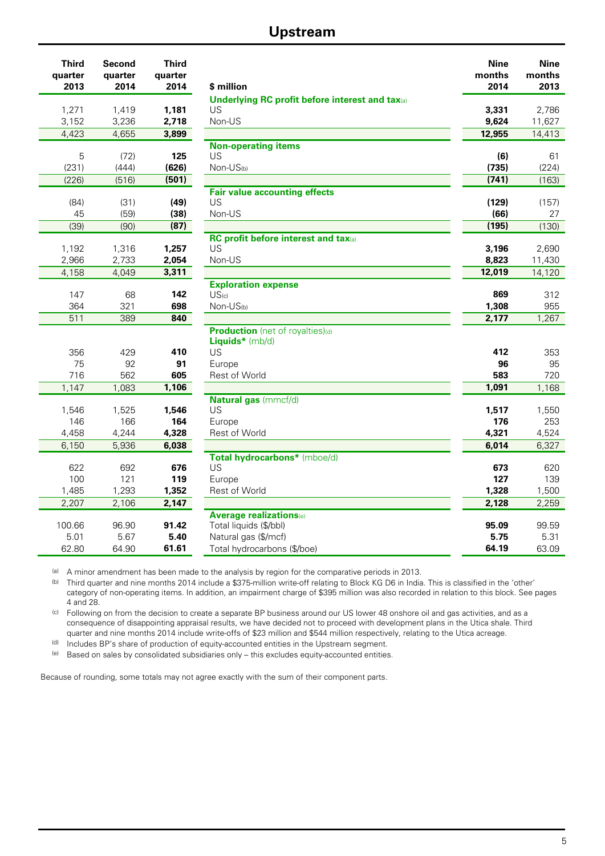## **Upstream**

| <b>Underlying RC profit before interest and tax</b> (a)<br>1,271<br>1,419<br>1,181<br>US<br>3,331<br>2,786<br>3,152<br>3,236<br>2,718<br>9,624<br>Non-US<br>11,627<br>4,423<br>4,655<br>14,413<br>3,899<br>12,955<br><b>Non-operating items</b><br>125<br>5<br>US<br>(6)<br>(72)<br>61<br>(626)<br>(735)<br>(231)<br>(444)<br>Non-US(b)<br>(224)<br>(226)<br>(516)<br>(501)<br>(741)<br>(163)<br><b>Fair value accounting effects</b><br>US<br>(49)<br>(129)<br>(84)<br>(31)<br>(157)<br>(66)<br>45<br>(59)<br>(38)<br>Non-US<br>27<br>(39)<br>(90)<br>(87)<br>(195)<br>(130)<br>RC profit before interest and tax(a)<br>1,192<br>1,316<br>1,257<br>US<br>3,196<br>2,690<br>2,966<br>2,733<br>2,054<br>Non-US<br>8,823<br>11,430<br>4,158<br>4,049<br>3,311<br>12,019<br>14,120<br><b>Exploration expense</b><br>142<br>869<br>147<br>68<br>US <sub>(c)</sub><br>312<br>364<br>321<br>698<br>1,308<br>955<br>Non-US(b)<br>511<br>389<br>840<br>1,267<br>2,177<br>Production (net of royalties)(d)<br>Liquids* (mb/d)<br>US<br>356<br>429<br>412<br>353<br>410<br>75<br>92<br>96<br>95<br>91<br>Europe<br>716<br>562<br>605<br>583<br>Rest of World<br>720<br>1,147<br>1,083<br>1,106<br>1,091<br>1,168<br>Natural gas (mmcf/d)<br>1,525<br>1,546<br>US<br>1,517<br>1,550<br>1,546<br>164<br>176<br>146<br>166<br>Europe<br>253<br>4,458<br>4,244<br>4,328<br>Rest of World<br>4,321<br>4,524<br>6,150<br>5,936<br>6,014<br>6,327<br>6,038<br>Total hydrocarbons* (mboe/d)<br>622<br>692<br>US<br>676<br>673<br>620<br>100<br>121<br>119<br>127<br>139<br>Europe<br>1,328<br>1,485<br>1,293<br>1,352<br>Rest of World<br>1,500<br>2,128<br>2,147<br>2,207<br>2,106<br>2,259<br><b>Average realizations</b> (e)<br>100.66<br>96.90<br>91.42<br>Total liquids (\$/bbl)<br>95.09<br>99.59<br>5.40<br>5.75<br>5.01<br>5.67<br>Natural gas (\$/mcf)<br>5.31<br>64.19<br>62.80<br>64.90<br>61.61<br>Total hydrocarbons (\$/boe)<br>63.09 | <b>Third</b><br>quarter<br>2013 | Second<br>quarter<br>2014 | <b>Third</b><br>quarter<br>2014 | \$ million | <b>Nine</b><br>months<br>2014 | <b>Nine</b><br>months<br>2013 |
|-----------------------------------------------------------------------------------------------------------------------------------------------------------------------------------------------------------------------------------------------------------------------------------------------------------------------------------------------------------------------------------------------------------------------------------------------------------------------------------------------------------------------------------------------------------------------------------------------------------------------------------------------------------------------------------------------------------------------------------------------------------------------------------------------------------------------------------------------------------------------------------------------------------------------------------------------------------------------------------------------------------------------------------------------------------------------------------------------------------------------------------------------------------------------------------------------------------------------------------------------------------------------------------------------------------------------------------------------------------------------------------------------------------------------------------------------------------------------------------------------------------------------------------------------------------------------------------------------------------------------------------------------------------------------------------------------------------------------------------------------------------------------------------------------------------------------------------------------------------------------------------------------------------------------------------|---------------------------------|---------------------------|---------------------------------|------------|-------------------------------|-------------------------------|
|                                                                                                                                                                                                                                                                                                                                                                                                                                                                                                                                                                                                                                                                                                                                                                                                                                                                                                                                                                                                                                                                                                                                                                                                                                                                                                                                                                                                                                                                                                                                                                                                                                                                                                                                                                                                                                                                                                                                   |                                 |                           |                                 |            |                               |                               |
|                                                                                                                                                                                                                                                                                                                                                                                                                                                                                                                                                                                                                                                                                                                                                                                                                                                                                                                                                                                                                                                                                                                                                                                                                                                                                                                                                                                                                                                                                                                                                                                                                                                                                                                                                                                                                                                                                                                                   |                                 |                           |                                 |            |                               |                               |
|                                                                                                                                                                                                                                                                                                                                                                                                                                                                                                                                                                                                                                                                                                                                                                                                                                                                                                                                                                                                                                                                                                                                                                                                                                                                                                                                                                                                                                                                                                                                                                                                                                                                                                                                                                                                                                                                                                                                   |                                 |                           |                                 |            |                               |                               |
|                                                                                                                                                                                                                                                                                                                                                                                                                                                                                                                                                                                                                                                                                                                                                                                                                                                                                                                                                                                                                                                                                                                                                                                                                                                                                                                                                                                                                                                                                                                                                                                                                                                                                                                                                                                                                                                                                                                                   |                                 |                           |                                 |            |                               |                               |
|                                                                                                                                                                                                                                                                                                                                                                                                                                                                                                                                                                                                                                                                                                                                                                                                                                                                                                                                                                                                                                                                                                                                                                                                                                                                                                                                                                                                                                                                                                                                                                                                                                                                                                                                                                                                                                                                                                                                   |                                 |                           |                                 |            |                               |                               |
|                                                                                                                                                                                                                                                                                                                                                                                                                                                                                                                                                                                                                                                                                                                                                                                                                                                                                                                                                                                                                                                                                                                                                                                                                                                                                                                                                                                                                                                                                                                                                                                                                                                                                                                                                                                                                                                                                                                                   |                                 |                           |                                 |            |                               |                               |
|                                                                                                                                                                                                                                                                                                                                                                                                                                                                                                                                                                                                                                                                                                                                                                                                                                                                                                                                                                                                                                                                                                                                                                                                                                                                                                                                                                                                                                                                                                                                                                                                                                                                                                                                                                                                                                                                                                                                   |                                 |                           |                                 |            |                               |                               |
|                                                                                                                                                                                                                                                                                                                                                                                                                                                                                                                                                                                                                                                                                                                                                                                                                                                                                                                                                                                                                                                                                                                                                                                                                                                                                                                                                                                                                                                                                                                                                                                                                                                                                                                                                                                                                                                                                                                                   |                                 |                           |                                 |            |                               |                               |
|                                                                                                                                                                                                                                                                                                                                                                                                                                                                                                                                                                                                                                                                                                                                                                                                                                                                                                                                                                                                                                                                                                                                                                                                                                                                                                                                                                                                                                                                                                                                                                                                                                                                                                                                                                                                                                                                                                                                   |                                 |                           |                                 |            |                               |                               |
|                                                                                                                                                                                                                                                                                                                                                                                                                                                                                                                                                                                                                                                                                                                                                                                                                                                                                                                                                                                                                                                                                                                                                                                                                                                                                                                                                                                                                                                                                                                                                                                                                                                                                                                                                                                                                                                                                                                                   |                                 |                           |                                 |            |                               |                               |
|                                                                                                                                                                                                                                                                                                                                                                                                                                                                                                                                                                                                                                                                                                                                                                                                                                                                                                                                                                                                                                                                                                                                                                                                                                                                                                                                                                                                                                                                                                                                                                                                                                                                                                                                                                                                                                                                                                                                   |                                 |                           |                                 |            |                               |                               |
|                                                                                                                                                                                                                                                                                                                                                                                                                                                                                                                                                                                                                                                                                                                                                                                                                                                                                                                                                                                                                                                                                                                                                                                                                                                                                                                                                                                                                                                                                                                                                                                                                                                                                                                                                                                                                                                                                                                                   |                                 |                           |                                 |            |                               |                               |
|                                                                                                                                                                                                                                                                                                                                                                                                                                                                                                                                                                                                                                                                                                                                                                                                                                                                                                                                                                                                                                                                                                                                                                                                                                                                                                                                                                                                                                                                                                                                                                                                                                                                                                                                                                                                                                                                                                                                   |                                 |                           |                                 |            |                               |                               |
|                                                                                                                                                                                                                                                                                                                                                                                                                                                                                                                                                                                                                                                                                                                                                                                                                                                                                                                                                                                                                                                                                                                                                                                                                                                                                                                                                                                                                                                                                                                                                                                                                                                                                                                                                                                                                                                                                                                                   |                                 |                           |                                 |            |                               |                               |
|                                                                                                                                                                                                                                                                                                                                                                                                                                                                                                                                                                                                                                                                                                                                                                                                                                                                                                                                                                                                                                                                                                                                                                                                                                                                                                                                                                                                                                                                                                                                                                                                                                                                                                                                                                                                                                                                                                                                   |                                 |                           |                                 |            |                               |                               |
|                                                                                                                                                                                                                                                                                                                                                                                                                                                                                                                                                                                                                                                                                                                                                                                                                                                                                                                                                                                                                                                                                                                                                                                                                                                                                                                                                                                                                                                                                                                                                                                                                                                                                                                                                                                                                                                                                                                                   |                                 |                           |                                 |            |                               |                               |
|                                                                                                                                                                                                                                                                                                                                                                                                                                                                                                                                                                                                                                                                                                                                                                                                                                                                                                                                                                                                                                                                                                                                                                                                                                                                                                                                                                                                                                                                                                                                                                                                                                                                                                                                                                                                                                                                                                                                   |                                 |                           |                                 |            |                               |                               |
|                                                                                                                                                                                                                                                                                                                                                                                                                                                                                                                                                                                                                                                                                                                                                                                                                                                                                                                                                                                                                                                                                                                                                                                                                                                                                                                                                                                                                                                                                                                                                                                                                                                                                                                                                                                                                                                                                                                                   |                                 |                           |                                 |            |                               |                               |
|                                                                                                                                                                                                                                                                                                                                                                                                                                                                                                                                                                                                                                                                                                                                                                                                                                                                                                                                                                                                                                                                                                                                                                                                                                                                                                                                                                                                                                                                                                                                                                                                                                                                                                                                                                                                                                                                                                                                   |                                 |                           |                                 |            |                               |                               |
|                                                                                                                                                                                                                                                                                                                                                                                                                                                                                                                                                                                                                                                                                                                                                                                                                                                                                                                                                                                                                                                                                                                                                                                                                                                                                                                                                                                                                                                                                                                                                                                                                                                                                                                                                                                                                                                                                                                                   |                                 |                           |                                 |            |                               |                               |
|                                                                                                                                                                                                                                                                                                                                                                                                                                                                                                                                                                                                                                                                                                                                                                                                                                                                                                                                                                                                                                                                                                                                                                                                                                                                                                                                                                                                                                                                                                                                                                                                                                                                                                                                                                                                                                                                                                                                   |                                 |                           |                                 |            |                               |                               |
|                                                                                                                                                                                                                                                                                                                                                                                                                                                                                                                                                                                                                                                                                                                                                                                                                                                                                                                                                                                                                                                                                                                                                                                                                                                                                                                                                                                                                                                                                                                                                                                                                                                                                                                                                                                                                                                                                                                                   |                                 |                           |                                 |            |                               |                               |
|                                                                                                                                                                                                                                                                                                                                                                                                                                                                                                                                                                                                                                                                                                                                                                                                                                                                                                                                                                                                                                                                                                                                                                                                                                                                                                                                                                                                                                                                                                                                                                                                                                                                                                                                                                                                                                                                                                                                   |                                 |                           |                                 |            |                               |                               |
|                                                                                                                                                                                                                                                                                                                                                                                                                                                                                                                                                                                                                                                                                                                                                                                                                                                                                                                                                                                                                                                                                                                                                                                                                                                                                                                                                                                                                                                                                                                                                                                                                                                                                                                                                                                                                                                                                                                                   |                                 |                           |                                 |            |                               |                               |
|                                                                                                                                                                                                                                                                                                                                                                                                                                                                                                                                                                                                                                                                                                                                                                                                                                                                                                                                                                                                                                                                                                                                                                                                                                                                                                                                                                                                                                                                                                                                                                                                                                                                                                                                                                                                                                                                                                                                   |                                 |                           |                                 |            |                               |                               |
|                                                                                                                                                                                                                                                                                                                                                                                                                                                                                                                                                                                                                                                                                                                                                                                                                                                                                                                                                                                                                                                                                                                                                                                                                                                                                                                                                                                                                                                                                                                                                                                                                                                                                                                                                                                                                                                                                                                                   |                                 |                           |                                 |            |                               |                               |
|                                                                                                                                                                                                                                                                                                                                                                                                                                                                                                                                                                                                                                                                                                                                                                                                                                                                                                                                                                                                                                                                                                                                                                                                                                                                                                                                                                                                                                                                                                                                                                                                                                                                                                                                                                                                                                                                                                                                   |                                 |                           |                                 |            |                               |                               |
|                                                                                                                                                                                                                                                                                                                                                                                                                                                                                                                                                                                                                                                                                                                                                                                                                                                                                                                                                                                                                                                                                                                                                                                                                                                                                                                                                                                                                                                                                                                                                                                                                                                                                                                                                                                                                                                                                                                                   |                                 |                           |                                 |            |                               |                               |
|                                                                                                                                                                                                                                                                                                                                                                                                                                                                                                                                                                                                                                                                                                                                                                                                                                                                                                                                                                                                                                                                                                                                                                                                                                                                                                                                                                                                                                                                                                                                                                                                                                                                                                                                                                                                                                                                                                                                   |                                 |                           |                                 |            |                               |                               |
|                                                                                                                                                                                                                                                                                                                                                                                                                                                                                                                                                                                                                                                                                                                                                                                                                                                                                                                                                                                                                                                                                                                                                                                                                                                                                                                                                                                                                                                                                                                                                                                                                                                                                                                                                                                                                                                                                                                                   |                                 |                           |                                 |            |                               |                               |
|                                                                                                                                                                                                                                                                                                                                                                                                                                                                                                                                                                                                                                                                                                                                                                                                                                                                                                                                                                                                                                                                                                                                                                                                                                                                                                                                                                                                                                                                                                                                                                                                                                                                                                                                                                                                                                                                                                                                   |                                 |                           |                                 |            |                               |                               |
|                                                                                                                                                                                                                                                                                                                                                                                                                                                                                                                                                                                                                                                                                                                                                                                                                                                                                                                                                                                                                                                                                                                                                                                                                                                                                                                                                                                                                                                                                                                                                                                                                                                                                                                                                                                                                                                                                                                                   |                                 |                           |                                 |            |                               |                               |
|                                                                                                                                                                                                                                                                                                                                                                                                                                                                                                                                                                                                                                                                                                                                                                                                                                                                                                                                                                                                                                                                                                                                                                                                                                                                                                                                                                                                                                                                                                                                                                                                                                                                                                                                                                                                                                                                                                                                   |                                 |                           |                                 |            |                               |                               |
|                                                                                                                                                                                                                                                                                                                                                                                                                                                                                                                                                                                                                                                                                                                                                                                                                                                                                                                                                                                                                                                                                                                                                                                                                                                                                                                                                                                                                                                                                                                                                                                                                                                                                                                                                                                                                                                                                                                                   |                                 |                           |                                 |            |                               |                               |
|                                                                                                                                                                                                                                                                                                                                                                                                                                                                                                                                                                                                                                                                                                                                                                                                                                                                                                                                                                                                                                                                                                                                                                                                                                                                                                                                                                                                                                                                                                                                                                                                                                                                                                                                                                                                                                                                                                                                   |                                 |                           |                                 |            |                               |                               |
|                                                                                                                                                                                                                                                                                                                                                                                                                                                                                                                                                                                                                                                                                                                                                                                                                                                                                                                                                                                                                                                                                                                                                                                                                                                                                                                                                                                                                                                                                                                                                                                                                                                                                                                                                                                                                                                                                                                                   |                                 |                           |                                 |            |                               |                               |
|                                                                                                                                                                                                                                                                                                                                                                                                                                                                                                                                                                                                                                                                                                                                                                                                                                                                                                                                                                                                                                                                                                                                                                                                                                                                                                                                                                                                                                                                                                                                                                                                                                                                                                                                                                                                                                                                                                                                   |                                 |                           |                                 |            |                               |                               |

(a) A minor amendment has been made to the analysis by region for the comparative periods in 2013.

(b) Third quarter and nine months 2014 include a \$375-million write-off relating to Block KG D6 in India. This is classified in the 'other' category of non-operating items. In addition, an impairment charge of \$395 million was also recorded in relation to this block. See pages 4 and 28.

(c) Following on from the decision to create a separate BP business around our US lower 48 onshore oil and gas activities, and as a consequence of disappointing appraisal results, we have decided not to proceed with development plans in the Utica shale. Third quarter and nine months 2014 include write-offs of \$23 million and \$544 million respectively, relating to the Utica acreage.

(d) Includes BP's share of production of equity-accounted entities in the Upstream segment.

(e) Based on sales by consolidated subsidiaries only – this excludes equity-accounted entities.

Because of rounding, some totals may not agree exactly with the sum of their component parts.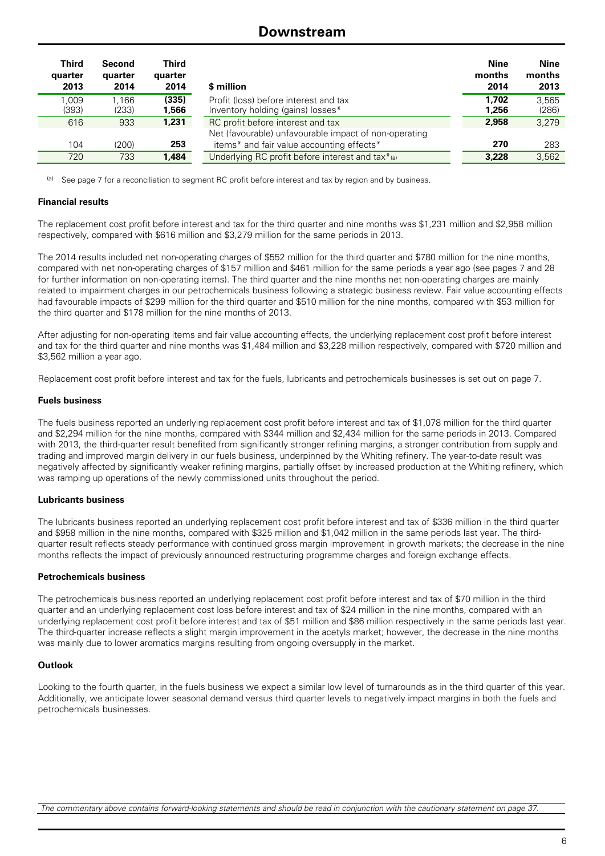### **Downstream**

| <b>Third</b><br>quarter<br>2013 | Second<br>quarter<br>2014 | Third<br>quarter<br>2014 | \$ million                                                                                 | <b>Nine</b><br>months<br>2014 | Nine<br>months<br>2013 |
|---------------------------------|---------------------------|--------------------------|--------------------------------------------------------------------------------------------|-------------------------------|------------------------|
| 1.009<br>(393)                  | 1.166<br>(233)            | (335)<br>1,566           | Profit (loss) before interest and tax<br>Inventory holding (gains) losses*                 | 1.702<br>1.256                | 3.565<br>(286)         |
| 616                             | 933                       | 1,231                    | RC profit before interest and tax<br>Net (favourable) unfavourable impact of non-operating | 2.958                         | 3.279                  |
| 104                             | (200)                     | 253                      | items* and fair value accounting effects*                                                  | 270                           | 283                    |
| 720                             | 733                       | 1,484                    | Underlying RC profit before interest and tax*(a)                                           | 3.228                         | 3.562                  |

See page 7 for a reconciliation to segment RC profit before interest and tax by region and by business.

#### **Financial results**

The replacement cost profit before interest and tax for the third quarter and nine months was \$1,231 million and \$2,958 million respectively, compared with \$616 million and \$3,279 million for the same periods in 2013.

The 2014 results included net non-operating charges of \$552 million for the third quarter and \$780 million for the nine months, compared with net non-operating charges of \$157 million and \$461 million for the same periods a year ago (see pages 7 and 28 for further information on non-operating items). The third quarter and the nine months net non-operating charges are mainly related to impairment charges in our petrochemicals business following a strategic business review. Fair value accounting effects had favourable impacts of \$299 million for the third quarter and \$510 million for the nine months, compared with \$53 million for the third quarter and \$178 million for the nine months of 2013.

After adjusting for non-operating items and fair value accounting effects, the underlying replacement cost profit before interest and tax for the third quarter and nine months was \$1,484 million and \$3,228 million respectively, compared with \$720 million and \$3,562 million a year ago.

Replacement cost profit before interest and tax for the fuels, lubricants and petrochemicals businesses is set out on page 7.

#### **Fuels business**

The fuels business reported an underlying replacement cost profit before interest and tax of \$1,078 million for the third quarter and \$2,294 million for the nine months, compared with \$344 million and \$2,434 million for the same periods in 2013. Compared with 2013, the third-quarter result benefited from significantly stronger refining margins, a stronger contribution from supply and trading and improved margin delivery in our fuels business, underpinned by the Whiting refinery. The year-to-date result was negatively affected by significantly weaker refining margins, partially offset by increased production at the Whiting refinery, which was ramping up operations of the newly commissioned units throughout the period.

#### **Lubricants business**

The lubricants business reported an underlying replacement cost profit before interest and tax of \$336 million in the third quarter and \$958 million in the nine months, compared with \$325 million and \$1,042 million in the same periods last year. The thirdquarter result reflects steady performance with continued gross margin improvement in growth markets; the decrease in the nine months reflects the impact of previously announced restructuring programme charges and foreign exchange effects.

#### **Petrochemicals business**

The petrochemicals business reported an underlying replacement cost profit before interest and tax of \$70 million in the third quarter and an underlying replacement cost loss before interest and tax of \$24 million in the nine months, compared with an underlying replacement cost profit before interest and tax of \$51 million and \$86 million respectively in the same periods last year. The third-quarter increase reflects a slight margin improvement in the acetyls market; however, the decrease in the nine months was mainly due to lower aromatics margins resulting from ongoing oversupply in the market.

#### **Outlook**

Looking to the fourth quarter, in the fuels business we expect a similar low level of turnarounds as in the third quarter of this year. Additionally, we anticipate lower seasonal demand versus third quarter levels to negatively impact margins in both the fuels and petrochemicals businesses.

*The commentary above contains forward-looking statements and should be read in conjunction with the cautionary statement on page 37.*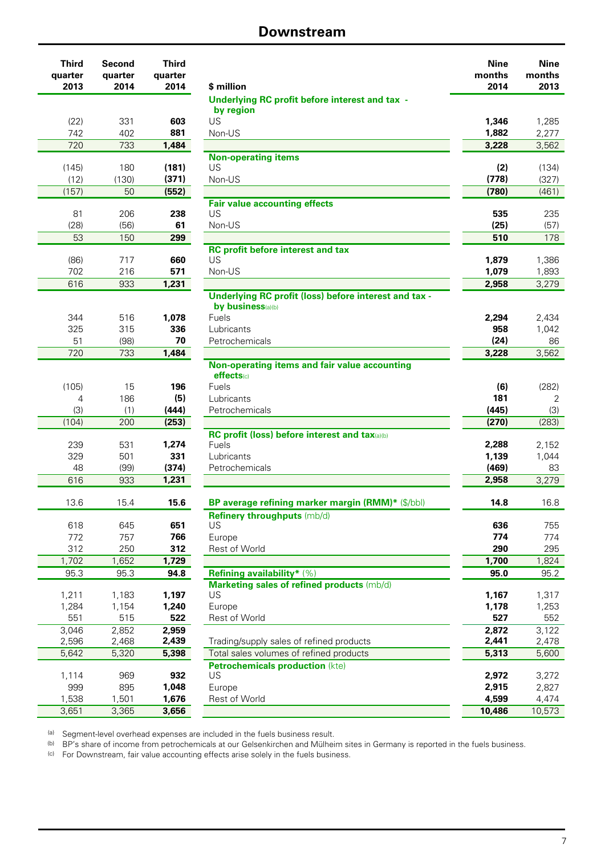### **Downstream**

| Third   |                                                                                                                                                                                                                                                                                                                                                                                                                                                                                                                           |
|---------|---------------------------------------------------------------------------------------------------------------------------------------------------------------------------------------------------------------------------------------------------------------------------------------------------------------------------------------------------------------------------------------------------------------------------------------------------------------------------------------------------------------------------|
| quarter |                                                                                                                                                                                                                                                                                                                                                                                                                                                                                                                           |
|         | \$ million                                                                                                                                                                                                                                                                                                                                                                                                                                                                                                                |
|         | <b>Underlying RC profit before i</b><br>by region                                                                                                                                                                                                                                                                                                                                                                                                                                                                         |
|         | US                                                                                                                                                                                                                                                                                                                                                                                                                                                                                                                        |
|         | Non-US                                                                                                                                                                                                                                                                                                                                                                                                                                                                                                                    |
|         |                                                                                                                                                                                                                                                                                                                                                                                                                                                                                                                           |
|         | <b>Non-operating items</b>                                                                                                                                                                                                                                                                                                                                                                                                                                                                                                |
| (181)   | US                                                                                                                                                                                                                                                                                                                                                                                                                                                                                                                        |
| (371)   | Non-US                                                                                                                                                                                                                                                                                                                                                                                                                                                                                                                    |
| (552)   |                                                                                                                                                                                                                                                                                                                                                                                                                                                                                                                           |
|         | <b>Fair value accounting effects</b>                                                                                                                                                                                                                                                                                                                                                                                                                                                                                      |
|         | US                                                                                                                                                                                                                                                                                                                                                                                                                                                                                                                        |
|         | Non-US                                                                                                                                                                                                                                                                                                                                                                                                                                                                                                                    |
|         |                                                                                                                                                                                                                                                                                                                                                                                                                                                                                                                           |
|         | <b>RC profit before interest and</b><br>US                                                                                                                                                                                                                                                                                                                                                                                                                                                                                |
|         | Non-US                                                                                                                                                                                                                                                                                                                                                                                                                                                                                                                    |
|         |                                                                                                                                                                                                                                                                                                                                                                                                                                                                                                                           |
|         | <b>Underlying RC profit (loss) b</b>                                                                                                                                                                                                                                                                                                                                                                                                                                                                                      |
|         | by business(a)(b)                                                                                                                                                                                                                                                                                                                                                                                                                                                                                                         |
| 1.078   | Fuels                                                                                                                                                                                                                                                                                                                                                                                                                                                                                                                     |
| 336     | Lubricants                                                                                                                                                                                                                                                                                                                                                                                                                                                                                                                |
|         | Petrochemicals                                                                                                                                                                                                                                                                                                                                                                                                                                                                                                            |
|         |                                                                                                                                                                                                                                                                                                                                                                                                                                                                                                                           |
|         | <b>Non-operating items and fair</b><br>effects(c)                                                                                                                                                                                                                                                                                                                                                                                                                                                                         |
|         | Fuels                                                                                                                                                                                                                                                                                                                                                                                                                                                                                                                     |
|         | Lubricants                                                                                                                                                                                                                                                                                                                                                                                                                                                                                                                |
| (444)   | Petrochemicals                                                                                                                                                                                                                                                                                                                                                                                                                                                                                                            |
| (253)   |                                                                                                                                                                                                                                                                                                                                                                                                                                                                                                                           |
|         | <b>RC profit (loss) before interes</b>                                                                                                                                                                                                                                                                                                                                                                                                                                                                                    |
| 1,274   | Fuels                                                                                                                                                                                                                                                                                                                                                                                                                                                                                                                     |
| 331     | Lubricants                                                                                                                                                                                                                                                                                                                                                                                                                                                                                                                |
|         | Petrochemicals                                                                                                                                                                                                                                                                                                                                                                                                                                                                                                            |
|         |                                                                                                                                                                                                                                                                                                                                                                                                                                                                                                                           |
|         | BP average refining marker r                                                                                                                                                                                                                                                                                                                                                                                                                                                                                              |
|         | Refinery throughputs (mb/d)                                                                                                                                                                                                                                                                                                                                                                                                                                                                                               |
|         | US                                                                                                                                                                                                                                                                                                                                                                                                                                                                                                                        |
| 766     | Europe                                                                                                                                                                                                                                                                                                                                                                                                                                                                                                                    |
| 312     | Rest of World                                                                                                                                                                                                                                                                                                                                                                                                                                                                                                             |
| 1,729   |                                                                                                                                                                                                                                                                                                                                                                                                                                                                                                                           |
| 94.8    | <b>Refining availability*</b> (%)                                                                                                                                                                                                                                                                                                                                                                                                                                                                                         |
|         | <b>Marketing sales of refined pr</b>                                                                                                                                                                                                                                                                                                                                                                                                                                                                                      |
|         | US                                                                                                                                                                                                                                                                                                                                                                                                                                                                                                                        |
|         | Europe<br>Rest of World                                                                                                                                                                                                                                                                                                                                                                                                                                                                                                   |
|         |                                                                                                                                                                                                                                                                                                                                                                                                                                                                                                                           |
|         | Trading/supply sales of refined                                                                                                                                                                                                                                                                                                                                                                                                                                                                                           |
|         | Total sales volumes of refined                                                                                                                                                                                                                                                                                                                                                                                                                                                                                            |
|         | <b>Petrochemicals production (</b>                                                                                                                                                                                                                                                                                                                                                                                                                                                                                        |
| 932     | US                                                                                                                                                                                                                                                                                                                                                                                                                                                                                                                        |
| 1,048   | Europe                                                                                                                                                                                                                                                                                                                                                                                                                                                                                                                    |
| 1,676   | Rest of World                                                                                                                                                                                                                                                                                                                                                                                                                                                                                                             |
|         | Second<br>quarter<br>2014<br>2014<br>603<br>331<br>402<br>881<br>733<br>1,484<br>180<br>(130)<br>50<br>206<br>238<br>(56)<br>61<br>299<br>150<br>717<br>660<br>216<br>571<br>1,231<br>933<br>516<br>315<br>70<br>(98)<br>733<br>1,484<br>15<br>196<br>186<br>(5)<br>(1)<br>200<br>531<br>501<br>(99)<br>(374)<br>1,231<br>933<br>15.4<br>15.6<br>645<br>651<br>757<br>250<br>1,652<br>95.3<br>1,183<br>1,197<br>1,154<br>1,240<br>515<br>522<br>2,852<br>2,959<br>2,439<br>2,468<br>5,320<br>5,398<br>969<br>895<br>1,501 |

| <b>Third</b><br>quarter<br>2013 | Second<br>quarter<br>2014 | <b>Third</b><br>quarter<br>2014 | \$ million                                                                        | <b>Nine</b><br>months<br>2014 | <b>Nine</b><br>months<br>2013 |
|---------------------------------|---------------------------|---------------------------------|-----------------------------------------------------------------------------------|-------------------------------|-------------------------------|
|                                 |                           |                                 | Underlying RC profit before interest and tax -                                    |                               |                               |
| (22)                            | 331                       | 603                             | by region<br>US                                                                   | 1,346                         | 1,285                         |
| 742                             | 402                       | 881                             | Non-US                                                                            | 1,882                         | 2,277                         |
| 720                             | 733                       | 1,484                           |                                                                                   | 3,228                         | 3,562                         |
|                                 |                           |                                 | <b>Non-operating items</b>                                                        |                               |                               |
| (145)                           | 180                       | (181)                           | US                                                                                | (2)                           | (134)                         |
| (12)                            | (130)                     | (371)                           | Non-US                                                                            | (778)                         | (327)                         |
| (157)                           | 50                        | (552)                           |                                                                                   | (780)                         | (461)                         |
| 81                              | 206                       | 238                             | <b>Fair value accounting effects</b><br>US                                        | 535                           | 235                           |
| (28)                            | (56)                      | 61                              | Non-US                                                                            | (25)                          | (57)                          |
| 53                              | 150                       | 299                             |                                                                                   | 510                           | 178                           |
|                                 |                           |                                 | <b>RC profit before interest and tax</b>                                          |                               |                               |
| (86)                            | 717                       | 660                             | US                                                                                | 1,879                         | 1,386                         |
| 702                             | 216                       | 571                             | Non-US                                                                            | 1,079                         | 1,893                         |
| 616                             | 933                       | 1,231                           |                                                                                   | 2,958                         | 3,279                         |
|                                 |                           |                                 | <b>Underlying RC profit (loss) before interest and tax -</b>                      |                               |                               |
| 344                             | 516                       | 1,078                           | by business(a)(b)<br>Fuels                                                        | 2,294                         | 2,434                         |
| 325                             | 315                       | 336                             | Lubricants                                                                        | 958                           | 1,042                         |
| 51                              | (98)                      | 70                              | Petrochemicals                                                                    | (24)                          | 86                            |
| 720                             | 733                       | 1,484                           |                                                                                   | 3,228                         | 3,562                         |
|                                 |                           |                                 | Non-operating items and fair value accounting                                     |                               |                               |
|                                 |                           |                                 | effects(c)                                                                        |                               |                               |
| (105)<br>4                      | 15<br>186                 | 196                             | Fuels                                                                             | (6)<br>181                    | (282)                         |
| (3)                             | (1)                       | (5)<br>(444)                    | Lubricants<br>Petrochemicals                                                      | (445)                         | 2<br>(3)                      |
| (104)                           | 200                       | (253)                           |                                                                                   | (270)                         | (283)                         |
|                                 |                           |                                 | RC profit (loss) before interest and tax(a)(b)                                    |                               |                               |
| 239                             | 531                       | 1,274                           | Fuels                                                                             | 2,288                         | 2,152                         |
| 329                             | 501                       | 331                             | Lubricants                                                                        | 1,139                         | 1,044                         |
| 48                              | (99)                      | (374)                           | Petrochemicals                                                                    | (469)                         | 83                            |
| 616                             | 933                       | 1,231                           |                                                                                   | 2,958                         | 3,279                         |
| 13.6                            | 15.4                      | 15.6                            | BP average refining marker margin (RMM)* (\$/bbl)                                 | 14.8                          | 16.8                          |
|                                 |                           |                                 | Refinery throughputs (mb/d)                                                       |                               |                               |
| 618                             | 645                       | 651                             | <b>US</b>                                                                         | 636                           | 755                           |
| 772<br>312                      | 757<br>250                | 766<br>312                      | Europe<br>Rest of World                                                           | 774<br>290                    | 774<br>295                    |
| 1,702                           | 1,652                     | 1,729                           |                                                                                   | 1,700                         | 1,824                         |
| 95.3                            | 95.3                      | 94.8                            | <b>Refining availability*</b> (%)                                                 | 95.0                          | 95.2                          |
|                                 |                           |                                 | Marketing sales of refined products (mb/d)                                        |                               |                               |
| 1,211                           | 1,183                     | 1,197                           | US                                                                                | 1,167                         | 1,317                         |
| 1,284                           | 1,154                     | 1,240                           | Europe                                                                            | 1,178                         | 1,253                         |
| 551                             | 515                       | 522                             | Rest of World                                                                     | 527                           | 552                           |
| 3,046                           | 2,852                     | 2,959                           |                                                                                   | 2,872                         | 3,122                         |
| 2,596                           | 2,468                     | 2,439                           | Trading/supply sales of refined products                                          | 2,441                         | 2,478                         |
| 5,642                           | 5,320                     | 5,398                           | Total sales volumes of refined products<br><b>Petrochemicals production (kte)</b> | 5,313                         | 5,600                         |
| 1,114                           | 969                       | 932                             | US                                                                                | 2,972                         | 3,272                         |
| 999                             | 895                       | 1,048                           | Europe                                                                            | 2,915                         | 2,827                         |
| 1,538                           | 1,501                     | 1,676                           | Rest of World                                                                     | 4,599                         | 4,474                         |
| 3,651                           | 3,365                     | 3,656                           |                                                                                   | 10,486                        | 10,573                        |

(a) Segment-level overhead expenses are included in the fuels business result.

(b) BP's share of income from petrochemicals at our Gelsenkirchen and Mülheim sites in Germany is reported in the fuels business.

(c) For Downstream, fair value accounting effects arise solely in the fuels business.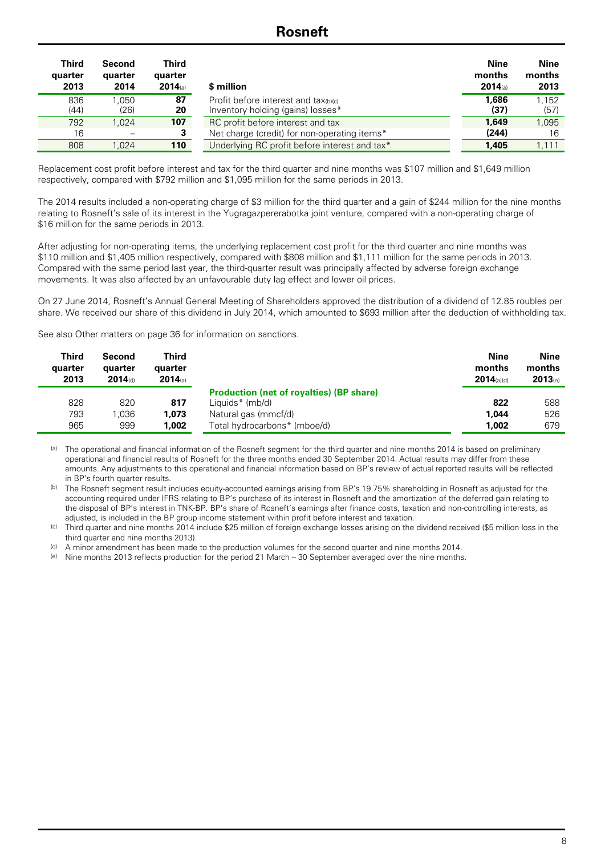### **Rosneft**

| <b>Third</b><br>quarter<br>2013 | Second<br>quarter<br>2014 | Third<br>quarter<br>$2014$ (a) | \$ million                                                                | <b>Nine</b><br>months<br>$2014$ (a) | Nine<br>months<br>2013 |
|---------------------------------|---------------------------|--------------------------------|---------------------------------------------------------------------------|-------------------------------------|------------------------|
| 836<br>(44)                     | 1.050<br>(26)             | 87<br>20                       | Profit before interest and tax(b)(c)<br>Inventory holding (gains) losses* | 1,686<br>(37)                       | 1.152<br>(57)          |
| 792                             | 1.024                     | 107                            | RC profit before interest and tax                                         | 1.649                               | 1.095                  |
| 16                              |                           | 3                              | Net charge (credit) for non-operating items*                              | (244)                               | 16                     |
| 808                             | 1.024                     | 110                            | Underlying RC profit before interest and tax*                             | 1,405                               | 1.111                  |

Replacement cost profit before interest and tax for the third quarter and nine months was \$107 million and \$1,649 million respectively, compared with \$792 million and \$1,095 million for the same periods in 2013.

The 2014 results included a non-operating charge of \$3 million for the third quarter and a gain of \$244 million for the nine months relating to Rosneft's sale of its interest in the Yugragazpererabotka joint venture, compared with a non-operating charge of \$16 million for the same periods in 2013.

After adjusting for non-operating items, the underlying replacement cost profit for the third quarter and nine months was \$110 million and \$1,405 million respectively, compared with \$808 million and \$1,111 million for the same periods in 2013. Compared with the same period last year, the third-quarter result was principally affected by adverse foreign exchange movements. It was also affected by an unfavourable duty lag effect and lower oil prices.

On 27 June 2014, Rosneft's Annual General Meeting of Shareholders approved the distribution of a dividend of 12.85 roubles per share. We received our share of this dividend in July 2014, which amounted to \$693 million after the deduction of withholding tax.

See also Other matters on page 36 for information on sanctions.

| <b>Third</b><br>quarter<br>2013 | Second<br>quarter<br>$2014$ (d) | Third<br>quarter<br>$2014$ (a) |                                                                    | <b>Nine</b><br>months<br>$2014$ (a)(d) | Nine<br>months<br>2013(e) |
|---------------------------------|---------------------------------|--------------------------------|--------------------------------------------------------------------|----------------------------------------|---------------------------|
| 828                             | 820                             | 817                            | <b>Production (net of royalties) (BP share)</b><br>Liquids* (mb/d) | 822                                    | 588                       |
| 793                             | 1.036                           | 1,073                          | Natural gas (mmcf/d)                                               | 1.044                                  | 526                       |
| 965                             | 999                             | 1,002                          | Total hydrocarbons* (mboe/d)                                       | 1.002                                  | 679                       |

(a) The operational and financial information of the Rosneft segment for the third quarter and nine months 2014 is based on preliminary operational and financial results of Rosneft for the three months ended 30 September 2014. Actual results may differ from these amounts. Any adjustments to this operational and financial information based on BP's review of actual reported results will be reflected in BP's fourth quarter results.

(b) The Rosneft segment result includes equity-accounted earnings arising from BP's 19.75% shareholding in Rosneft as adjusted for the accounting required under IFRS relating to BP's purchase of its interest in Rosneft and the amortization of the deferred gain relating to the disposal of BP's interest in TNK-BP. BP's share of Rosneft's earnings after finance costs, taxation and non-controlling interests, as adjusted, is included in the BP group income statement within profit before interest and taxation.

(c) Third quarter and nine months 2014 include \$25 million of foreign exchange losses arising on the dividend received (\$5 million loss in the third quarter and nine months 2013).

(d) A minor amendment has been made to the production volumes for the second quarter and nine months 2014.

(e) Nine months 2013 reflects production for the period 21 March – 30 September averaged over the nine months.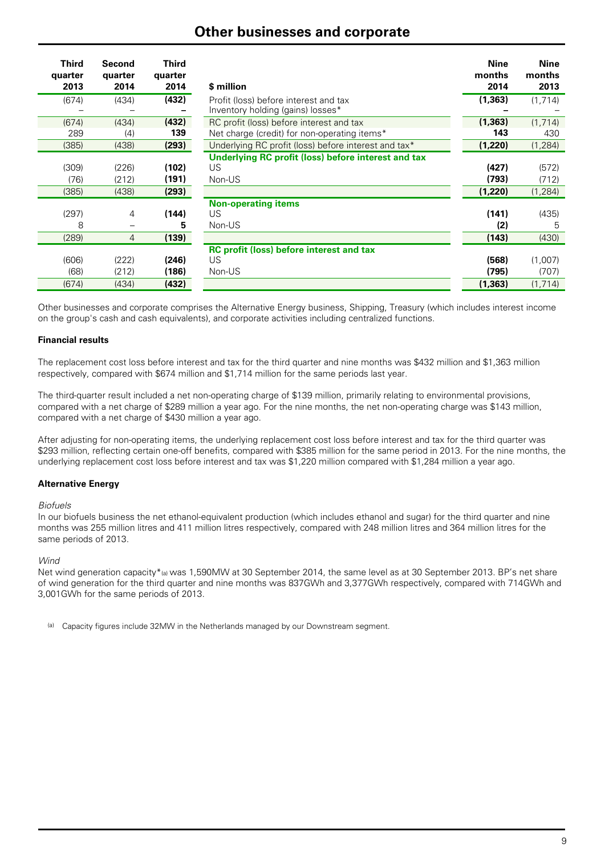### **Other businesses and corporate**

| <b>Third</b><br>quarter<br>2013 | Second<br>quarter<br>2014        | <b>Third</b><br>quarter<br>2014 | \$ million                                                                 | <b>Nine</b><br>months<br>2014 | <b>Nine</b><br>months<br>2013 |
|---------------------------------|----------------------------------|---------------------------------|----------------------------------------------------------------------------|-------------------------------|-------------------------------|
| (674)                           | (434)                            | (432)                           | Profit (loss) before interest and tax<br>Inventory holding (gains) losses* | (1, 363)                      | (1,714)                       |
| (674)                           | (434)                            | (432)                           | RC profit (loss) before interest and tax                                   | (1, 363)                      | (1, 714)                      |
| 289                             | (4)                              | 139                             | Net charge (credit) for non-operating items*                               | 143                           | 430                           |
| (385)                           | (438)                            | (293)                           | Underlying RC profit (loss) before interest and tax*                       | (1,220)                       | (1, 284)                      |
| (309)<br>(76)<br>(385)          | (226)<br>(212)<br>(438)          | (102)<br>(191)<br>(293)         | Underlying RC profit (loss) before interest and tax<br>US.<br>Non-US       | (427)<br>(793)<br>(1,220)     | (572)<br>(712)<br>(1, 284)    |
| (297)<br>8<br>(289)             | $\overline{4}$<br>$\overline{4}$ | (144)<br>5<br>(139)             | <b>Non-operating items</b><br>US<br>Non-US                                 | (141)<br>(2)<br>(143)         | (435)<br>5<br>(430)           |
| (606)<br>(68)<br>(674)          | (222)<br>(212)<br>(434)          | (246)<br>(186)<br>(432)         | <b>RC profit (loss) before interest and tax</b><br>US<br>Non-US            | (568)<br>(795)<br>(1, 363)    | (1,007)<br>(707)<br>(1, 714)  |

Other businesses and corporate comprises the Alternative Energy business, Shipping, Treasury (which includes interest income on the group's cash and cash equivalents), and corporate activities including centralized functions.

#### **Financial results**

The replacement cost loss before interest and tax for the third quarter and nine months was \$432 million and \$1,363 million respectively, compared with \$674 million and \$1,714 million for the same periods last year.

The third-quarter result included a net non-operating charge of \$139 million, primarily relating to environmental provisions, compared with a net charge of \$289 million a year ago. For the nine months, the net non-operating charge was \$143 million, compared with a net charge of \$430 million a year ago.

After adjusting for non-operating items, the underlying replacement cost loss before interest and tax for the third quarter was \$293 million, reflecting certain one-off benefits, compared with \$385 million for the same period in 2013. For the nine months, the underlying replacement cost loss before interest and tax was \$1,220 million compared with \$1,284 million a year ago.

#### **Alternative Energy**

#### *Biofuels*

In our biofuels business the net ethanol-equivalent production (which includes ethanol and sugar) for the third quarter and nine months was 255 million litres and 411 million litres respectively, compared with 248 million litres and 364 million litres for the same periods of 2013.

#### *Wind*

Net wind generation capacity\*(a) was 1,590MW at 30 September 2014, the same level as at 30 September 2013. BP's net share of wind generation for the third quarter and nine months was 837GWh and 3,377GWh respectively, compared with 714GWh and 3,001GWh for the same periods of 2013.

(a) Capacity figures include 32MW in the Netherlands managed by our Downstream segment.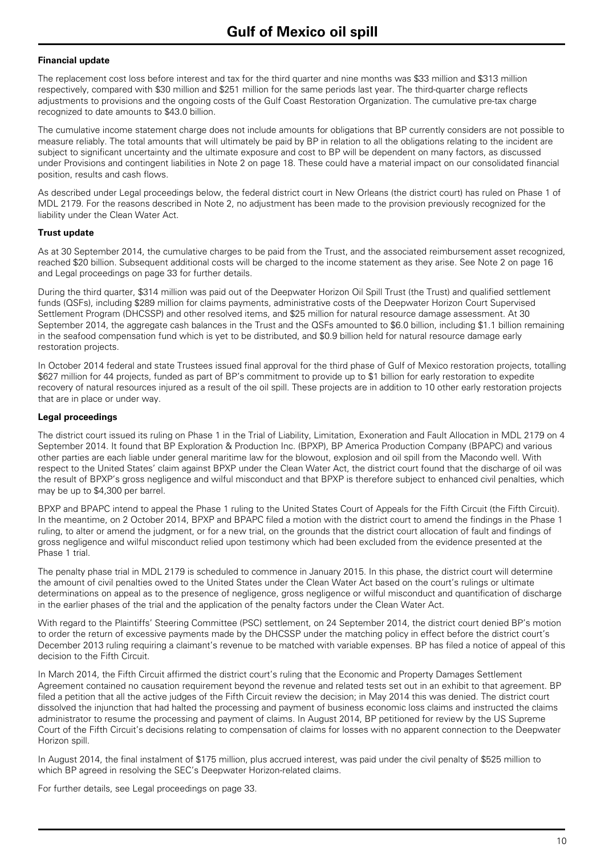#### **Financial update**

The replacement cost loss before interest and tax for the third quarter and nine months was \$33 million and \$313 million respectively, compared with \$30 million and \$251 million for the same periods last year. The third-quarter charge reflects adjustments to provisions and the ongoing costs of the Gulf Coast Restoration Organization. The cumulative pre-tax charge recognized to date amounts to \$43.0 billion.

The cumulative income statement charge does not include amounts for obligations that BP currently considers are not possible to measure reliably. The total amounts that will ultimately be paid by BP in relation to all the obligations relating to the incident are subject to significant uncertainty and the ultimate exposure and cost to BP will be dependent on many factors, as discussed under Provisions and contingent liabilities in Note 2 on page 18. These could have a material impact on our consolidated financial position, results and cash flows.

As described under Legal proceedings below, the federal district court in New Orleans (the district court) has ruled on Phase 1 of MDL 2179. For the reasons described in Note 2, no adjustment has been made to the provision previously recognized for the liability under the Clean Water Act.

#### **Trust update**

As at 30 September 2014, the cumulative charges to be paid from the Trust, and the associated reimbursement asset recognized, reached \$20 billion. Subsequent additional costs will be charged to the income statement as they arise. See Note 2 on page 16 and Legal proceedings on page 33 for further details.

During the third quarter, \$314 million was paid out of the Deepwater Horizon Oil Spill Trust (the Trust) and qualified settlement funds (QSFs), including \$289 million for claims payments, administrative costs of the Deepwater Horizon Court Supervised Settlement Program (DHCSSP) and other resolved items, and \$25 million for natural resource damage assessment. At 30 September 2014, the aggregate cash balances in the Trust and the QSFs amounted to \$6.0 billion, including \$1.1 billion remaining in the seafood compensation fund which is yet to be distributed, and \$0.9 billion held for natural resource damage early restoration projects.

In October 2014 federal and state Trustees issued final approval for the third phase of Gulf of Mexico restoration projects, totalling \$627 million for 44 projects, funded as part of BP's commitment to provide up to \$1 billion for early restoration to expedite recovery of natural resources injured as a result of the oil spill. These projects are in addition to 10 other early restoration projects that are in place or under way.

#### **Legal proceedings**

The district court issued its ruling on Phase 1 in the Trial of Liability, Limitation, Exoneration and Fault Allocation in MDL 2179 on 4 September 2014. It found that BP Exploration & Production Inc. (BPXP), BP America Production Company (BPAPC) and various other parties are each liable under general maritime law for the blowout, explosion and oil spill from the Macondo well. With respect to the United States' claim against BPXP under the Clean Water Act, the district court found that the discharge of oil was the result of BPXP's gross negligence and wilful misconduct and that BPXP is therefore subject to enhanced civil penalties, which may be up to \$4,300 per barrel.

BPXP and BPAPC intend to appeal the Phase 1 ruling to the United States Court of Appeals for the Fifth Circuit (the Fifth Circuit). In the meantime, on 2 October 2014, BPXP and BPAPC filed a motion with the district court to amend the findings in the Phase 1 ruling, to alter or amend the judgment, or for a new trial, on the grounds that the district court allocation of fault and findings of gross negligence and wilful misconduct relied upon testimony which had been excluded from the evidence presented at the Phase 1 trial.

The penalty phase trial in MDL 2179 is scheduled to commence in January 2015. In this phase, the district court will determine the amount of civil penalties owed to the United States under the Clean Water Act based on the court's rulings or ultimate determinations on appeal as to the presence of negligence, gross negligence or wilful misconduct and quantification of discharge in the earlier phases of the trial and the application of the penalty factors under the Clean Water Act.

With regard to the Plaintiffs' Steering Committee (PSC) settlement, on 24 September 2014, the district court denied BP's motion to order the return of excessive payments made by the DHCSSP under the matching policy in effect before the district court's December 2013 ruling requiring a claimant's revenue to be matched with variable expenses. BP has filed a notice of appeal of this decision to the Fifth Circuit.

In March 2014, the Fifth Circuit affirmed the district court's ruling that the Economic and Property Damages Settlement Agreement contained no causation requirement beyond the revenue and related tests set out in an exhibit to that agreement. BP filed a petition that all the active judges of the Fifth Circuit review the decision; in May 2014 this was denied. The district court dissolved the injunction that had halted the processing and payment of business economic loss claims and instructed the claims administrator to resume the processing and payment of claims. In August 2014, BP petitioned for review by the US Supreme Court of the Fifth Circuit's decisions relating to compensation of claims for losses with no apparent connection to the Deepwater Horizon spill.

In August 2014, the final instalment of \$175 million, plus accrued interest, was paid under the civil penalty of \$525 million to which BP agreed in resolving the SEC's Deepwater Horizon-related claims.

For further details, see Legal proceedings on page 33.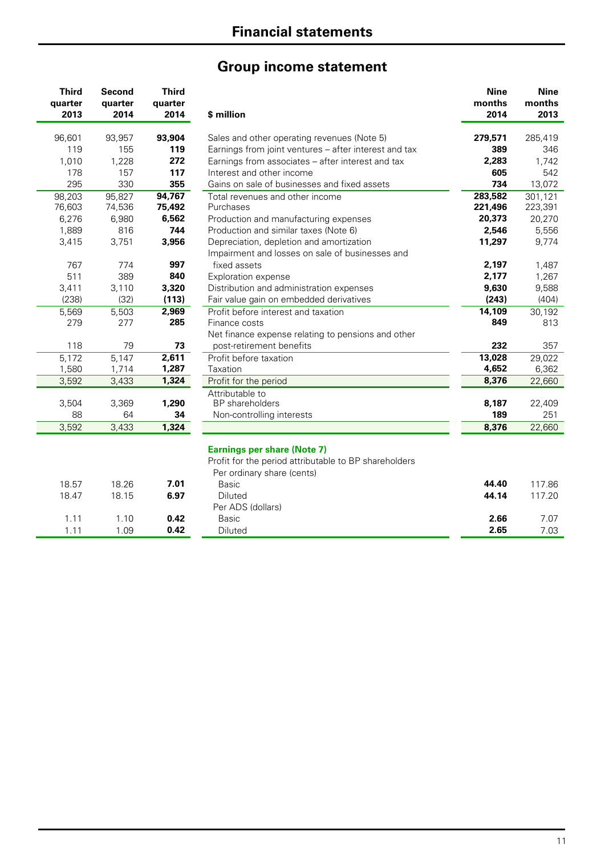# **Group income statement**

| <b>Third</b> | Second  | <b>Third</b> |                                                                                                                           | <b>Nine</b> | <b>Nine</b> |
|--------------|---------|--------------|---------------------------------------------------------------------------------------------------------------------------|-------------|-------------|
| quarter      | quarter | quarter      |                                                                                                                           | months      | months      |
| 2013         | 2014    | 2014         | \$ million                                                                                                                | 2014        | 2013        |
| 96,601       | 93,957  | 93,904       | Sales and other operating revenues (Note 5)                                                                               | 279,571     | 285,419     |
| 119          | 155     | 119          | Earnings from joint ventures - after interest and tax                                                                     | 389         | 346         |
| 1,010        | 1,228   | 272          | Earnings from associates - after interest and tax                                                                         | 2,283       | 1,742       |
| 178          | 157     | 117          | Interest and other income                                                                                                 | 605         | 542         |
| 295          | 330     | 355          | Gains on sale of businesses and fixed assets                                                                              | 734         | 13,072      |
| 98,203       | 95,827  | 94,767       | Total revenues and other income                                                                                           | 283,582     | 301,121     |
| 76,603       | 74,536  | 75,492       | Purchases                                                                                                                 | 221,496     | 223,391     |
| 6,276        | 6,980   | 6,562        | Production and manufacturing expenses                                                                                     | 20,373      | 20,270      |
| 1,889        | 816     | 744          | Production and similar taxes (Note 6)                                                                                     | 2,546       | 5,556       |
| 3,415        | 3,751   | 3,956        | Depreciation, depletion and amortization                                                                                  | 11,297      | 9,774       |
|              |         |              | Impairment and losses on sale of businesses and                                                                           |             |             |
| 767          | 774     | 997          | fixed assets                                                                                                              | 2,197       | 1,487       |
| 511          | 389     | 840          | Exploration expense                                                                                                       | 2,177       | 1,267       |
| 3,411        | 3,110   | 3,320        | Distribution and administration expenses                                                                                  | 9,630       | 9,588       |
| (238)        | (32)    | (113)        | Fair value gain on embedded derivatives                                                                                   | (243)       | (404)       |
| 5,569        | 5,503   | 2,969        | Profit before interest and taxation                                                                                       | 14,109      | 30,192      |
| 279          | 277     | 285          | Finance costs                                                                                                             | 849         | 813         |
|              |         |              | Net finance expense relating to pensions and other                                                                        |             |             |
| 118          | 79      | 73           | post-retirement benefits                                                                                                  | 232         | 357         |
| 5,172        | 5,147   | 2,611        | Profit before taxation                                                                                                    | 13,028      | 29,022      |
| 1,580        | 1,714   | 1,287        | Taxation                                                                                                                  | 4,652       | 6,362       |
| 3,592        | 3,433   | 1,324        | Profit for the period                                                                                                     | 8,376       | 22,660      |
|              |         |              | Attributable to                                                                                                           |             |             |
| 3,504        | 3,369   | 1,290        | <b>BP</b> shareholders                                                                                                    | 8,187       | 22,409      |
| 88           | 64      | 34           | Non-controlling interests                                                                                                 | 189         | 251         |
| 3,592        | 3,433   | 1,324        |                                                                                                                           | 8,376       | 22,660      |
|              |         |              | <b>Earnings per share (Note 7)</b><br>Profit for the period attributable to BP shareholders<br>Per ordinary share (cents) |             |             |
| 18.57        | 18.26   | 7.01         | <b>Basic</b>                                                                                                              | 44.40       | 117.86      |
| 18.47        | 18.15   | 6.97         | <b>Diluted</b>                                                                                                            | 44.14       | 117.20      |
|              |         |              | Per ADS (dollars)                                                                                                         |             |             |
| 1.11         | 1.10    | 0.42         | <b>Basic</b>                                                                                                              | 2.66        | 7.07        |
| 1.11         | 1.09    | 0.42         | Diluted                                                                                                                   | 2.65        | 7.03        |
|              |         |              |                                                                                                                           |             |             |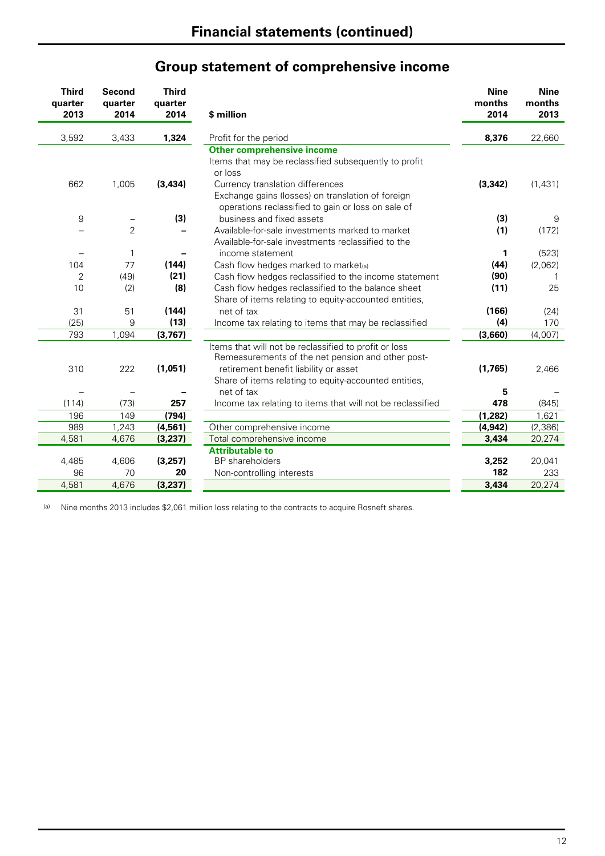|                                 |                           |                                 | Group statement of comprehensive income                                                                                                                                                                      |                               |                               |
|---------------------------------|---------------------------|---------------------------------|--------------------------------------------------------------------------------------------------------------------------------------------------------------------------------------------------------------|-------------------------------|-------------------------------|
| <b>Third</b><br>quarter<br>2013 | Second<br>quarter<br>2014 | <b>Third</b><br>quarter<br>2014 | \$ million                                                                                                                                                                                                   | <b>Nine</b><br>months<br>2014 | <b>Nine</b><br>months<br>2013 |
| 3,592                           | 3,433                     | 1,324                           | Profit for the period                                                                                                                                                                                        | 8,376                         | 22,660                        |
|                                 |                           |                                 | <b>Other comprehensive income</b><br>Items that may be reclassified subsequently to profit<br>or loss                                                                                                        |                               |                               |
| 662                             | 1,005                     | (3, 434)                        | Currency translation differences<br>Exchange gains (losses) on translation of foreign<br>operations reclassified to gain or loss on sale of                                                                  | (3, 342)                      | (1,431)                       |
| $\boldsymbol{9}$                |                           | (3)                             | business and fixed assets                                                                                                                                                                                    | (3)                           | g                             |
|                                 | $\overline{2}$            |                                 | Available-for-sale investments marked to market<br>Available-for-sale investments reclassified to the                                                                                                        | (1)                           | (172)                         |
| $\qquad \qquad -$               | 1                         |                                 | income statement                                                                                                                                                                                             | 1                             | (523)                         |
| 104                             | 77                        | (144)                           | Cash flow hedges marked to market(a)                                                                                                                                                                         | (44)                          | (2,062)                       |
| 2                               | (49)                      | (21)                            | Cash flow hedges reclassified to the income statement                                                                                                                                                        | (90)                          | 1                             |
| 10                              | (2)                       | (8)                             | Cash flow hedges reclassified to the balance sheet<br>Share of items relating to equity-accounted entities,                                                                                                  | (11)                          | 25                            |
| 31                              | 51                        | (144)                           | net of tax                                                                                                                                                                                                   | (166)                         | (24)                          |
| (25)                            | 9                         | (13)                            | Income tax relating to items that may be reclassified                                                                                                                                                        | (4)                           | 170                           |
| 793                             | 1,094                     | (3, 767)                        |                                                                                                                                                                                                              | (3,660)                       | (4,007)                       |
| 310                             | 222                       | (1,051)                         | Items that will not be reclassified to profit or loss<br>Remeasurements of the net pension and other post-<br>retirement benefit liability or asset<br>Share of items relating to equity-accounted entities, | (1,765)                       | 2,466                         |
|                                 |                           |                                 | net of tax                                                                                                                                                                                                   | 5                             |                               |
| (114)                           | (73)                      | 257                             | Income tax relating to items that will not be reclassified                                                                                                                                                   | 478                           | (845)                         |
| 196                             | 149                       | (794)                           |                                                                                                                                                                                                              | (1, 282)                      | 1,621                         |
| 989                             | 1,243                     | (4, 561)                        | Other comprehensive income                                                                                                                                                                                   | (4, 942)                      | (2, 386)                      |
| 4,581                           | 4,676                     | (3, 237)                        | Total comprehensive income                                                                                                                                                                                   | 3,434                         | 20,274                        |
| 4,485                           | 4,606                     | (3,257)                         | <b>Attributable to</b><br><b>BP</b> shareholders                                                                                                                                                             | 3,252                         | 20,041                        |

4,485 4,606 **(3,257)** BP shareholders **3,252** 20,041

4,581 4,676 **(3,237) 3,434** 20,274

Production and the controlling interests and the controlling interests and the controlling interests and the control of the control of the control of the control of the control of the control of the control of the control

### **Group statement of comprehensive income**

(a) Nine months 2013 includes \$2,061 million loss relating to the contracts to acquire Rosneft shares.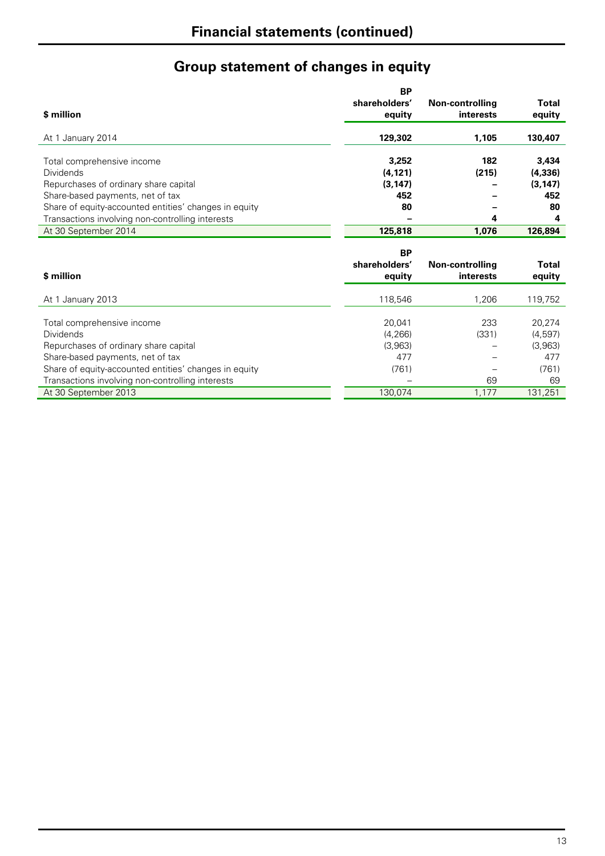# **Group statement of changes in equity**

|                                                       | <b>BP</b>     |                 |              |
|-------------------------------------------------------|---------------|-----------------|--------------|
|                                                       | shareholders' | Non-controlling | <b>Total</b> |
| \$ million                                            | equity        | interests       | equity       |
| At 1 January 2014                                     | 129,302       | 1.105           | 130,407      |
| Total comprehensive income                            | 3.252         | 182             | 3,434        |
| <b>Dividends</b>                                      | (4, 121)      | (215)           | (4, 336)     |
| Repurchases of ordinary share capital                 | (3, 147)      |                 | (3, 147)     |
| Share-based payments, net of tax                      | 452           |                 | 452          |
| Share of equity-accounted entities' changes in equity | 80            |                 | 80           |
| Transactions involving non-controlling interests      |               | 4               | 4            |
| At 30 September 2014                                  | 125,818       | 1.076           | 126,894      |
|                                                       |               |                 |              |

|                                                       | <b>BP</b><br>shareholders' |                                     | <b>Total</b> |
|-------------------------------------------------------|----------------------------|-------------------------------------|--------------|
| \$ million                                            | equity                     | Non-controlling<br><b>interests</b> | equity       |
| At 1 January 2013                                     | 118,546                    | 1.206                               | 119,752      |
|                                                       | 20.041                     | 233                                 | 20,274       |
| Total comprehensive income<br><b>Dividends</b>        | (4, 266)                   | (331)                               | (4,597)      |
| Repurchases of ordinary share capital                 | (3,963)                    |                                     | (3,963)      |
| Share-based payments, net of tax                      | 477                        |                                     | 477          |
| Share of equity-accounted entities' changes in equity | (761)                      |                                     | (761)        |
| Transactions involving non-controlling interests      |                            | 69                                  | 69           |
| At 30 September 2013                                  | 130,074                    | 1.177                               | 131,251      |
|                                                       |                            |                                     |              |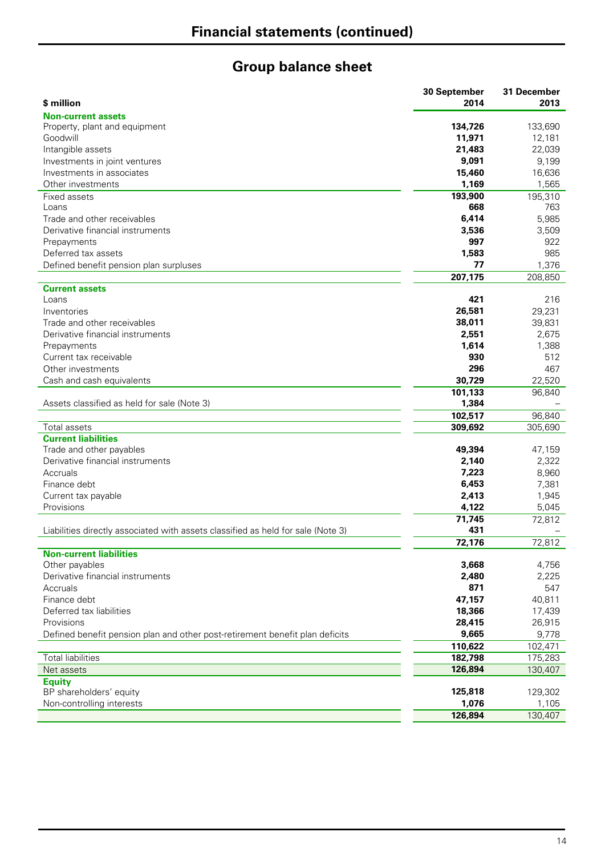# **Group balance sheet**

|                                                                                  | 30 September  | 31 December |
|----------------------------------------------------------------------------------|---------------|-------------|
| \$ million                                                                       | 2014          | 2013        |
| <b>Non-current assets</b>                                                        |               |             |
| Property, plant and equipment                                                    | 134,726       | 133,690     |
| Goodwill                                                                         | 11,971        | 12,181      |
| Intangible assets                                                                | 21,483        | 22,039      |
| Investments in joint ventures                                                    | 9,091         | 9,199       |
| Investments in associates                                                        | 15,460        | 16,636      |
| Other investments                                                                | 1,169         | 1,565       |
| Fixed assets                                                                     | 193,900       | 195,310     |
| Loans                                                                            | 668           | 763         |
| Trade and other receivables                                                      | 6,414         | 5,985       |
| Derivative financial instruments                                                 | 3,536         | 3,509       |
| Prepayments                                                                      | 997           | 922         |
| Deferred tax assets                                                              | 1,583         | 985         |
| Defined benefit pension plan surpluses                                           | 77            | 1,376       |
|                                                                                  | 207,175       | 208,850     |
| <b>Current assets</b>                                                            |               |             |
| Loans                                                                            | 421           | 216         |
| Inventories                                                                      | 26,581        | 29,231      |
| Trade and other receivables                                                      | 38,011        | 39,831      |
| Derivative financial instruments                                                 | 2,551         | 2,675       |
| Prepayments                                                                      | 1,614         | 1,388       |
| Current tax receivable                                                           | 930           | 512         |
| Other investments                                                                | 296           | 467         |
| Cash and cash equivalents                                                        | 30,729        | 22,520      |
|                                                                                  | 101,133       | 96,840      |
| Assets classified as held for sale (Note 3)                                      | 1,384         |             |
|                                                                                  | 102,517       | 96,840      |
| Total assets                                                                     | 309,692       | 305,690     |
| <b>Current liabilities</b>                                                       |               |             |
| Trade and other payables                                                         | 49,394        | 47,159      |
| Derivative financial instruments                                                 | 2,140         | 2,322       |
| Accruals                                                                         | 7,223         | 8,960       |
| Finance debt                                                                     | 6,453         | 7,381       |
| Current tax payable                                                              | 2,413         | 1,945       |
| Provisions                                                                       | 4,122         | 5,045       |
|                                                                                  |               |             |
| Liabilities directly associated with assets classified as held for sale (Note 3) | 71,745<br>431 | 72,812      |
|                                                                                  | 72,176        |             |
| <b>Non-current liabilities</b>                                                   |               | 72,812      |
| Other payables                                                                   | 3,668         | 4,756       |
| Derivative financial instruments                                                 | 2,480         | 2,225       |
|                                                                                  | 871           |             |
| Accruals                                                                         |               | 547         |
| Finance debt                                                                     | 47,157        | 40,811      |
| Deferred tax liabilities                                                         | 18,366        | 17,439      |
| Provisions                                                                       | 28,415        | 26,915      |
| Defined benefit pension plan and other post-retirement benefit plan deficits     | 9,665         | 9,778       |
|                                                                                  | 110,622       | 102,471     |
| <b>Total liabilities</b>                                                         | 182,798       | 175,283     |
| Net assets                                                                       | 126,894       | 130,407     |
| <b>Equity</b>                                                                    |               |             |
| BP shareholders' equity                                                          | 125,818       | 129,302     |
| Non-controlling interests                                                        | 1,076         | 1,105       |
|                                                                                  | 126,894       | 130,407     |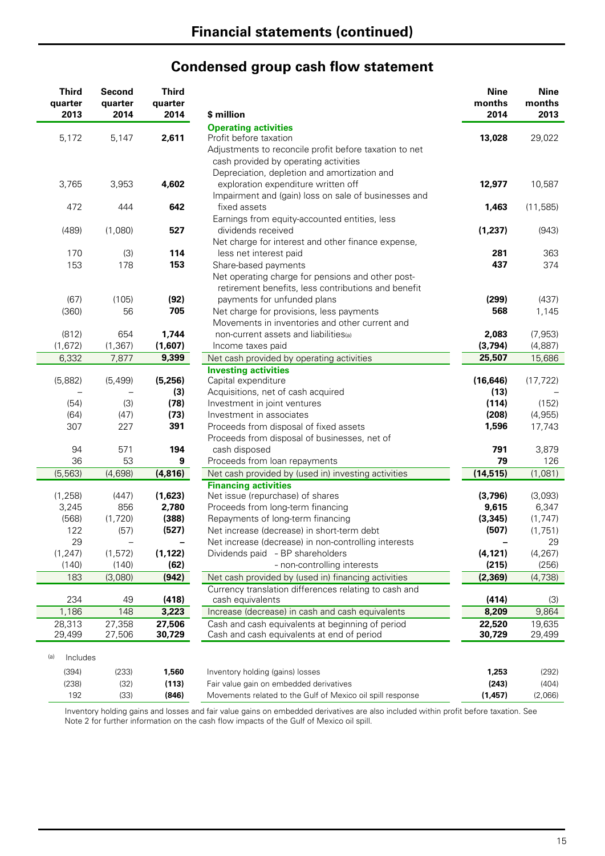# **Condensed group cash flow statement**

|     | <b>Third</b><br>quarter<br>2013 | <b>Second</b><br>quarter<br>2014 | <b>Third</b><br>quarter<br>2014 | \$ million                                                 | <b>Nine</b><br>months<br>2014 | <b>Nine</b><br>months<br>2013 |
|-----|---------------------------------|----------------------------------|---------------------------------|------------------------------------------------------------|-------------------------------|-------------------------------|
|     |                                 |                                  |                                 | <b>Operating activities</b>                                |                               |                               |
|     | 5,172                           | 5,147                            | 2,611                           | Profit before taxation                                     | 13,028                        | 29,022                        |
|     |                                 |                                  |                                 | Adjustments to reconcile profit before taxation to net     |                               |                               |
|     |                                 |                                  |                                 | cash provided by operating activities                      |                               |                               |
|     |                                 |                                  |                                 | Depreciation, depletion and amortization and               |                               |                               |
|     | 3,765                           | 3,953                            | 4,602                           | exploration expenditure written off                        | 12,977                        | 10,587                        |
|     |                                 |                                  |                                 | Impairment and (gain) loss on sale of businesses and       |                               |                               |
|     | 472                             | 444                              | 642                             | fixed assets                                               | 1,463                         | (11, 585)                     |
|     |                                 |                                  |                                 | Earnings from equity-accounted entities, less              |                               |                               |
|     | (489)                           | (1,080)                          | 527                             | dividends received                                         | (1, 237)                      | (943)                         |
|     |                                 |                                  |                                 | Net charge for interest and other finance expense,         |                               |                               |
|     | 170                             | (3)                              | 114                             | less net interest paid                                     | 281                           | 363                           |
|     | 153                             | 178                              | 153                             | Share-based payments                                       | 437                           | 374                           |
|     |                                 |                                  |                                 | Net operating charge for pensions and other post-          |                               |                               |
|     |                                 |                                  |                                 | retirement benefits, less contributions and benefit        |                               |                               |
|     | (67)                            | (105)                            | (92)                            | payments for unfunded plans                                | (299)                         | (437)                         |
|     | (360)                           | 56                               | 705                             | Net charge for provisions, less payments                   | 568                           | 1,145                         |
|     |                                 |                                  |                                 | Movements in inventories and other current and             |                               |                               |
|     | (812)                           | 654                              | 1,744                           | non-current assets and liabilities(a)                      | 2,083                         | (7, 953)                      |
|     | (1,672)                         | (1, 367)                         | (1,607)                         | Income taxes paid                                          | (3,794)                       | (4,887)                       |
|     | 6,332                           | 7,877                            | 9,399                           | Net cash provided by operating activities                  | 25,507                        | 15,686                        |
|     |                                 |                                  |                                 | <b>Investing activities</b>                                |                               |                               |
|     | (5,882)                         | (5, 499)                         | (5,256)                         | Capital expenditure                                        | (16, 646)                     | (17, 722)                     |
|     |                                 |                                  | (3)                             | Acquisitions, net of cash acquired                         | (13)                          |                               |
|     | (54)                            | (3)                              | (78)                            | Investment in joint ventures                               | (114)                         | (152)                         |
|     | (64)                            | (47)                             | (73)                            | Investment in associates                                   | (208)                         | (4,955)                       |
|     | 307                             | 227                              | 391                             | Proceeds from disposal of fixed assets                     | 1,596                         | 17,743                        |
|     |                                 |                                  |                                 | Proceeds from disposal of businesses, net of               |                               |                               |
|     | 94                              | 571                              | 194                             | cash disposed                                              | 791                           | 3,879                         |
|     | 36                              | 53                               | 9                               | Proceeds from loan repayments                              | 79                            | 126                           |
|     | (5, 563)                        | (4,698)                          | (4, 816)                        | Net cash provided by (used in) investing activities        | (14, 515)                     | (1,081)                       |
|     |                                 |                                  |                                 | <b>Financing activities</b>                                |                               |                               |
|     | (1, 258)                        | (447)                            | (1,623)                         | Net issue (repurchase) of shares                           | (3,796)                       | (3,093)                       |
|     | 3,245                           | 856                              | 2,780                           | Proceeds from long-term financing                          | 9,615                         | 6,347                         |
|     | (568)                           | (1,720)                          | (388)                           | Repayments of long-term financing                          | (3, 345)                      | (1, 747)                      |
|     | 122                             | (57)                             | (527)                           | Net increase (decrease) in short-term debt                 | (507)                         | (1,751)                       |
|     | 29                              |                                  |                                 | Net increase (decrease) in non-controlling interests       |                               | 29                            |
|     | (1, 247)                        | (1, 572)                         | (1, 122)                        | Dividends paid - BP shareholders                           | (4, 121)                      | (4, 267)                      |
|     | (140)                           | (140)                            | (62)                            | - non-controlling interests                                | (215)                         | (256)                         |
|     | 183                             | (3,080)                          | (942)                           | Net cash provided by (used in) financing activities        | (2, 369)                      | (4,738)                       |
|     |                                 |                                  |                                 | Currency translation differences relating to cash and      |                               |                               |
|     | 234                             | 49                               | (418)                           | cash equivalents                                           | (414)                         | (3)                           |
|     | 1,186                           | 148                              | 3,223                           | Increase (decrease) in cash and cash equivalents           | 8,209                         | 9,864                         |
|     | 28,313                          | 27,358                           | 27,506                          | Cash and cash equivalents at beginning of period           | 22,520                        | 19,635                        |
|     | 29,499                          | 27,506                           | 30,729                          | Cash and cash equivalents at end of period                 | 30,729                        | 29,499                        |
|     |                                 |                                  |                                 |                                                            |                               |                               |
| (a) | Includes                        |                                  |                                 |                                                            |                               |                               |
|     | (394)                           | (233)                            | 1,560                           | Inventory holding (gains) losses                           | 1,253                         | (292)                         |
|     | (238)                           | (32)                             | (113)                           | Fair value gain on embedded derivatives                    | (243)                         | (404)                         |
|     | 192                             | (33)                             | (846)                           | Movements related to the Gulf of Mexico oil spill response | (1, 457)                      | (2,066)                       |
|     |                                 |                                  |                                 |                                                            |                               |                               |

Inventory holding gains and losses and fair value gains on embedded derivatives are also included within profit before taxation. See Note 2 for further information on the cash flow impacts of the Gulf of Mexico oil spill.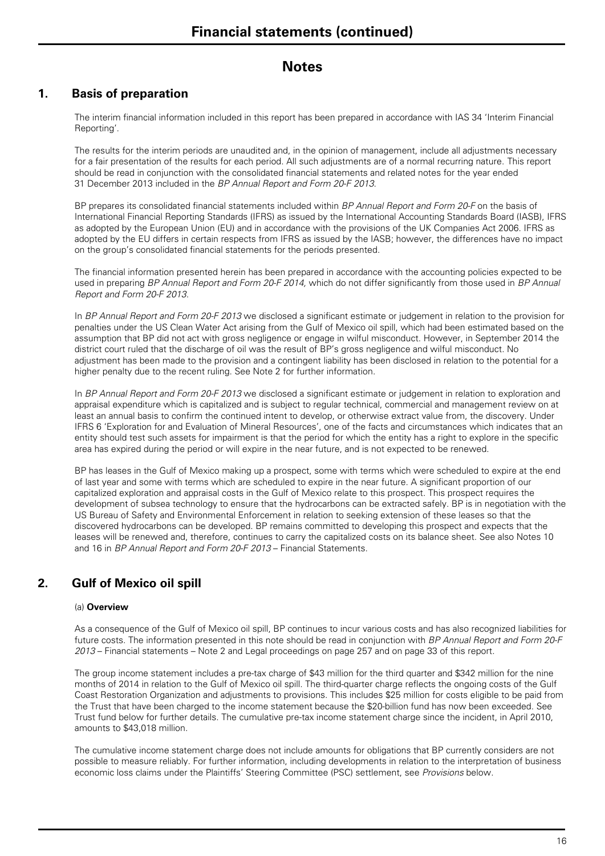### **1. Basis of preparation**

The interim financial information included in this report has been prepared in accordance with IAS 34 'Interim Financial Reporting'.

The results for the interim periods are unaudited and, in the opinion of management, include all adjustments necessary for a fair presentation of the results for each period. All such adjustments are of a normal recurring nature. This report should be read in conjunction with the consolidated financial statements and related notes for the year ended 31 December 2013 included in the *BP Annual Report and Form 20-F 2013*.

BP prepares its consolidated financial statements included within *BP Annual Report and Form 20-F* on the basis of International Financial Reporting Standards (IFRS) as issued by the International Accounting Standards Board (IASB), IFRS as adopted by the European Union (EU) and in accordance with the provisions of the UK Companies Act 2006. IFRS as adopted by the EU differs in certain respects from IFRS as issued by the IASB; however, the differences have no impact on the group's consolidated financial statements for the periods presented.

The financial information presented herein has been prepared in accordance with the accounting policies expected to be used in preparing *BP Annual Report and Form 20-F 2014,* which do not differ significantly from those used in *BP Annual Report and Form 20-F 2013*.

In *BP Annual Report and Form 20-F 2013* we disclosed a significant estimate or judgement in relation to the provision for penalties under the US Clean Water Act arising from the Gulf of Mexico oil spill, which had been estimated based on the assumption that BP did not act with gross negligence or engage in wilful misconduct. However, in September 2014 the district court ruled that the discharge of oil was the result of BP's gross negligence and wilful misconduct. No adjustment has been made to the provision and a contingent liability has been disclosed in relation to the potential for a higher penalty due to the recent ruling. See Note 2 for further information.

In *BP Annual Report and Form 20-F 2013* we disclosed a significant estimate or judgement in relation to exploration and appraisal expenditure which is capitalized and is subject to regular technical, commercial and management review on at least an annual basis to confirm the continued intent to develop, or otherwise extract value from, the discovery. Under IFRS 6 'Exploration for and Evaluation of Mineral Resources', one of the facts and circumstances which indicates that an entity should test such assets for impairment is that the period for which the entity has a right to explore in the specific area has expired during the period or will expire in the near future, and is not expected to be renewed.

BP has leases in the Gulf of Mexico making up a prospect, some with terms which were scheduled to expire at the end of last year and some with terms which are scheduled to expire in the near future. A significant proportion of our capitalized exploration and appraisal costs in the Gulf of Mexico relate to this prospect. This prospect requires the development of subsea technology to ensure that the hydrocarbons can be extracted safely. BP is in negotiation with the US Bureau of Safety and Environmental Enforcement in relation to seeking extension of these leases so that the discovered hydrocarbons can be developed. BP remains committed to developing this prospect and expects that the leases will be renewed and, therefore, continues to carry the capitalized costs on its balance sheet. See also Notes 10 and 16 in *BP Annual Report and Form 20-F 2013* – Financial Statements.

### **2. Gulf of Mexico oil spill**

#### (a) **Overview**

As a consequence of the Gulf of Mexico oil spill, BP continues to incur various costs and has also recognized liabilities for future costs. The information presented in this note should be read in conjunction with *BP Annual Report and Form 20-F 2013* – Financial statements – Note 2 and Legal proceedings on page 257 and on page 33 of this report.

The group income statement includes a pre-tax charge of \$43 million for the third quarter and \$342 million for the nine months of 2014 in relation to the Gulf of Mexico oil spill. The third-quarter charge reflects the ongoing costs of the Gulf Coast Restoration Organization and adjustments to provisions. This includes \$25 million for costs eligible to be paid from the Trust that have been charged to the income statement because the \$20-billion fund has now been exceeded. See Trust fund below for further details. The cumulative pre-tax income statement charge since the incident, in April 2010, amounts to \$43,018 million.

The cumulative income statement charge does not include amounts for obligations that BP currently considers are not possible to measure reliably. For further information, including developments in relation to the interpretation of business economic loss claims under the Plaintiffs' Steering Committee (PSC) settlement, see *Provisions* below.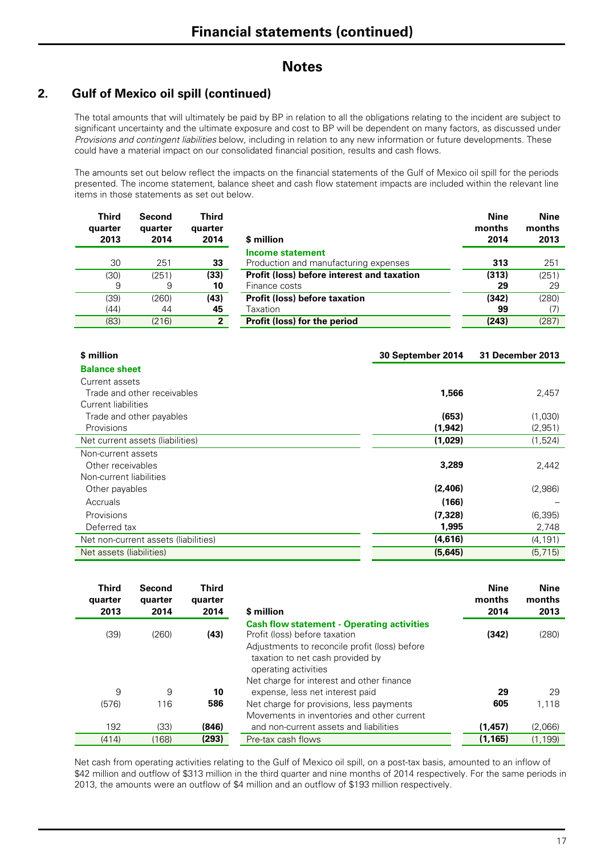### **2. Gulf of Mexico oil spill (continued)**

The total amounts that will ultimately be paid by BP in relation to all the obligations relating to the incident are subject to significant uncertainty and the ultimate exposure and cost to BP will be dependent on many factors, as discussed under *Provisions and contingent liabilities* below, including in relation to any new information or future developments. These could have a material impact on our consolidated financial position, results and cash flows.

The amounts set out below reflect the impacts on the financial statements of the Gulf of Mexico oil spill for the periods presented. The income statement, balance sheet and cash flow statement impacts are included within the relevant line items in those statements as set out below.

| <b>Third</b><br>quarter<br>2013 | Second<br>quarter<br>2014 | Third<br>quarter<br>2014 | \$ million                                 | <b>Nine</b><br>months<br>2014 | Nine<br>months<br>2013 |
|---------------------------------|---------------------------|--------------------------|--------------------------------------------|-------------------------------|------------------------|
|                                 |                           |                          | <b>Income statement</b>                    |                               |                        |
| 30                              | 251                       | 33                       | Production and manufacturing expenses      | 313                           | 251                    |
| (30)                            | (251)                     | (33)                     | Profit (loss) before interest and taxation | (313)                         | (251)                  |
| 9                               | 9                         | 10                       | Finance costs                              | 29                            | 29                     |
| (39)                            | (260)                     | (43)                     | <b>Profit (loss) before taxation</b>       | (342)                         | (280)                  |
| (44)                            | 44                        | 45                       | Taxation                                   | 99                            | (7)                    |
| (83)                            | (216)                     | $\overline{2}$           | Profit (loss) for the period               | (243)                         | (287)                  |

| \$ million                           | 30 September 2014 | <b>31 December 2013</b> |
|--------------------------------------|-------------------|-------------------------|
| <b>Balance sheet</b>                 |                   |                         |
| Current assets                       |                   |                         |
| Trade and other receivables          | 1,566             | 2,457                   |
| Current liabilities                  |                   |                         |
| Trade and other payables             | (653)             | (1,030)                 |
| <b>Provisions</b>                    | (1,942)           | (2,951)                 |
| Net current assets (liabilities)     | (1,029)           | (1,524)                 |
| Non-current assets                   |                   |                         |
| Other receivables                    | 3,289             | 2,442                   |
| Non-current liabilities              |                   |                         |
| Other payables                       | (2,406)           | (2,986)                 |
| Accruals                             | (166)             |                         |
| Provisions                           | (7, 328)          | (6, 395)                |
| Deferred tax                         | 1,995             | 2,748                   |
| Net non-current assets (liabilities) | (4,616)           | (4, 191)                |
| Net assets (liabilities)             | (5,645)           | (5, 715)                |

| <b>Third</b><br>quarter<br>2013 | Second<br>quarter<br>2014 | <b>Third</b><br>quarter<br>2014 | \$ million                                                                                                                                                                                                                                   | <b>Nine</b><br>months<br>2014 | <b>Nine</b><br>months<br>2013 |
|---------------------------------|---------------------------|---------------------------------|----------------------------------------------------------------------------------------------------------------------------------------------------------------------------------------------------------------------------------------------|-------------------------------|-------------------------------|
| (39)                            | (260)                     | (43)                            | <b>Cash flow statement - Operating activities</b><br>Profit (loss) before taxation<br>Adjustments to reconcile profit (loss) before<br>taxation to net cash provided by<br>operating activities<br>Net charge for interest and other finance | (342)                         | (280)                         |
| 9                               | 9                         | 10                              | expense, less net interest paid                                                                                                                                                                                                              | 29                            | 29                            |
| (576)                           | 116                       | 586                             | Net charge for provisions, less payments<br>Movements in inventories and other current                                                                                                                                                       | 605                           | 1.118                         |
| 192                             | (33)                      | (846)                           | and non-current assets and liabilities                                                                                                                                                                                                       | (1, 457)                      | (2,066)                       |
| (414)                           | (168)                     | (293)                           | Pre-tax cash flows                                                                                                                                                                                                                           | (1, 165)                      | (1, 199)                      |

Net cash from operating activities relating to the Gulf of Mexico oil spill, on a post-tax basis, amounted to an inflow of \$42 million and outflow of \$313 million in the third quarter and nine months of 2014 respectively. For the same periods in 2013, the amounts were an outflow of \$4 million and an outflow of \$193 million respectively.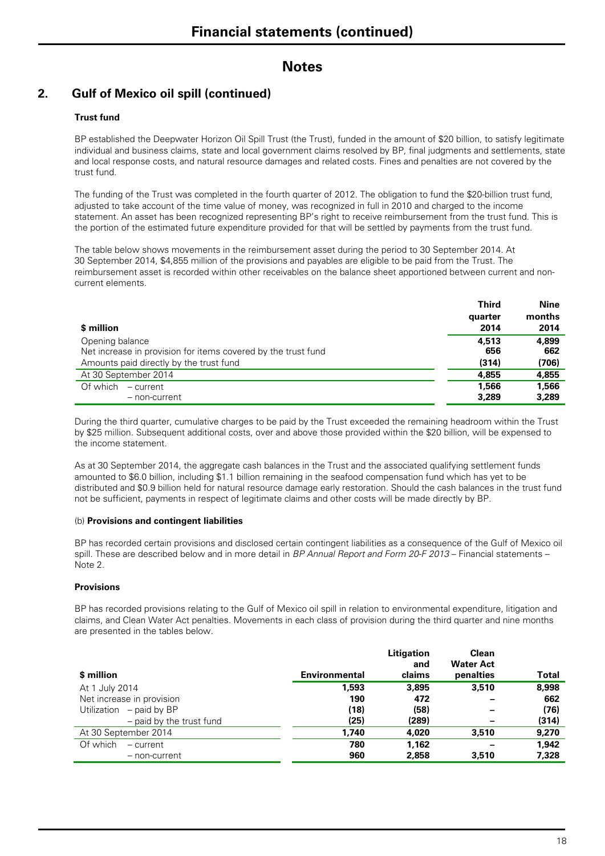### **2. Gulf of Mexico oil spill (continued)**

#### **Trust fund**

BP established the Deepwater Horizon Oil Spill Trust (the Trust), funded in the amount of \$20 billion, to satisfy legitimate individual and business claims, state and local government claims resolved by BP, final judgments and settlements, state and local response costs, and natural resource damages and related costs. Fines and penalties are not covered by the trust fund.

The funding of the Trust was completed in the fourth quarter of 2012. The obligation to fund the \$20-billion trust fund, adjusted to take account of the time value of money, was recognized in full in 2010 and charged to the income statement. An asset has been recognized representing BP's right to receive reimbursement from the trust fund. This is the portion of the estimated future expenditure provided for that will be settled by payments from the trust fund.

The table below shows movements in the reimbursement asset during the period to 30 September 2014. At 30 September 2014, \$4,855 million of the provisions and payables are eligible to be paid from the Trust. The reimbursement asset is recorded within other receivables on the balance sheet apportioned between current and noncurrent elements.

|                                                               | <b>Third</b> | Nine   |
|---------------------------------------------------------------|--------------|--------|
|                                                               | quarter      | months |
| \$ million                                                    | 2014         | 2014   |
| Opening balance                                               | 4.513        | 4.899  |
| Net increase in provision for items covered by the trust fund | 656          | 662    |
| Amounts paid directly by the trust fund                       | (314)        | (706)  |
| At 30 September 2014                                          | 4.855        | 4,855  |
| Of which $-$ current                                          | 1.566        | 1.566  |
| - non-current                                                 | 3,289        | 3,289  |

During the third quarter, cumulative charges to be paid by the Trust exceeded the remaining headroom within the Trust by \$25 million. Subsequent additional costs, over and above those provided within the \$20 billion, will be expensed to the income statement.

As at 30 September 2014, the aggregate cash balances in the Trust and the associated qualifying settlement funds amounted to \$6.0 billion, including \$1.1 billion remaining in the seafood compensation fund which has yet to be distributed and \$0.9 billion held for natural resource damage early restoration. Should the cash balances in the trust fund not be sufficient, payments in respect of legitimate claims and other costs will be made directly by BP.

#### (b) **Provisions and contingent liabilities**

BP has recorded certain provisions and disclosed certain contingent liabilities as a consequence of the Gulf of Mexico oil spill. These are described below and in more detail in *BP Annual Report and Form 20-F 2013* – Financial statements – Note 2.

#### **Provisions**

BP has recorded provisions relating to the Gulf of Mexico oil spill in relation to environmental expenditure, litigation and claims, and Clean Water Act penalties. Movements in each class of provision during the third quarter and nine months are presented in the tables below.

| \$ million                 | Environmental | Litigation<br>and<br>claims | <b>Clean</b><br><b>Water Act</b><br>penalties | Total |
|----------------------------|---------------|-----------------------------|-----------------------------------------------|-------|
| At 1 July 2014             | 1.593         | 3.895                       | 3,510                                         | 8,998 |
| Net increase in provision  | 190           | 472                         |                                               | 662   |
| Utilization $-$ paid by BP | (18)          | (58)                        |                                               | (76)  |
| - paid by the trust fund   | (25)          | (289)                       |                                               | (314) |
| At 30 September 2014       | 1.740         | 4.020                       | 3.510                                         | 9,270 |
| Of which<br>$-$ current    | 780           | 1.162                       |                                               | 1.942 |
| - non-current              | 960           | 2,858                       | 3,510                                         | 7,328 |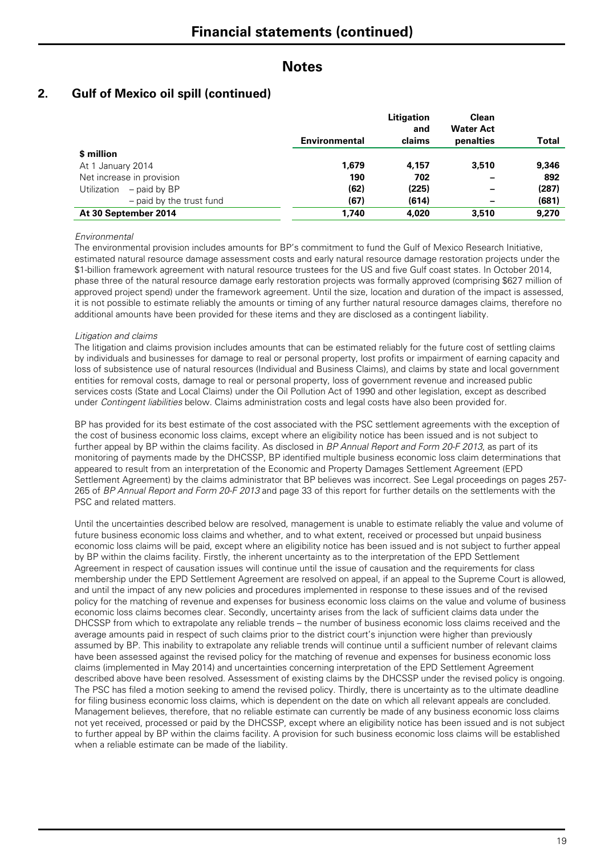### **2. Gulf of Mexico oil spill (continued)**

|                             |                      | Litigation | Clean            |              |
|-----------------------------|----------------------|------------|------------------|--------------|
|                             |                      | and        | <b>Water Act</b> |              |
|                             | <b>Environmental</b> | claims     | penalties        | <b>Total</b> |
| \$ million                  |                      |            |                  |              |
| At 1 January 2014           | 1.679                | 4.157      | 3.510            | 9,346        |
| Net increase in provision   | 190                  | 702        |                  | 892          |
| – paid by BP<br>Utilization | (62)                 | (225)      |                  | (287)        |
| - paid by the trust fund    | (67)                 | (614)      |                  | (681)        |
| At 30 September 2014        | 1.740                | 4,020      | 3.510            | 9,270        |

#### *Environmental*

The environmental provision includes amounts for BP's commitment to fund the Gulf of Mexico Research Initiative, estimated natural resource damage assessment costs and early natural resource damage restoration projects under the \$1-billion framework agreement with natural resource trustees for the US and five Gulf coast states. In October 2014, phase three of the natural resource damage early restoration projects was formally approved (comprising \$627 million of approved project spend) under the framework agreement. Until the size, location and duration of the impact is assessed, it is not possible to estimate reliably the amounts or timing of any further natural resource damages claims, therefore no additional amounts have been provided for these items and they are disclosed as a contingent liability.

#### *Litigation and claims*

The litigation and claims provision includes amounts that can be estimated reliably for the future cost of settling claims by individuals and businesses for damage to real or personal property, lost profits or impairment of earning capacity and loss of subsistence use of natural resources (Individual and Business Claims), and claims by state and local government entities for removal costs, damage to real or personal property, loss of government revenue and increased public services costs (State and Local Claims) under the Oil Pollution Act of 1990 and other legislation, except as described under *Contingent liabilities* below. Claims administration costs and legal costs have also been provided for.

BP has provided for its best estimate of the cost associated with the PSC settlement agreements with the exception of the cost of business economic loss claims, except where an eligibility notice has been issued and is not subject to further appeal by BP within the claims facility. As disclosed in *BP Annual Report and Form 20-F 2013*, as part of its monitoring of payments made by the DHCSSP, BP identified multiple business economic loss claim determinations that appeared to result from an interpretation of the Economic and Property Damages Settlement Agreement (EPD Settlement Agreement) by the claims administrator that BP believes was incorrect. See Legal proceedings on pages 257- 265 of *BP Annual Report and Form 20-F 2013* and page 33 of this report for further details on the settlements with the PSC and related matters.

Until the uncertainties described below are resolved, management is unable to estimate reliably the value and volume of future business economic loss claims and whether, and to what extent, received or processed but unpaid business economic loss claims will be paid, except where an eligibility notice has been issued and is not subject to further appeal by BP within the claims facility. Firstly, the inherent uncertainty as to the interpretation of the EPD Settlement Agreement in respect of causation issues will continue until the issue of causation and the requirements for class membership under the EPD Settlement Agreement are resolved on appeal, if an appeal to the Supreme Court is allowed, and until the impact of any new policies and procedures implemented in response to these issues and of the revised policy for the matching of revenue and expenses for business economic loss claims on the value and volume of business economic loss claims becomes clear. Secondly, uncertainty arises from the lack of sufficient claims data under the DHCSSP from which to extrapolate any reliable trends – the number of business economic loss claims received and the average amounts paid in respect of such claims prior to the district court's injunction were higher than previously assumed by BP. This inability to extrapolate any reliable trends will continue until a sufficient number of relevant claims have been assessed against the revised policy for the matching of revenue and expenses for business economic loss claims (implemented in May 2014) and uncertainties concerning interpretation of the EPD Settlement Agreement described above have been resolved. Assessment of existing claims by the DHCSSP under the revised policy is ongoing. The PSC has filed a motion seeking to amend the revised policy. Thirdly, there is uncertainty as to the ultimate deadline for filing business economic loss claims, which is dependent on the date on which all relevant appeals are concluded. Management believes, therefore, that no reliable estimate can currently be made of any business economic loss claims not yet received, processed or paid by the DHCSSP, except where an eligibility notice has been issued and is not subject to further appeal by BP within the claims facility. A provision for such business economic loss claims will be established when a reliable estimate can be made of the liability.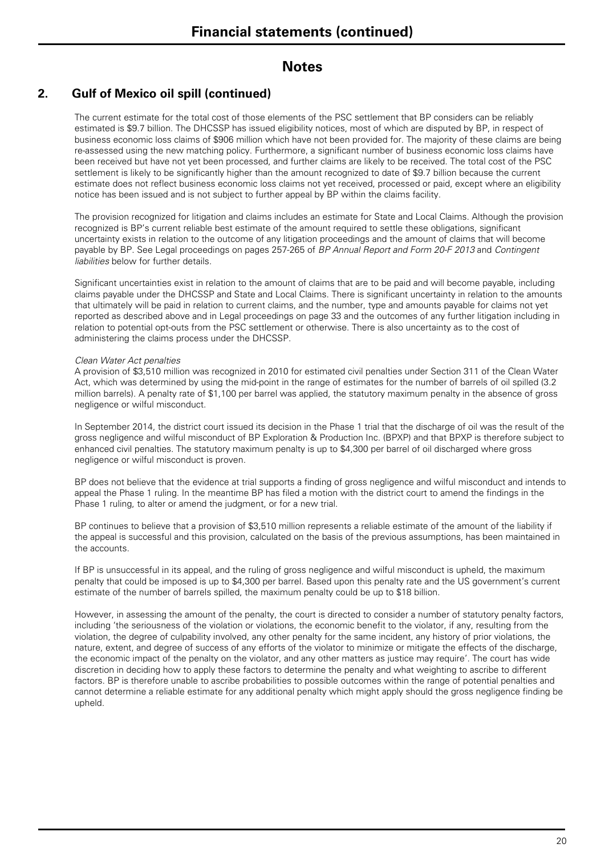### **2. Gulf of Mexico oil spill (continued)**

The current estimate for the total cost of those elements of the PSC settlement that BP considers can be reliably estimated is \$9.7 billion. The DHCSSP has issued eligibility notices, most of which are disputed by BP, in respect of business economic loss claims of \$906 million which have not been provided for. The majority of these claims are being re-assessed using the new matching policy. Furthermore, a significant number of business economic loss claims have been received but have not yet been processed, and further claims are likely to be received. The total cost of the PSC settlement is likely to be significantly higher than the amount recognized to date of \$9.7 billion because the current estimate does not reflect business economic loss claims not yet received, processed or paid, except where an eligibility notice has been issued and is not subject to further appeal by BP within the claims facility.

The provision recognized for litigation and claims includes an estimate for State and Local Claims. Although the provision recognized is BP's current reliable best estimate of the amount required to settle these obligations, significant uncertainty exists in relation to the outcome of any litigation proceedings and the amount of claims that will become payable by BP. See Legal proceedings on pages 257-265 of *BP Annual Report and Form 20-F 2013* and *Contingent liabilities* below for further details*.*

Significant uncertainties exist in relation to the amount of claims that are to be paid and will become payable, including claims payable under the DHCSSP and State and Local Claims. There is significant uncertainty in relation to the amounts that ultimately will be paid in relation to current claims, and the number, type and amounts payable for claims not yet reported as described above and in Legal proceedings on page 33 and the outcomes of any further litigation including in relation to potential opt-outs from the PSC settlement or otherwise. There is also uncertainty as to the cost of administering the claims process under the DHCSSP.

#### *Clean Water Act penalties*

A provision of \$3,510 million was recognized in 2010 for estimated civil penalties under Section 311 of the Clean Water Act, which was determined by using the mid-point in the range of estimates for the number of barrels of oil spilled (3.2 million barrels). A penalty rate of \$1,100 per barrel was applied, the statutory maximum penalty in the absence of gross negligence or wilful misconduct.

In September 2014, the district court issued its decision in the Phase 1 trial that the discharge of oil was the result of the gross negligence and wilful misconduct of BP Exploration & Production Inc. (BPXP) and that BPXP is therefore subject to enhanced civil penalties. The statutory maximum penalty is up to \$4,300 per barrel of oil discharged where gross negligence or wilful misconduct is proven.

BP does not believe that the evidence at trial supports a finding of gross negligence and wilful misconduct and intends to appeal the Phase 1 ruling. In the meantime BP has filed a motion with the district court to amend the findings in the Phase 1 ruling, to alter or amend the judgment, or for a new trial.

BP continues to believe that a provision of \$3,510 million represents a reliable estimate of the amount of the liability if the appeal is successful and this provision, calculated on the basis of the previous assumptions, has been maintained in the accounts.

If BP is unsuccessful in its appeal, and the ruling of gross negligence and wilful misconduct is upheld, the maximum penalty that could be imposed is up to \$4,300 per barrel. Based upon this penalty rate and the US government's current estimate of the number of barrels spilled, the maximum penalty could be up to \$18 billion.

However, in assessing the amount of the penalty, the court is directed to consider a number of statutory penalty factors, including 'the seriousness of the violation or violations, the economic benefit to the violator, if any, resulting from the violation, the degree of culpability involved, any other penalty for the same incident, any history of prior violations, the nature, extent, and degree of success of any efforts of the violator to minimize or mitigate the effects of the discharge, the economic impact of the penalty on the violator, and any other matters as justice may require'. The court has wide discretion in deciding how to apply these factors to determine the penalty and what weighting to ascribe to different factors. BP is therefore unable to ascribe probabilities to possible outcomes within the range of potential penalties and cannot determine a reliable estimate for any additional penalty which might apply should the gross negligence finding be upheld.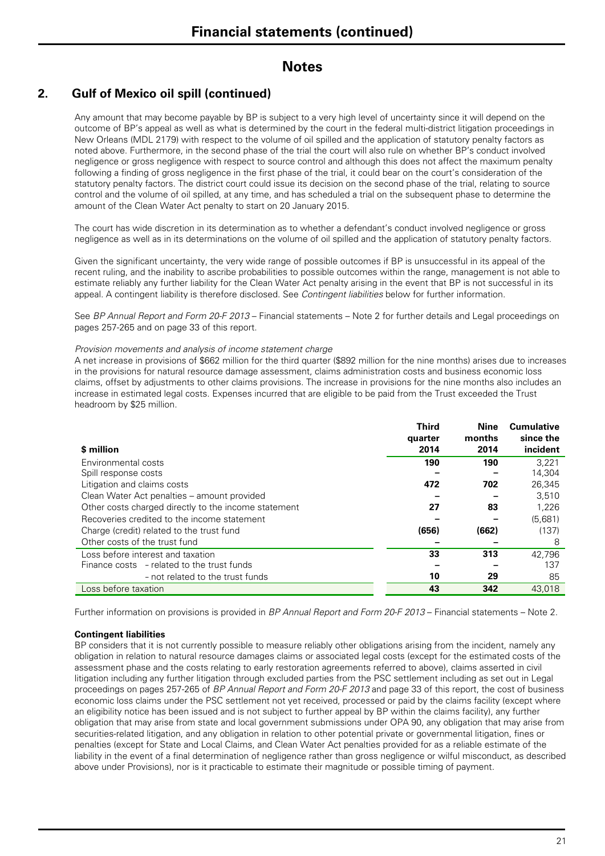### **2. Gulf of Mexico oil spill (continued)**

Any amount that may become payable by BP is subject to a very high level of uncertainty since it will depend on the outcome of BP's appeal as well as what is determined by the court in the federal multi-district litigation proceedings in New Orleans (MDL 2179) with respect to the volume of oil spilled and the application of statutory penalty factors as noted above. Furthermore, in the second phase of the trial the court will also rule on whether BP's conduct involved negligence or gross negligence with respect to source control and although this does not affect the maximum penalty following a finding of gross negligence in the first phase of the trial, it could bear on the court's consideration of the statutory penalty factors. The district court could issue its decision on the second phase of the trial, relating to source control and the volume of oil spilled, at any time, and has scheduled a trial on the subsequent phase to determine the amount of the Clean Water Act penalty to start on 20 January 2015.

The court has wide discretion in its determination as to whether a defendant's conduct involved negligence or gross negligence as well as in its determinations on the volume of oil spilled and the application of statutory penalty factors.

Given the significant uncertainty, the very wide range of possible outcomes if BP is unsuccessful in its appeal of the recent ruling, and the inability to ascribe probabilities to possible outcomes within the range, management is not able to estimate reliably any further liability for the Clean Water Act penalty arising in the event that BP is not successful in its appeal. A contingent liability is therefore disclosed. See *Contingent liabilities* below for further information.

See *BP Annual Report and Form 20-F 2013* – Financial statements – Note 2 for further details and Legal proceedings on pages 257-265 and on page 33 of this report.

#### *Provision movements and analysis of income statement charge*

A net increase in provisions of \$662 million for the third quarter (\$892 million for the nine months) arises due to increases in the provisions for natural resource damage assessment, claims administration costs and business economic loss claims, offset by adjustments to other claims provisions. The increase in provisions for the nine months also includes an increase in estimated legal costs. Expenses incurred that are eligible to be paid from the Trust exceeded the Trust headroom by \$25 million.

| \$ million                                           | <b>Third</b><br>quarter<br>2014 | <b>Nine</b><br>months<br>2014 | <b>Cumulative</b><br>since the<br>incident |
|------------------------------------------------------|---------------------------------|-------------------------------|--------------------------------------------|
| Environmental costs                                  | 190                             | 190                           | 3.221                                      |
| Spill response costs                                 |                                 |                               | 14,304                                     |
| Litigation and claims costs                          | 472                             | 702                           | 26,345                                     |
| Clean Water Act penalties - amount provided          |                                 |                               | 3,510                                      |
| Other costs charged directly to the income statement | 27                              | 83                            | 1.226                                      |
| Recoveries credited to the income statement          |                                 |                               | (5,681)                                    |
| Charge (credit) related to the trust fund            | (656)                           | (662)                         | (137)                                      |
| Other costs of the trust fund                        |                                 |                               | 8                                          |
| Loss before interest and taxation                    | 33                              | 313                           | 42.796                                     |
| Finance costs - related to the trust funds           |                                 |                               | 137                                        |
| - not related to the trust funds                     | 10                              | 29                            | 85                                         |
| Loss before taxation                                 | 43                              | 342                           | 43,018                                     |

Further information on provisions is provided in *BP Annual Report and Form 20-F 2013* – Financial statements – Note 2.

#### **Contingent liabilities**

BP considers that it is not currently possible to measure reliably other obligations arising from the incident, namely any obligation in relation to natural resource damages claims or associated legal costs (except for the estimated costs of the assessment phase and the costs relating to early restoration agreements referred to above), claims asserted in civil litigation including any further litigation through excluded parties from the PSC settlement including as set out in Legal proceedings on pages 257-265 of *BP Annual Report and Form 20-F 2013* and page 33 of this report, the cost of business economic loss claims under the PSC settlement not yet received, processed or paid by the claims facility (except where an eligibility notice has been issued and is not subject to further appeal by BP within the claims facility), any further obligation that may arise from state and local government submissions under OPA 90, any obligation that may arise from securities-related litigation, and any obligation in relation to other potential private or governmental litigation, fines or penalties (except for State and Local Claims, and Clean Water Act penalties provided for as a reliable estimate of the liability in the event of a final determination of negligence rather than gross negligence or wilful misconduct, as described above under Provisions), nor is it practicable to estimate their magnitude or possible timing of payment.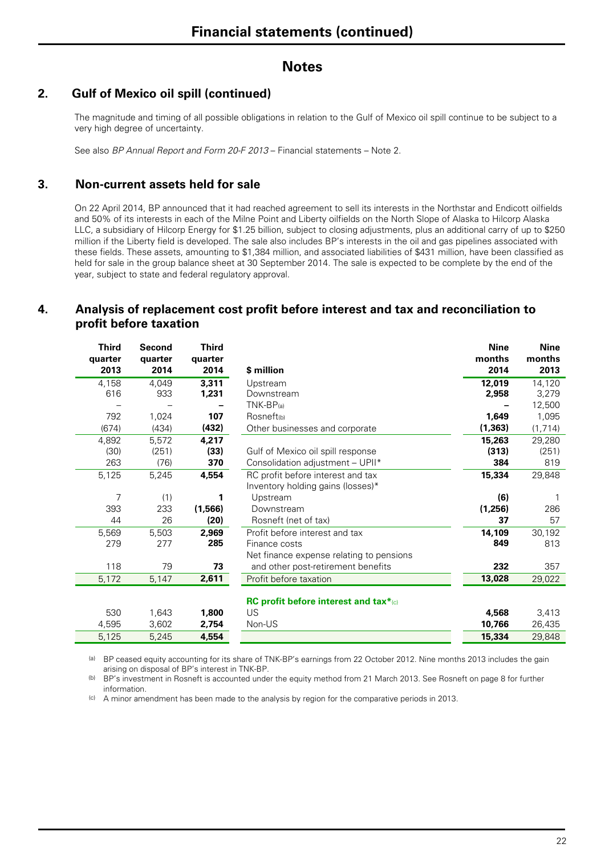### **2. Gulf of Mexico oil spill (continued)**

The magnitude and timing of all possible obligations in relation to the Gulf of Mexico oil spill continue to be subject to a very high degree of uncertainty.

See also *BP Annual Report and Form 20-F 2013* – Financial statements – Note 2.

#### **3. Non-current assets held for sale**

On 22 April 2014, BP announced that it had reached agreement to sell its interests in the Northstar and Endicott oilfields and 50% of its interests in each of the Milne Point and Liberty oilfields on the North Slope of Alaska to Hilcorp Alaska LLC, a subsidiary of Hilcorp Energy for \$1.25 billion, subject to closing adjustments, plus an additional carry of up to \$250 million if the Liberty field is developed. The sale also includes BP's interests in the oil and gas pipelines associated with these fields. These assets, amounting to \$1,384 million, and associated liabilities of \$431 million, have been classified as held for sale in the group balance sheet at 30 September 2014. The sale is expected to be complete by the end of the year, subject to state and federal regulatory approval.

### **4. Analysis of replacement cost profit before interest and tax and reconciliation to profit before taxation**

| Third<br>quarter<br>2013 | Second<br>quarter<br>2014 | Third<br>quarter<br>2014 | \$ million                               | <b>Nine</b><br>months<br>2014 | <b>Nine</b><br>months<br>2013 |
|--------------------------|---------------------------|--------------------------|------------------------------------------|-------------------------------|-------------------------------|
| 4,158                    | 4,049                     | 3,311                    | Upstream                                 | 12,019                        | 14,120                        |
| 616                      | 933                       | 1,231                    | Downstream                               | 2,958                         | 3,279                         |
|                          |                           |                          | $TNK-BP_{(a)}$                           |                               | 12,500                        |
| 792                      | 1,024                     | 107                      | Rosneft <sub>(b)</sub>                   | 1,649                         | 1,095                         |
| (674)                    | (434)                     | (432)                    | Other businesses and corporate           | (1, 363)                      | (1, 714)                      |
| 4,892                    | 5,572                     | 4.217                    |                                          | 15,263                        | 29,280                        |
| (30)                     | (251)                     | (33)                     | Gulf of Mexico oil spill response        | (313)                         | (251)                         |
| 263                      | (76)                      | 370                      | Consolidation adjustment - UPII*         | 384                           | 819                           |
| 5,125                    | 5,245                     | 4,554                    | RC profit before interest and tax        | 15,334                        | 29,848                        |
|                          |                           |                          | Inventory holding gains (losses)*        |                               |                               |
| 7                        | (1)                       | 1                        | Upstream                                 | (6)                           |                               |
| 393                      | 233                       | (1,566)                  | Downstream                               | (1,256)                       | 286                           |
| 44                       | 26                        | (20)                     | Rosneft (net of tax)                     | 37                            | 57                            |
| 5,569                    | 5,503                     | 2,969                    | Profit before interest and tax           | 14,109                        | 30,192                        |
| 279                      | 277                       | 285                      | Finance costs                            | 849                           | 813                           |
|                          |                           |                          | Net finance expense relating to pensions |                               |                               |
| 118                      | 79                        | 73                       | and other post-retirement benefits       | 232                           | 357                           |
| 5,172                    | 5,147                     | 2,611                    | Profit before taxation                   | 13,028                        | 29,022                        |
|                          |                           |                          | RC profit before interest and tax*(c)    |                               |                               |
| 530                      | 1,643                     | 1,800                    | US                                       | 4,568                         | 3,413                         |
| 4,595                    | 3,602                     | 2,754                    | Non-US                                   | 10,766                        | 26,435                        |
| 5,125                    | 5,245                     | 4,554                    |                                          | 15,334                        | 29,848                        |

(a) BP ceased equity accounting for its share of TNK-BP's earnings from 22 October 2012. Nine months 2013 includes the gain arising on disposal of BP's interest in TNK-BP.

(b) BP's investment in Rosneft is accounted under the equity method from 21 March 2013. See Rosneft on page 8 for further information.

(c) A minor amendment has been made to the analysis by region for the comparative periods in 2013.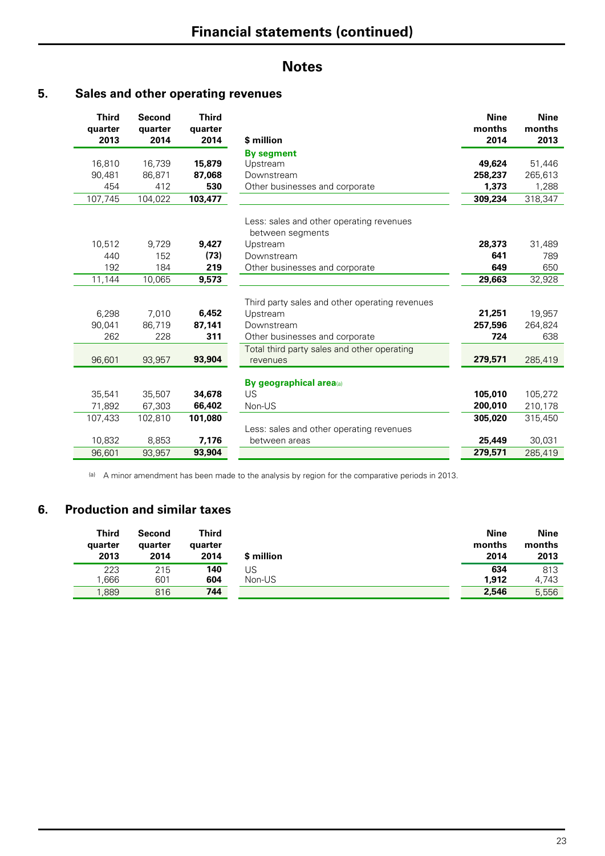### **5. Sales and other operating revenues**

| <b>Third</b><br>quarter<br>2013 | <b>Second</b><br>quarter<br>2014 | <b>Third</b><br>quarter<br>2014 | \$ million                                                   | <b>Nine</b><br>months<br>2014 | <b>Nine</b><br>months<br>2013 |
|---------------------------------|----------------------------------|---------------------------------|--------------------------------------------------------------|-------------------------------|-------------------------------|
|                                 |                                  |                                 | <b>By segment</b>                                            |                               |                               |
| 16,810                          | 16,739                           | 15,879                          | Upstream                                                     | 49,624                        | 51,446                        |
| 90,481                          | 86,871                           | 87,068                          | Downstream                                                   | 258,237                       | 265,613                       |
| 454                             | 412                              | 530                             | Other businesses and corporate                               | 1,373                         | 1,288                         |
| 107,745                         | 104,022                          | 103,477                         |                                                              | 309,234                       | 318,347                       |
|                                 |                                  |                                 | Less: sales and other operating revenues<br>between segments |                               |                               |
| 10,512                          | 9,729                            | 9,427                           | Upstream                                                     | 28,373                        | 31,489                        |
| 440                             | 152                              | (73)                            | Downstream                                                   | 641                           | 789                           |
| 192                             | 184                              | 219                             | Other businesses and corporate                               | 649                           | 650                           |
| 11,144                          | 10,065                           | 9,573                           |                                                              | 29,663                        | 32,928                        |
|                                 |                                  |                                 | Third party sales and other operating revenues               |                               |                               |
| 6,298                           | 7,010                            | 6,452                           | Upstream                                                     | 21,251                        | 19,957                        |
| 90,041                          | 86.719                           | 87,141                          | Downstream                                                   | 257,596                       | 264,824                       |
| 262                             | 228                              | 311                             | Other businesses and corporate                               | 724                           | 638                           |
|                                 |                                  |                                 | Total third party sales and other operating                  |                               |                               |
| 96,601                          | 93,957                           | 93,904                          | revenues                                                     | 279,571                       | 285,419                       |
|                                 |                                  |                                 | By geographical area(a)                                      |                               |                               |
| 35,541                          | 35,507                           | 34,678                          | US                                                           | 105,010                       | 105,272                       |
| 71,892                          | 67,303                           | 66,402                          | Non-US                                                       | 200,010                       | 210,178                       |
| 107,433                         | 102,810                          | 101,080                         |                                                              | 305,020                       | 315,450                       |
|                                 |                                  |                                 | Less: sales and other operating revenues                     |                               |                               |
| 10,832                          | 8,853                            | 7,176                           | between areas                                                | 25,449                        | 30,031                        |
| 96,601                          | 93,957                           | 93,904                          |                                                              | 279,571                       | 285,419                       |

(a) A minor amendment has been made to the analysis by region for the comparative periods in 2013.

### **6. Production and similar taxes**

| <b>Third</b> | Second  | Third   | \$ million | <b>Nine</b> | Nine   |
|--------------|---------|---------|------------|-------------|--------|
| quarter      | quarter | quarter |            | months      | months |
| 2013         | 2014    | 2014    |            | 2014        | 2013   |
| 223          | 215     | 140     | US         | 634         | 813    |
| .666         | 601     | 604     | Non-US     | 1.912       | 4.743  |
| ,889         | 816     | 744     |            | 2,546       | 5,556  |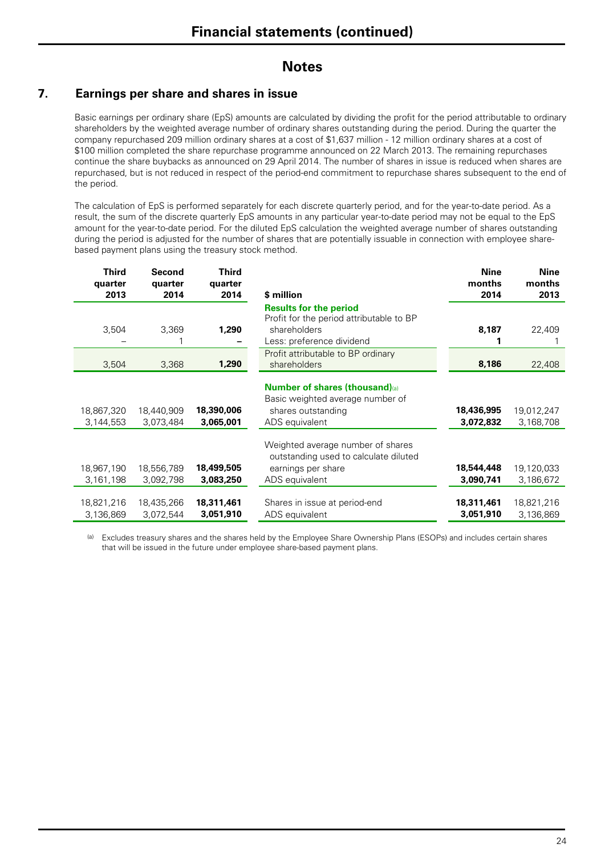## **7. Earnings per share and shares in issue**

Basic earnings per ordinary share (EpS) amounts are calculated by dividing the profit for the period attributable to ordinary shareholders by the weighted average number of ordinary shares outstanding during the period. During the quarter the company repurchased 209 million ordinary shares at a cost of \$1,637 million - 12 million ordinary shares at a cost of \$100 million completed the share repurchase programme announced on 22 March 2013. The remaining repurchases continue the share buybacks as announced on 29 April 2014. The number of shares in issue is reduced when shares are repurchased, but is not reduced in respect of the period-end commitment to repurchase shares subsequent to the end of the period.

The calculation of EpS is performed separately for each discrete quarterly period, and for the year-to-date period. As a result, the sum of the discrete quarterly EpS amounts in any particular year-to-date period may not be equal to the EpS amount for the year-to-date period. For the diluted EpS calculation the weighted average number of shares outstanding during the period is adjusted for the number of shares that are potentially issuable in connection with employee sharebased payment plans using the treasury stock method.

| <b>Third</b><br>quarter<br>2013 | Second<br>quarter<br>2014 | <b>Third</b><br>quarter<br>2014 | \$ million                                                                 | <b>Nine</b><br>months<br>2014 | <b>Nine</b><br>months<br>2013 |
|---------------------------------|---------------------------|---------------------------------|----------------------------------------------------------------------------|-------------------------------|-------------------------------|
|                                 |                           |                                 | <b>Results for the period</b><br>Profit for the period attributable to BP  |                               |                               |
| 3,504                           | 3,369                     | 1,290                           | shareholders<br>Less: preference dividend                                  | 8,187                         | 22,409                        |
| 3,504                           | 3,368                     | 1,290                           | Profit attributable to BP ordinary<br>shareholders                         | 8,186                         | 22,408                        |
|                                 |                           |                                 | <b>Number of shares (thousand)</b> (a)                                     |                               |                               |
| 18,867,320<br>3,144,553         | 18,440,909<br>3,073,484   | 18,390,006<br>3,065,001         | Basic weighted average number of<br>shares outstanding<br>ADS equivalent   | 18,436,995<br>3,072,832       | 19,012,247<br>3,168,708       |
|                                 |                           |                                 | Weighted average number of shares<br>outstanding used to calculate diluted |                               |                               |
| 18,967,190<br>3,161,198         | 18,556,789<br>3,092,798   | 18,499,505<br>3,083,250         | earnings per share<br>ADS equivalent                                       | 18,544,448<br>3,090,741       | 19,120,033<br>3,186,672       |
| 18,821,216<br>3,136,869         | 18,435,266<br>3,072,544   | 18,311,461<br>3,051,910         | Shares in issue at period-end<br>ADS equivalent                            | 18,311,461<br>3,051,910       | 18,821,216<br>3,136,869       |

(a) Excludes treasury shares and the shares held by the Employee Share Ownership Plans (ESOPs) and includes certain shares that will be issued in the future under employee share-based payment plans.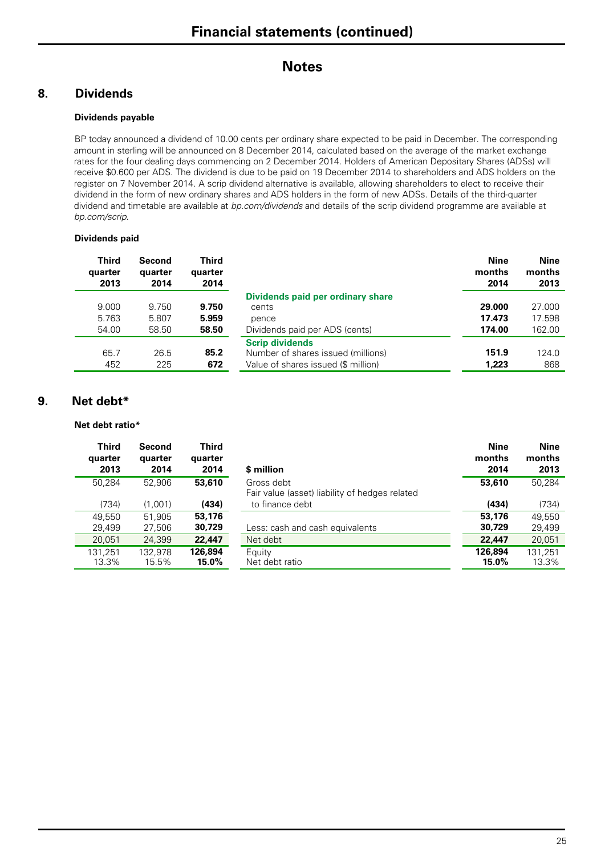### **8. Dividends**

#### **Dividends payable**

BP today announced a dividend of 10.00 cents per ordinary share expected to be paid in December. The corresponding amount in sterling will be announced on 8 December 2014, calculated based on the average of the market exchange rates for the four dealing days commencing on 2 December 2014. Holders of American Depositary Shares (ADSs) will receive \$0.600 per ADS. The dividend is due to be paid on 19 December 2014 to shareholders and ADS holders on the register on 7 November 2014. A scrip dividend alternative is available, allowing shareholders to elect to receive their dividend in the form of new ordinary shares and ADS holders in the form of new ADSs. Details of the third-quarter dividend and timetable are available at *bp.com/dividends* and details of the scrip dividend programme are available at *bp.com/scrip*.

#### **Dividends paid**

| <b>Third</b><br>quarter<br>2013 | <b>Second</b><br>quarter<br>2014 | <b>Third</b><br>quarter<br>2014 |                                                                                                     | <b>Nine</b><br>months<br>2014 | <b>Nine</b><br>months<br>2013 |
|---------------------------------|----------------------------------|---------------------------------|-----------------------------------------------------------------------------------------------------|-------------------------------|-------------------------------|
|                                 |                                  |                                 | Dividends paid per ordinary share                                                                   |                               |                               |
| 9.000                           | 9.750                            | 9.750                           | cents                                                                                               | 29.000                        | 27.000                        |
| 5.763                           | 5.807                            | 5.959                           | pence                                                                                               | 17.473                        | 17.598                        |
| 54.00                           | 58.50                            | 58.50                           | Dividends paid per ADS (cents)                                                                      | 174.00                        | 162.00                        |
| 65.7<br>452                     | 26.5<br>225                      | 85.2<br>672                     | <b>Scrip dividends</b><br>Number of shares issued (millions)<br>Value of shares issued (\$ million) | 151.9<br>1.223                | 124.0<br>868                  |

#### **9. Net debt\***

**Net debt ratio\*** 

| <b>Third</b><br>quarter<br>2013 | Second<br>quarter<br>2014 | Third<br>quarter<br>2014 | \$ million                                                   | <b>Nine</b><br>months<br>2014 | <b>Nine</b><br>months<br>2013 |
|---------------------------------|---------------------------|--------------------------|--------------------------------------------------------------|-------------------------------|-------------------------------|
| 50.284                          | 52.906                    | 53,610                   | Gross debt<br>Fair value (asset) liability of hedges related | 53,610                        | 50.284                        |
| (734)                           | (1,001)                   | (434)                    | to finance debt                                              | (434)                         | (734)                         |
| 49.550                          | 51.905                    | 53,176                   |                                                              | 53,176                        | 49,550                        |
| 29,499                          | 27,506                    | 30,729                   | Less: cash and cash equivalents                              | 30,729                        | 29,499                        |
| 20,051                          | 24,399                    | 22,447                   | Net debt                                                     | 22,447                        | 20,051                        |
| 131.251<br>13.3%                | 132.978<br>15.5%          | 126.894<br>$15.0\%$      | Equity<br>Net debt ratio                                     | 126,894<br>15.0%              | 131,251<br>13.3%              |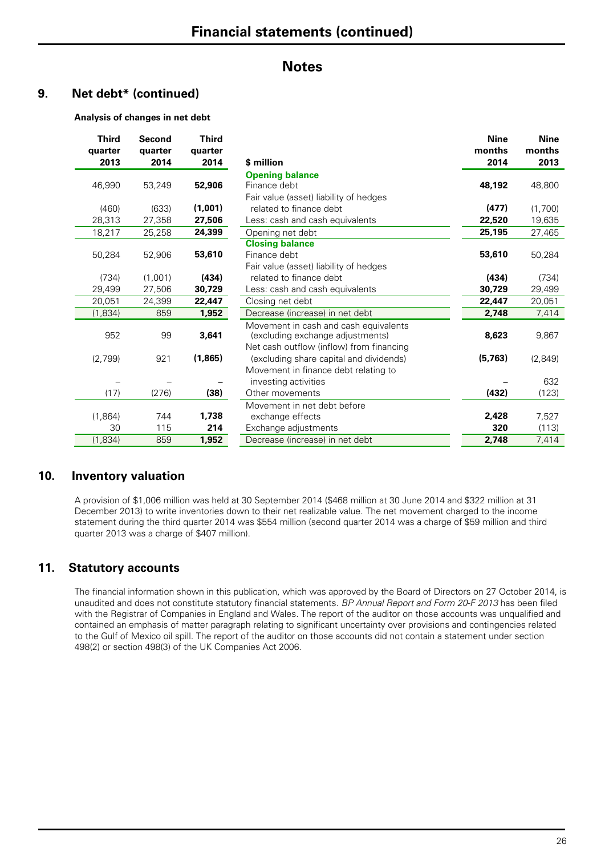### **9. Net debt\* (continued)**

#### **Analysis of changes in net debt**

| <b>Third</b><br>quarter<br>2013 | Second<br>quarter<br>2014 | <b>Third</b><br>quarter<br>2014 | \$ million                               | <b>Nine</b><br>months<br>2014 | <b>Nine</b><br>months<br>2013 |
|---------------------------------|---------------------------|---------------------------------|------------------------------------------|-------------------------------|-------------------------------|
|                                 |                           |                                 | <b>Opening balance</b>                   |                               |                               |
| 46,990                          | 53,249                    | 52,906                          | Finance debt                             | 48,192                        | 48,800                        |
|                                 |                           |                                 | Fair value (asset) liability of hedges   |                               |                               |
| (460)                           | (633)                     | (1,001)                         | related to finance debt                  | (477)                         | (1,700)                       |
| 28,313                          | 27,358                    | 27,506                          | Less: cash and cash equivalents          | 22,520                        | 19,635                        |
| 18,217                          | 25,258                    | 24,399                          | Opening net debt                         | 25,195                        | 27,465                        |
|                                 |                           |                                 | <b>Closing balance</b>                   |                               |                               |
| 50,284                          | 52,906                    | 53,610                          | Finance debt                             | 53,610                        | 50,284                        |
|                                 |                           |                                 | Fair value (asset) liability of hedges   |                               |                               |
| (734)                           | (1,001)                   | (434)                           | related to finance debt                  | (434)                         | (734)                         |
| 29,499                          | 27,506                    | 30,729                          | Less: cash and cash equivalents          | 30,729                        | 29,499                        |
| 20,051                          | 24,399                    | 22,447                          | Closing net debt                         | 22,447                        | 20,051                        |
| (1,834)                         | 859                       | 1,952                           | Decrease (increase) in net debt          | 2,748                         | 7,414                         |
|                                 |                           |                                 | Movement in cash and cash equivalents    |                               |                               |
| 952                             | 99                        | 3,641                           | (excluding exchange adjustments)         | 8,623                         | 9,867                         |
|                                 |                           |                                 | Net cash outflow (inflow) from financing |                               |                               |
| (2,799)                         | 921                       | (1,865)                         | (excluding share capital and dividends)  | (5,763)                       | (2,849)                       |
|                                 |                           |                                 | Movement in finance debt relating to     |                               |                               |
|                                 |                           |                                 | investing activities                     |                               | 632                           |
| (17)                            | (276)                     | (38)                            | Other movements                          | (432)                         | (123)                         |
|                                 |                           |                                 | Movement in net debt before              |                               |                               |
| (1,864)                         | 744                       | 1,738                           | exchange effects                         | 2,428                         | 7,527                         |
| 30                              | 115                       | 214                             | Exchange adjustments                     | 320                           | (113)                         |
| (1,834)                         | 859                       | 1,952                           | Decrease (increase) in net debt          | 2,748                         | 7,414                         |

#### **10. Inventory valuation**

A provision of \$1,006 million was held at 30 September 2014 (\$468 million at 30 June 2014 and \$322 million at 31 December 2013) to write inventories down to their net realizable value. The net movement charged to the income statement during the third quarter 2014 was \$554 million (second quarter 2014 was a charge of \$59 million and third quarter 2013 was a charge of \$407 million).

#### **11. Statutory accounts**

The financial information shown in this publication, which was approved by the Board of Directors on 27 October 2014, is unaudited and does not constitute statutory financial statements. *BP Annual Report and Form 20-F 2013* has been filed with the Registrar of Companies in England and Wales. The report of the auditor on those accounts was unqualified and contained an emphasis of matter paragraph relating to significant uncertainty over provisions and contingencies related to the Gulf of Mexico oil spill. The report of the auditor on those accounts did not contain a statement under section 498(2) or section 498(3) of the UK Companies Act 2006.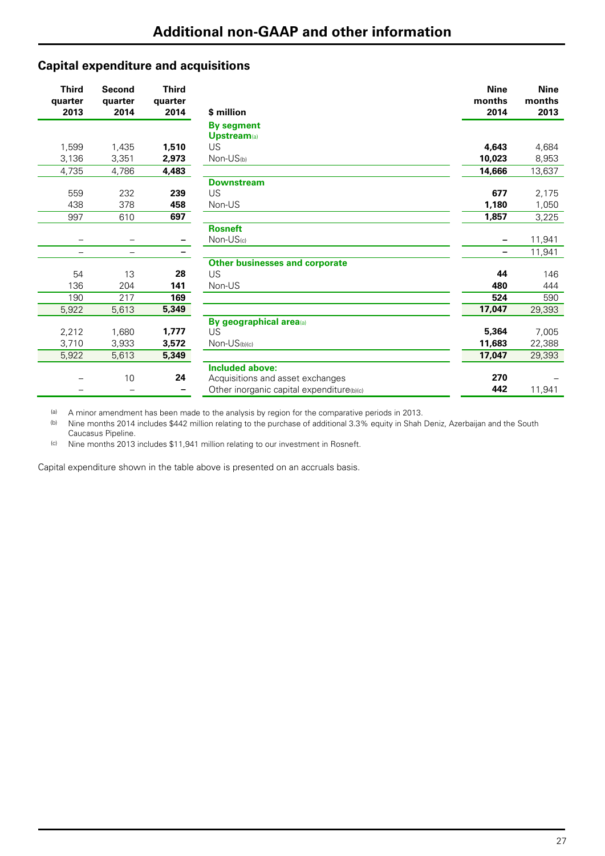### **Capital expenditure and acquisitions**

| <b>Third</b><br>quarter<br>2013 | <b>Second</b><br>quarter<br>2014 | <b>Third</b><br>quarter<br>2014 | \$ million                                | <b>Nine</b><br>months<br>2014 | <b>Nine</b><br>months<br>2013 |
|---------------------------------|----------------------------------|---------------------------------|-------------------------------------------|-------------------------------|-------------------------------|
|                                 |                                  |                                 | <b>By segment</b>                         |                               |                               |
|                                 |                                  |                                 | <b>Upstream</b> (a)                       |                               |                               |
| 1,599                           | 1,435                            | 1,510                           | US                                        | 4,643                         | 4,684                         |
| 3,136                           | 3,351                            | 2,973                           | $Non-US(b)$                               | 10,023                        | 8,953                         |
| 4,735                           | 4,786                            | 4,483                           |                                           | 14,666                        | 13,637                        |
|                                 |                                  |                                 | <b>Downstream</b>                         |                               |                               |
| 559                             | 232                              | 239                             | <b>US</b>                                 | 677                           | 2,175                         |
| 438                             | 378                              | 458                             | Non-US                                    | 1,180                         | 1,050                         |
| 997                             | 610                              | 697                             |                                           | 1,857                         | 3,225                         |
|                                 |                                  |                                 | <b>Rosneft</b>                            |                               |                               |
|                                 |                                  |                                 | $Non-US(c)$                               |                               | 11,941                        |
| $\overline{\phantom{0}}$        | $\overline{\phantom{m}}$         |                                 |                                           | $\overline{\phantom{0}}$      | 11,941                        |
|                                 |                                  |                                 | <b>Other businesses and corporate</b>     |                               |                               |
| 54                              | 13                               | 28                              | <b>US</b>                                 | 44                            | 146                           |
| 136                             | 204                              | 141                             | Non-US                                    | 480                           | 444                           |
| 190                             | 217                              | 169                             |                                           | 524                           | 590                           |
| 5.922                           | 5,613                            | 5,349                           |                                           | 17,047                        | 29,393                        |
|                                 |                                  |                                 | By geographical area(a)                   |                               |                               |
| 2,212                           | 1,680                            | 1,777                           | US                                        | 5,364                         | 7,005                         |
| 3,710                           | 3,933                            | 3,572                           | $Non-US(b)(c)$                            | 11,683                        | 22,388                        |
| 5,922                           | 5,613                            | 5,349                           |                                           | 17,047                        | 29,393                        |
|                                 |                                  |                                 | <b>Included above:</b>                    |                               |                               |
|                                 | 10                               | 24                              | Acquisitions and asset exchanges          | 270                           |                               |
|                                 |                                  |                                 | Other inorganic capital expenditure(b)(c) | 442                           | 11,941                        |

(a) A minor amendment has been made to the analysis by region for the comparative periods in 2013.<br>(b) Nine months 2014 includes \$442 million relating to the purchase of additional 3.3% equity in Shah

(b) Nine months 2014 includes \$442 million relating to the purchase of additional 3.3% equity in Shah Deniz, Azerbaijan and the South Caucasus Pipeline.

(c) Nine months 2013 includes \$11,941 million relating to our investment in Rosneft.

Capital expenditure shown in the table above is presented on an accruals basis.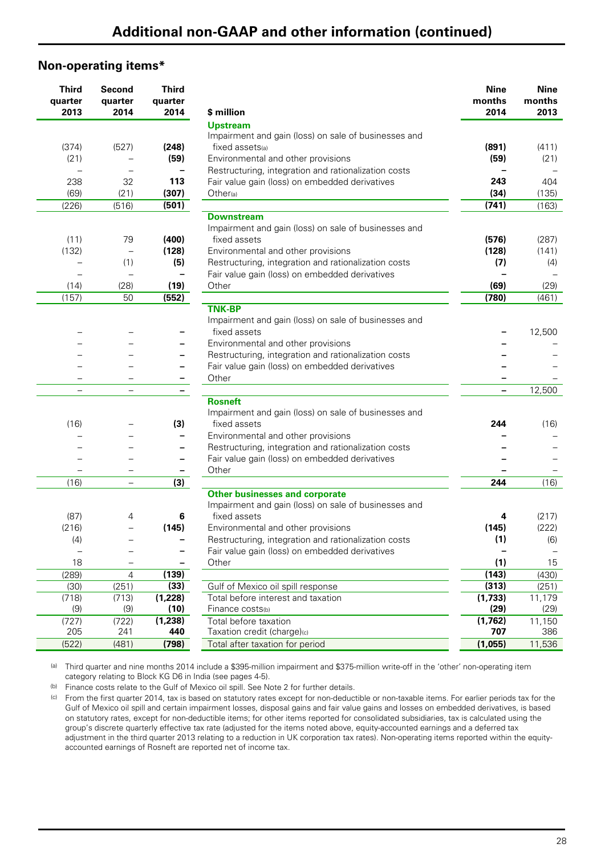#### **Non-operating items\***

| <b>Third</b><br>quarter<br>2013 | Second<br>quarter<br>2014 | <b>Third</b><br>quarter<br>2014 | \$ million                                           | <b>Nine</b><br>months<br>2014 | <b>Nine</b><br>months<br>2013 |
|---------------------------------|---------------------------|---------------------------------|------------------------------------------------------|-------------------------------|-------------------------------|
|                                 |                           |                                 | <b>Upstream</b>                                      |                               |                               |
|                                 |                           |                                 | Impairment and gain (loss) on sale of businesses and |                               |                               |
| (374)                           | (527)                     | (248)                           | fixed assets(a)                                      | (891)                         | (411)                         |
| (21)                            |                           | (59)                            | Environmental and other provisions                   | (59)                          | (21)                          |
|                                 |                           | $\qquad \qquad -$               | Restructuring, integration and rationalization costs |                               |                               |
| 238                             | 32                        | 113                             | Fair value gain (loss) on embedded derivatives       | 243                           | 404                           |
| (69)                            | (21)                      | (307)                           | Other(a)                                             | (34)                          | (135)                         |
| (226)                           | (516)                     | (501)                           |                                                      | (741)                         | (163)                         |
|                                 |                           |                                 | <b>Downstream</b>                                    |                               |                               |
|                                 |                           |                                 | Impairment and gain (loss) on sale of businesses and |                               |                               |
| (11)                            | 79                        | (400)                           | fixed assets                                         | (576)                         | (287)                         |
| (132)                           | $\overline{\phantom{0}}$  | (128)                           | Environmental and other provisions                   | (128)                         | (141)                         |
|                                 | (1)                       | (5)                             | Restructuring, integration and rationalization costs | (7)                           | (4)                           |
|                                 |                           | $\overline{\phantom{m}}$        | Fair value gain (loss) on embedded derivatives       |                               |                               |
| (14)                            | (28)                      | (19)                            | Other                                                | (69)                          | (29)                          |
| (157)                           | 50                        | (552)                           |                                                      | (780)                         | (461)                         |
|                                 |                           |                                 | <b>TNK-BP</b>                                        |                               |                               |
|                                 |                           |                                 | Impairment and gain (loss) on sale of businesses and |                               |                               |
|                                 |                           |                                 | fixed assets                                         |                               | 12,500                        |
|                                 |                           |                                 | Environmental and other provisions                   |                               |                               |
|                                 |                           |                                 | Restructuring, integration and rationalization costs |                               |                               |
|                                 |                           | -                               | Fair value gain (loss) on embedded derivatives       |                               |                               |
|                                 |                           |                                 | Other                                                |                               |                               |
|                                 | $\overline{\phantom{0}}$  |                                 |                                                      | Ξ.                            | 12,500                        |
|                                 |                           |                                 | <b>Rosneft</b>                                       |                               |                               |
|                                 |                           |                                 | Impairment and gain (loss) on sale of businesses and |                               |                               |
| (16)                            |                           | (3)                             | fixed assets                                         | 244                           | (16)                          |
|                                 |                           | -                               | Environmental and other provisions                   |                               |                               |
|                                 |                           | $\overline{\phantom{m}}$        | Restructuring, integration and rationalization costs |                               |                               |
|                                 |                           |                                 | Fair value gain (loss) on embedded derivatives       |                               |                               |
|                                 |                           |                                 | Other                                                |                               |                               |
| (16)                            | $\overline{\phantom{0}}$  | (3)                             |                                                      | 244                           | (16)                          |
|                                 |                           |                                 | <b>Other businesses and corporate</b>                |                               |                               |
|                                 |                           |                                 | Impairment and gain (loss) on sale of businesses and |                               |                               |
| (87)                            | 4                         | 6                               | fixed assets                                         | 4                             | (217)                         |
| (216)                           |                           | (145)                           | Environmental and other provisions                   | (145)                         | (222)                         |
| (4)                             |                           |                                 | Restructuring, integration and rationalization costs | (1)                           | (6)                           |
|                                 |                           |                                 | Fair value gain (loss) on embedded derivatives       |                               |                               |
| 18                              |                           |                                 | Other                                                | (1)                           | 15                            |
| (289)                           | $\overline{4}$            | (139)                           |                                                      | (143)                         | (430)                         |
| (30)                            | (251)                     | (33)                            | Gulf of Mexico oil spill response                    | (313)                         | (251)                         |
| (718)                           | (713)                     | (1,228)<br>(10)                 | Total before interest and taxation                   | (1,733)<br>(29)               | 11,179                        |
| (9)                             | (9)                       |                                 | Finance costs(b)<br>Total before taxation            |                               | (29)                          |
| (727)<br>205                    | (722)<br>241              | (1, 238)<br>440                 | Taxation credit (charge)(c)                          | (1,762)<br>707                | 11,150<br>386                 |
| (522)                           | (481)                     | (798)                           | Total after taxation for period                      | (1,055)                       | 11,536                        |
|                                 |                           |                                 |                                                      |                               |                               |

(a) Third quarter and nine months 2014 include a \$395-million impairment and \$375-million write-off in the 'other' non-operating item category relating to Block KG D6 in India (see pages 4-5).

(b) Finance costs relate to the Gulf of Mexico oil spill. See Note 2 for further details.

(c) From the first quarter 2014, tax is based on statutory rates except for non-deductible or non-taxable items. For earlier periods tax for the Gulf of Mexico oil spill and certain impairment losses, disposal gains and fair value gains and losses on embedded derivatives, is based on statutory rates, except for non-deductible items; for other items reported for consolidated subsidiaries, tax is calculated using the group's discrete quarterly effective tax rate (adjusted for the items noted above, equity-accounted earnings and a deferred tax adjustment in the third quarter 2013 relating to a reduction in UK corporation tax rates). Non-operating items reported within the equityaccounted earnings of Rosneft are reported net of income tax.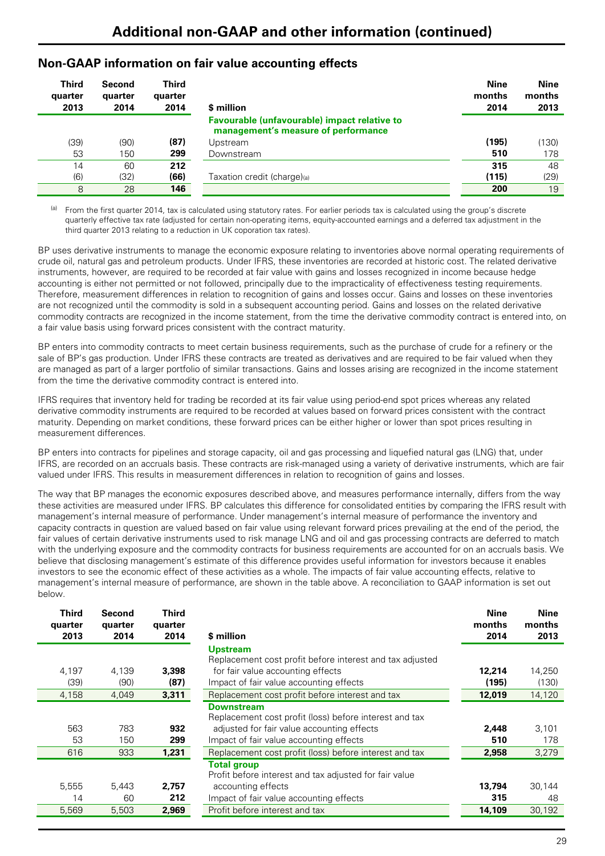### **Non-GAAP information on fair value accounting effects**

| Third<br>quarter<br>2013 | Second<br>quarter<br>2014 | Third<br>quarter<br>2014 | \$ million                                                                                 | <b>Nine</b><br>months<br>2014 | <b>Nine</b><br>months<br>2013 |
|--------------------------|---------------------------|--------------------------|--------------------------------------------------------------------------------------------|-------------------------------|-------------------------------|
|                          |                           |                          | <b>Favourable (unfavourable) impact relative to</b><br>management's measure of performance |                               |                               |
| (39)                     | (90)                      | (87)                     | Upstream                                                                                   | (195)                         | (130)                         |
| 53                       | 150                       | 299                      | Downstream                                                                                 | 510                           | 178                           |
| 14                       | 60                        | 212                      |                                                                                            | 315                           | 48                            |
| (6)                      | (32)                      | (66)                     | Taxation credit (charge)(a)                                                                | (115)                         | (29)                          |
| 8                        | 28                        | 146                      |                                                                                            | 200                           | 19                            |

From the first quarter 2014, tax is calculated using statutory rates. For earlier periods tax is calculated using the group's discrete quarterly effective tax rate (adjusted for certain non-operating items, equity-accounted earnings and a deferred tax adjustment in the third quarter 2013 relating to a reduction in UK coporation tax rates).

BP uses derivative instruments to manage the economic exposure relating to inventories above normal operating requirements of crude oil, natural gas and petroleum products. Under IFRS, these inventories are recorded at historic cost. The related derivative instruments, however, are required to be recorded at fair value with gains and losses recognized in income because hedge accounting is either not permitted or not followed, principally due to the impracticality of effectiveness testing requirements. Therefore, measurement differences in relation to recognition of gains and losses occur. Gains and losses on these inventories are not recognized until the commodity is sold in a subsequent accounting period. Gains and losses on the related derivative commodity contracts are recognized in the income statement, from the time the derivative commodity contract is entered into, on a fair value basis using forward prices consistent with the contract maturity.

BP enters into commodity contracts to meet certain business requirements, such as the purchase of crude for a refinery or the sale of BP's gas production. Under IFRS these contracts are treated as derivatives and are required to be fair valued when they are managed as part of a larger portfolio of similar transactions. Gains and losses arising are recognized in the income statement from the time the derivative commodity contract is entered into.

IFRS requires that inventory held for trading be recorded at its fair value using period-end spot prices whereas any related derivative commodity instruments are required to be recorded at values based on forward prices consistent with the contract maturity. Depending on market conditions, these forward prices can be either higher or lower than spot prices resulting in measurement differences.

BP enters into contracts for pipelines and storage capacity, oil and gas processing and liquefied natural gas (LNG) that, under IFRS, are recorded on an accruals basis. These contracts are risk-managed using a variety of derivative instruments, which are fair valued under IFRS. This results in measurement differences in relation to recognition of gains and losses.

The way that BP manages the economic exposures described above, and measures performance internally, differs from the way these activities are measured under IFRS. BP calculates this difference for consolidated entities by comparing the IFRS result with management's internal measure of performance. Under management's internal measure of performance the inventory and capacity contracts in question are valued based on fair value using relevant forward prices prevailing at the end of the period, the fair values of certain derivative instruments used to risk manage LNG and oil and gas processing contracts are deferred to match with the underlying exposure and the commodity contracts for business requirements are accounted for on an accruals basis. We believe that disclosing management's estimate of this difference provides useful information for investors because it enables investors to see the economic effect of these activities as a whole. The impacts of fair value accounting effects, relative to management's internal measure of performance, are shown in the table above. A reconciliation to GAAP information is set out below.

| Third<br>quarter<br>2013 | Second<br>quarter<br>2014 | <b>Third</b><br>quarter<br>2014 | \$ million                                                                                                                                                           | <b>Nine</b><br>months<br>2014 | <b>Nine</b><br>months<br>2013 |
|--------------------------|---------------------------|---------------------------------|----------------------------------------------------------------------------------------------------------------------------------------------------------------------|-------------------------------|-------------------------------|
| 4,197<br>(39)            | 4,139<br>(90)             | 3,398<br>(87)                   | <b>Upstream</b><br>Replacement cost profit before interest and tax adjusted<br>for fair value accounting effects<br>Impact of fair value accounting effects          | 12.214<br>(195)               | 14,250<br>(130)               |
| 4,158                    | 4,049                     | 3,311                           | Replacement cost profit before interest and tax                                                                                                                      | 12,019                        | 14,120                        |
| 563<br>53                | 783<br>150                | 932<br>299                      | <b>Downstream</b><br>Replacement cost profit (loss) before interest and tax<br>adjusted for fair value accounting effects<br>Impact of fair value accounting effects | 2,448<br>510                  | 3,101<br>178                  |
| 616                      | 933                       | 1,231                           | Replacement cost profit (loss) before interest and tax                                                                                                               | 2,958                         | 3,279                         |
| 5,555<br>14              | 5,443<br>60               | 2,757<br>212                    | <b>Total group</b><br>Profit before interest and tax adjusted for fair value<br>accounting effects<br>Impact of fair value accounting effects                        | 13.794<br>315                 | 30.144<br>48                  |
| 5,569                    | 5,503                     | 2,969                           | Profit before interest and tax                                                                                                                                       | 14,109                        | 30,192                        |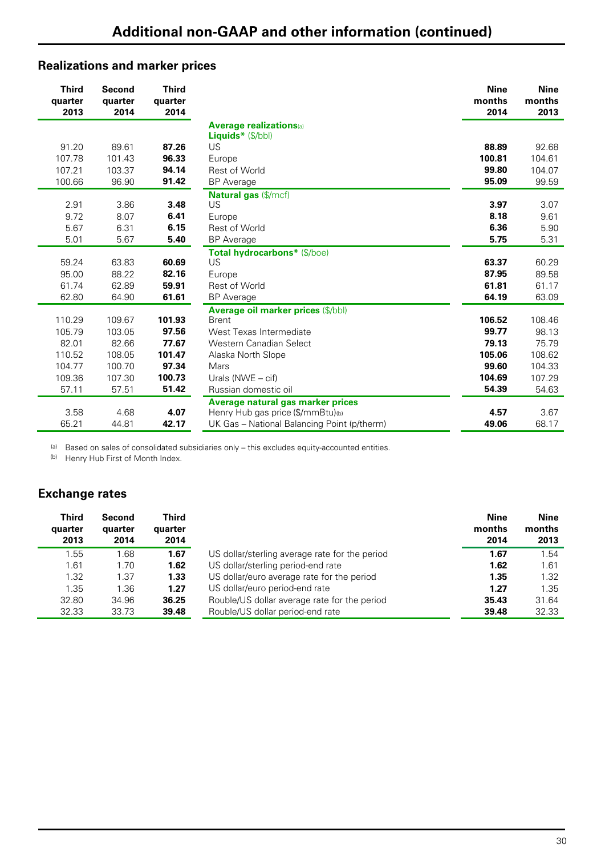## **Realizations and marker prices**

| <b>Third</b><br>quarter<br>2013                                  | <b>Second</b><br>quarter<br>2014                                 | <b>Third</b><br>quarter<br>2014                                |                                                                                                                                                                                                | <b>Nine</b><br>months<br>2014                                  | <b>Nine</b><br>months<br>2013                                   |
|------------------------------------------------------------------|------------------------------------------------------------------|----------------------------------------------------------------|------------------------------------------------------------------------------------------------------------------------------------------------------------------------------------------------|----------------------------------------------------------------|-----------------------------------------------------------------|
| 91.20<br>107.78<br>107.21                                        | 89.61<br>101.43<br>103.37                                        | 87.26<br>96.33<br>94.14                                        | <b>Average realizations</b> (a)<br><b>Liquids</b> * $(\frac{5}{bb})$<br>US<br>Europe<br><b>Rest of World</b>                                                                                   | 88.89<br>100.81<br>99.80                                       | 92.68<br>104.61<br>104.07                                       |
| 100.66                                                           | 96.90                                                            | 91.42                                                          | <b>BP</b> Average                                                                                                                                                                              | 95.09                                                          | 99.59                                                           |
| 2.91<br>9.72<br>5.67<br>5.01                                     | 3.86<br>8.07<br>6.31<br>5.67                                     | 3.48<br>6.41<br>6.15<br>5.40                                   | <b>Natural gas (\$/mcf)</b><br>US<br>Europe<br><b>Rest of World</b><br><b>BP</b> Average                                                                                                       | 3.97<br>8.18<br>6.36<br>5.75                                   | 3.07<br>9.61<br>5.90<br>5.31                                    |
| 59.24<br>95.00<br>61.74<br>62.80                                 | 63.83<br>88.22<br>62.89<br>64.90                                 | 60.69<br>82.16<br>59.91<br>61.61                               | Total hydrocarbons* (\$/boe)<br>US<br>Europe<br><b>Rest of World</b><br><b>BP</b> Average                                                                                                      | 63.37<br>87.95<br>61.81<br>64.19                               | 60.29<br>89.58<br>61.17<br>63.09                                |
| 110.29<br>105.79<br>82.01<br>110.52<br>104.77<br>109.36<br>57.11 | 109.67<br>103.05<br>82.66<br>108.05<br>100.70<br>107.30<br>57.51 | 101.93<br>97.56<br>77.67<br>101.47<br>97.34<br>100.73<br>51.42 | Average oil marker prices (\$/bbl)<br><b>Brent</b><br>West Texas Intermediate<br>Western Canadian Select<br>Alaska North Slope<br>Mars<br>Urals ( $NWE - \text{cif}$ )<br>Russian domestic oil | 106.52<br>99.77<br>79.13<br>105.06<br>99.60<br>104.69<br>54.39 | 108.46<br>98.13<br>75.79<br>108.62<br>104.33<br>107.29<br>54.63 |
| 3.58<br>65.21                                                    | 4.68<br>44.81                                                    | 4.07<br>42.17                                                  | Average natural gas marker prices<br>Henry Hub gas price (\$/mmBtu)(b)<br>UK Gas - National Balancing Point (p/therm)                                                                          | 4.57<br>49.06                                                  | 3.67<br>68.17                                                   |

(a) Based on sales of consolidated subsidiaries only – this excludes equity-accounted entities.

(b) Henry Hub First of Month Index.

### **Exchange rates**

| <b>Third</b><br>quarter<br>2013 | Second<br>quarter<br>2014 | Third<br>quarter<br>2014 |                                                | <b>Nine</b><br>months<br>2014 | <b>Nine</b><br>months<br>2013 |
|---------------------------------|---------------------------|--------------------------|------------------------------------------------|-------------------------------|-------------------------------|
| 1.55                            | .68                       | 1.67                     | US dollar/sterling average rate for the period | 1.67                          | 1.54                          |
| 1.61                            | 1.70                      | 1.62                     | US dollar/sterling period-end rate             | 1.62                          | 1.61                          |
| 1.32                            | 1.37                      | 1.33                     | US dollar/euro average rate for the period     | 1.35                          | 1.32                          |
| 1.35                            | 1.36                      | 1.27                     | US dollar/euro period-end rate                 | 1.27                          | 1.35                          |
| 32.80                           | 34.96                     | 36.25                    | Rouble/US dollar average rate for the period   | 35.43                         | 31.64                         |
| 32.33                           | 33.73                     | 39.48                    | Rouble/US dollar period-end rate               | 39.48                         | 32.33                         |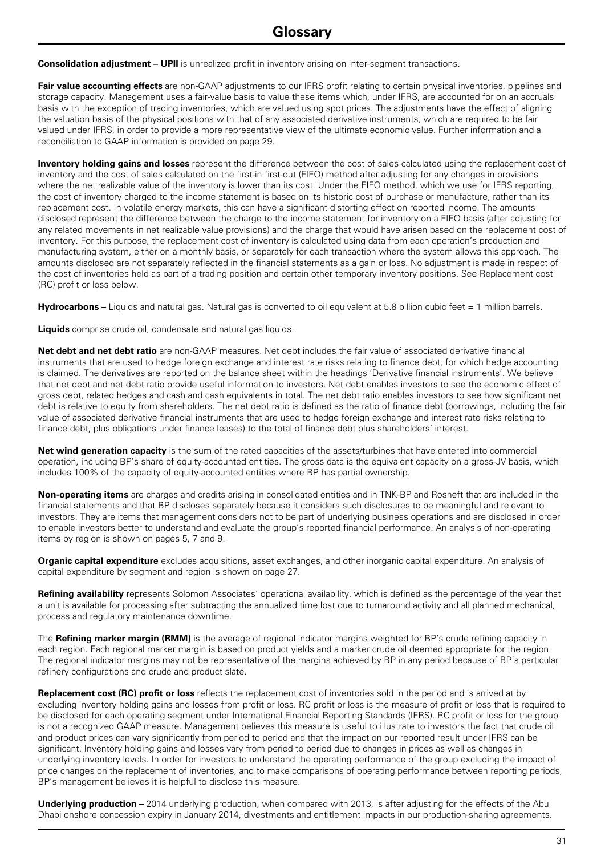**Consolidation adjustment – UPII** is unrealized profit in inventory arising on inter-segment transactions.

**Fair value accounting effects** are non-GAAP adjustments to our IFRS profit relating to certain physical inventories, pipelines and storage capacity. Management uses a fair-value basis to value these items which, under IFRS, are accounted for on an accruals basis with the exception of trading inventories, which are valued using spot prices. The adjustments have the effect of aligning the valuation basis of the physical positions with that of any associated derivative instruments, which are required to be fair valued under IFRS, in order to provide a more representative view of the ultimate economic value. Further information and a reconciliation to GAAP information is provided on page 29.

**Inventory holding gains and losses** represent the difference between the cost of sales calculated using the replacement cost of inventory and the cost of sales calculated on the first-in first-out (FIFO) method after adjusting for any changes in provisions where the net realizable value of the inventory is lower than its cost. Under the FIFO method, which we use for IFRS reporting, the cost of inventory charged to the income statement is based on its historic cost of purchase or manufacture, rather than its replacement cost. In volatile energy markets, this can have a significant distorting effect on reported income. The amounts disclosed represent the difference between the charge to the income statement for inventory on a FIFO basis (after adjusting for any related movements in net realizable value provisions) and the charge that would have arisen based on the replacement cost of inventory. For this purpose, the replacement cost of inventory is calculated using data from each operation's production and manufacturing system, either on a monthly basis, or separately for each transaction where the system allows this approach. The amounts disclosed are not separately reflected in the financial statements as a gain or loss. No adjustment is made in respect of the cost of inventories held as part of a trading position and certain other temporary inventory positions. See Replacement cost (RC) profit or loss below.

**Hydrocarbons –** Liquids and natural gas. Natural gas is converted to oil equivalent at 5.8 billion cubic feet = 1 million barrels.

**Liquids** comprise crude oil, condensate and natural gas liquids.

**Net debt and net debt ratio** are non-GAAP measures. Net debt includes the fair value of associated derivative financial instruments that are used to hedge foreign exchange and interest rate risks relating to finance debt, for which hedge accounting is claimed. The derivatives are reported on the balance sheet within the headings 'Derivative financial instruments'. We believe that net debt and net debt ratio provide useful information to investors. Net debt enables investors to see the economic effect of gross debt, related hedges and cash and cash equivalents in total. The net debt ratio enables investors to see how significant net debt is relative to equity from shareholders. The net debt ratio is defined as the ratio of finance debt (borrowings, including the fair value of associated derivative financial instruments that are used to hedge foreign exchange and interest rate risks relating to finance debt, plus obligations under finance leases) to the total of finance debt plus shareholders' interest.

**Net wind generation capacity** is the sum of the rated capacities of the assets/turbines that have entered into commercial operation, including BP's share of equity-accounted entities. The gross data is the equivalent capacity on a gross-JV basis, which includes 100% of the capacity of equity-accounted entities where BP has partial ownership.

**Non-operating items** are charges and credits arising in consolidated entities and in TNK-BP and Rosneft that are included in the financial statements and that BP discloses separately because it considers such disclosures to be meaningful and relevant to investors. They are items that management considers not to be part of underlying business operations and are disclosed in order to enable investors better to understand and evaluate the group's reported financial performance. An analysis of non-operating items by region is shown on pages 5, 7 and 9.

**Organic capital expenditure** excludes acquisitions, asset exchanges, and other inorganic capital expenditure. An analysis of capital expenditure by segment and region is shown on page 27.

**Refining availability** represents Solomon Associates' operational availability, which is defined as the percentage of the year that a unit is available for processing after subtracting the annualized time lost due to turnaround activity and all planned mechanical, process and regulatory maintenance downtime.

The **Refining marker margin (RMM)** is the average of regional indicator margins weighted for BP's crude refining capacity in each region. Each regional marker margin is based on product yields and a marker crude oil deemed appropriate for the region. The regional indicator margins may not be representative of the margins achieved by BP in any period because of BP's particular refinery configurations and crude and product slate.

**Replacement cost (RC) profit or loss** reflects the replacement cost of inventories sold in the period and is arrived at by excluding inventory holding gains and losses from profit or loss. RC profit or loss is the measure of profit or loss that is required to be disclosed for each operating segment under International Financial Reporting Standards (IFRS). RC profit or loss for the group is not a recognized GAAP measure. Management believes this measure is useful to illustrate to investors the fact that crude oil and product prices can vary significantly from period to period and that the impact on our reported result under IFRS can be significant. Inventory holding gains and losses vary from period to period due to changes in prices as well as changes in underlying inventory levels. In order for investors to understand the operating performance of the group excluding the impact of price changes on the replacement of inventories, and to make comparisons of operating performance between reporting periods, BP's management believes it is helpful to disclose this measure.

**Underlying production –** 2014 underlying production, when compared with 2013, is after adjusting for the effects of the Abu Dhabi onshore concession expiry in January 2014, divestments and entitlement impacts in our production-sharing agreements.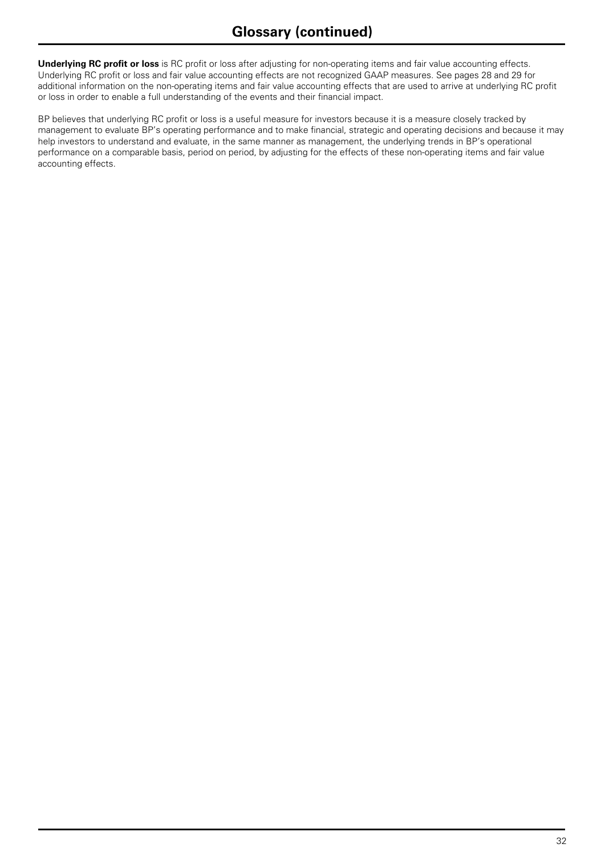**Underlying RC profit or loss** is RC profit or loss after adjusting for non-operating items and fair value accounting effects. Underlying RC profit or loss and fair value accounting effects are not recognized GAAP measures. See pages 28 and 29 for additional information on the non-operating items and fair value accounting effects that are used to arrive at underlying RC profit or loss in order to enable a full understanding of the events and their financial impact.

BP believes that underlying RC profit or loss is a useful measure for investors because it is a measure closely tracked by management to evaluate BP's operating performance and to make financial, strategic and operating decisions and because it may help investors to understand and evaluate, in the same manner as management, the underlying trends in BP's operational performance on a comparable basis, period on period, by adjusting for the effects of these non-operating items and fair value accounting effects.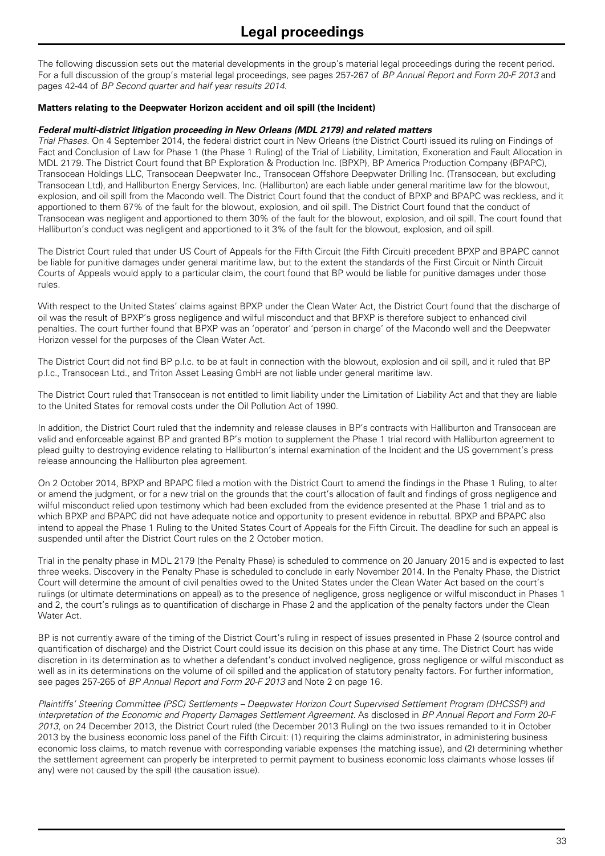The following discussion sets out the material developments in the group's material legal proceedings during the recent period. For a full discussion of the group's material legal proceedings, see pages 257-267 of *BP Annual Report and Form 20-F 2013* and pages 42-44 of *BP Second quarter and half year results 2014*.

#### **Matters relating to the Deepwater Horizon accident and oil spill (the Incident)**

#### *Federal multi-district litigation proceeding in New Orleans (MDL 2179) and related matters*

*Trial Phases.* On 4 September 2014, the federal district court in New Orleans (the District Court) issued its ruling on Findings of Fact and Conclusion of Law for Phase 1 (the Phase 1 Ruling) of the Trial of Liability, Limitation, Exoneration and Fault Allocation in MDL 2179. The District Court found that BP Exploration & Production Inc. (BPXP), BP America Production Company (BPAPC), Transocean Holdings LLC, Transocean Deepwater Inc., Transocean Offshore Deepwater Drilling Inc. (Transocean, but excluding Transocean Ltd), and Halliburton Energy Services, Inc. (Halliburton) are each liable under general maritime law for the blowout, explosion, and oil spill from the Macondo well. The District Court found that the conduct of BPXP and BPAPC was reckless, and it apportioned to them 67% of the fault for the blowout, explosion, and oil spill. The District Court found that the conduct of Transocean was negligent and apportioned to them 30% of the fault for the blowout, explosion, and oil spill. The court found that Halliburton's conduct was negligent and apportioned to it 3% of the fault for the blowout, explosion, and oil spill.

The District Court ruled that under US Court of Appeals for the Fifth Circuit (the Fifth Circuit) precedent BPXP and BPAPC cannot be liable for punitive damages under general maritime law, but to the extent the standards of the First Circuit or Ninth Circuit Courts of Appeals would apply to a particular claim, the court found that BP would be liable for punitive damages under those rules.

With respect to the United States' claims against BPXP under the Clean Water Act, the District Court found that the discharge of oil was the result of BPXP's gross negligence and wilful misconduct and that BPXP is therefore subject to enhanced civil penalties. The court further found that BPXP was an 'operator' and 'person in charge' of the Macondo well and the Deepwater Horizon vessel for the purposes of the Clean Water Act.

The District Court did not find BP p.l.c. to be at fault in connection with the blowout, explosion and oil spill, and it ruled that BP p.l.c., Transocean Ltd., and Triton Asset Leasing GmbH are not liable under general maritime law.

The District Court ruled that Transocean is not entitled to limit liability under the Limitation of Liability Act and that they are liable to the United States for removal costs under the Oil Pollution Act of 1990.

In addition, the District Court ruled that the indemnity and release clauses in BP's contracts with Halliburton and Transocean are valid and enforceable against BP and granted BP's motion to supplement the Phase 1 trial record with Halliburton agreement to plead guilty to destroying evidence relating to Halliburton's internal examination of the Incident and the US government's press release announcing the Halliburton plea agreement.

On 2 October 2014, BPXP and BPAPC filed a motion with the District Court to amend the findings in the Phase 1 Ruling, to alter or amend the judgment, or for a new trial on the grounds that the court's allocation of fault and findings of gross negligence and wilful misconduct relied upon testimony which had been excluded from the evidence presented at the Phase 1 trial and as to which BPXP and BPAPC did not have adequate notice and opportunity to present evidence in rebuttal. BPXP and BPAPC also intend to appeal the Phase 1 Ruling to the United States Court of Appeals for the Fifth Circuit. The deadline for such an appeal is suspended until after the District Court rules on the 2 October motion.

Trial in the penalty phase in MDL 2179 (the Penalty Phase) is scheduled to commence on 20 January 2015 and is expected to last three weeks. Discovery in the Penalty Phase is scheduled to conclude in early November 2014. In the Penalty Phase, the District Court will determine the amount of civil penalties owed to the United States under the Clean Water Act based on the court's rulings (or ultimate determinations on appeal) as to the presence of negligence, gross negligence or wilful misconduct in Phases 1 and 2, the court's rulings as to quantification of discharge in Phase 2 and the application of the penalty factors under the Clean Water Act.

BP is not currently aware of the timing of the District Court's ruling in respect of issues presented in Phase 2 (source control and quantification of discharge) and the District Court could issue its decision on this phase at any time. The District Court has wide discretion in its determination as to whether a defendant's conduct involved negligence, gross negligence or wilful misconduct as well as in its determinations on the volume of oil spilled and the application of statutory penalty factors. For further information, see pages 257-265 of *BP Annual Report and Form 20-F 2013* and Note 2 on page 16.

*Plaintiffs' Steering Committee (PSC) Settlements – Deepwater Horizon Court Supervised Settlement Program (DHCSSP) and interpretation of the Economic and Property Damages Settlement Agreement.* As disclosed in *BP Annual Report and Form 20-F 2013*, on 24 December 2013, the District Court ruled (the December 2013 Ruling) on the two issues remanded to it in October 2013 by the business economic loss panel of the Fifth Circuit: (1) requiring the claims administrator, in administering business economic loss claims, to match revenue with corresponding variable expenses (the matching issue), and (2) determining whether the settlement agreement can properly be interpreted to permit payment to business economic loss claimants whose losses (if any) were not caused by the spill (the causation issue).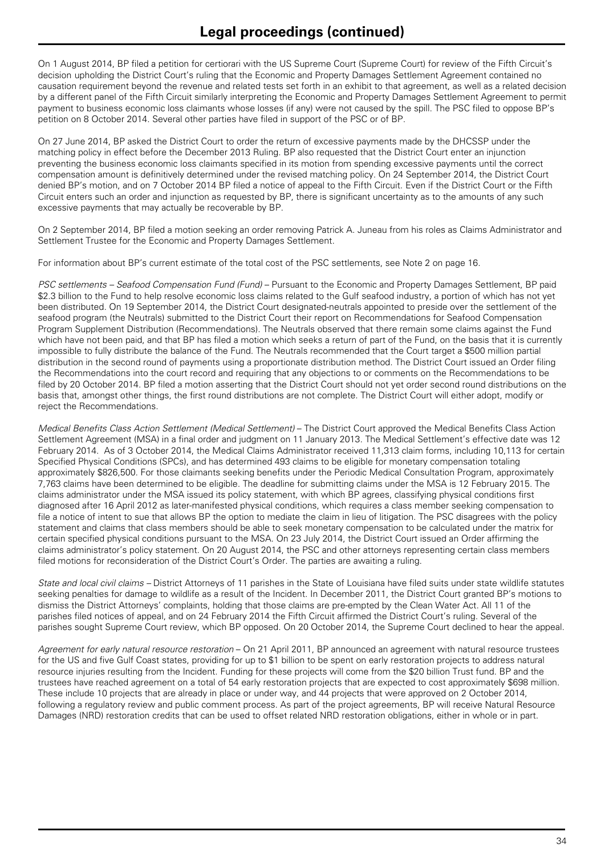On 1 August 2014, BP filed a petition for certiorari with the US Supreme Court (Supreme Court) for review of the Fifth Circuit's decision upholding the District Court's ruling that the Economic and Property Damages Settlement Agreement contained no causation requirement beyond the revenue and related tests set forth in an exhibit to that agreement, as well as a related decision by a different panel of the Fifth Circuit similarly interpreting the Economic and Property Damages Settlement Agreement to permit payment to business economic loss claimants whose losses (if any) were not caused by the spill. The PSC filed to oppose BP's petition on 8 October 2014. Several other parties have filed in support of the PSC or of BP.

On 27 June 2014, BP asked the District Court to order the return of excessive payments made by the DHCSSP under the matching policy in effect before the December 2013 Ruling. BP also requested that the District Court enter an injunction preventing the business economic loss claimants specified in its motion from spending excessive payments until the correct compensation amount is definitively determined under the revised matching policy. On 24 September 2014, the District Court denied BP's motion, and on 7 October 2014 BP filed a notice of appeal to the Fifth Circuit. Even if the District Court or the Fifth Circuit enters such an order and injunction as requested by BP, there is significant uncertainty as to the amounts of any such excessive payments that may actually be recoverable by BP.

On 2 September 2014, BP filed a motion seeking an order removing Patrick A. Juneau from his roles as Claims Administrator and Settlement Trustee for the Economic and Property Damages Settlement.

For information about BP's current estimate of the total cost of the PSC settlements, see Note 2 on page 16.

*PSC settlements – Seafood Compensation Fund (Fund) – Pursuant to the Economic and Property Damages Settlement, BP paid* \$2.3 billion to the Fund to help resolve economic loss claims related to the Gulf seafood industry, a portion of which has not yet been distributed. On 19 September 2014, the District Court designated-neutrals appointed to preside over the settlement of the seafood program (the Neutrals) submitted to the District Court their report on Recommendations for Seafood Compensation Program Supplement Distribution (Recommendations). The Neutrals observed that there remain some claims against the Fund which have not been paid, and that BP has filed a motion which seeks a return of part of the Fund, on the basis that it is currently impossible to fully distribute the balance of the Fund. The Neutrals recommended that the Court target a \$500 million partial distribution in the second round of payments using a proportionate distribution method. The District Court issued an Order filing the Recommendations into the court record and requiring that any objections to or comments on the Recommendations to be filed by 20 October 2014. BP filed a motion asserting that the District Court should not yet order second round distributions on the basis that, amongst other things, the first round distributions are not complete. The District Court will either adopt, modify or reject the Recommendations.

*Medical Benefits Class Action Settlement (Medical Settlement)* – The District Court approved the Medical Benefits Class Action Settlement Agreement (MSA) in a final order and judgment on 11 January 2013. The Medical Settlement's effective date was 12 February 2014. As of 3 October 2014, the Medical Claims Administrator received 11,313 claim forms, including 10,113 for certain Specified Physical Conditions (SPCs), and has determined 493 claims to be eligible for monetary compensation totaling approximately \$826,500. For those claimants seeking benefits under the Periodic Medical Consultation Program, approximately 7,763 claims have been determined to be eligible. The deadline for submitting claims under the MSA is 12 February 2015. The claims administrator under the MSA issued its policy statement, with which BP agrees, classifying physical conditions first diagnosed after 16 April 2012 as later-manifested physical conditions, which requires a class member seeking compensation to file a notice of intent to sue that allows BP the option to mediate the claim in lieu of litigation. The PSC disagrees with the policy statement and claims that class members should be able to seek monetary compensation to be calculated under the matrix for certain specified physical conditions pursuant to the MSA. On 23 July 2014, the District Court issued an Order affirming the claims administrator's policy statement. On 20 August 2014, the PSC and other attorneys representing certain class members filed motions for reconsideration of the District Court's Order. The parties are awaiting a ruling.

*State and local civil claims –* District Attorneys of 11 parishes in the State of Louisiana have filed suits under state wildlife statutes seeking penalties for damage to wildlife as a result of the Incident. In December 2011, the District Court granted BP's motions to dismiss the District Attorneys' complaints, holding that those claims are pre-empted by the Clean Water Act. All 11 of the parishes filed notices of appeal, and on 24 February 2014 the Fifth Circuit affirmed the District Court's ruling. Several of the parishes sought Supreme Court review, which BP opposed. On 20 October 2014, the Supreme Court declined to hear the appeal.

*Agreement for early natural resource restoration* – On 21 April 2011, BP announced an agreement with natural resource trustees for the US and five Gulf Coast states, providing for up to \$1 billion to be spent on early restoration projects to address natural resource injuries resulting from the Incident. Funding for these projects will come from the \$20 billion Trust fund. BP and the trustees have reached agreement on a total of 54 early restoration projects that are expected to cost approximately \$698 million. These include 10 projects that are already in place or under way, and 44 projects that were approved on 2 October 2014, following a regulatory review and public comment process. As part of the project agreements, BP will receive Natural Resource Damages (NRD) restoration credits that can be used to offset related NRD restoration obligations, either in whole or in part.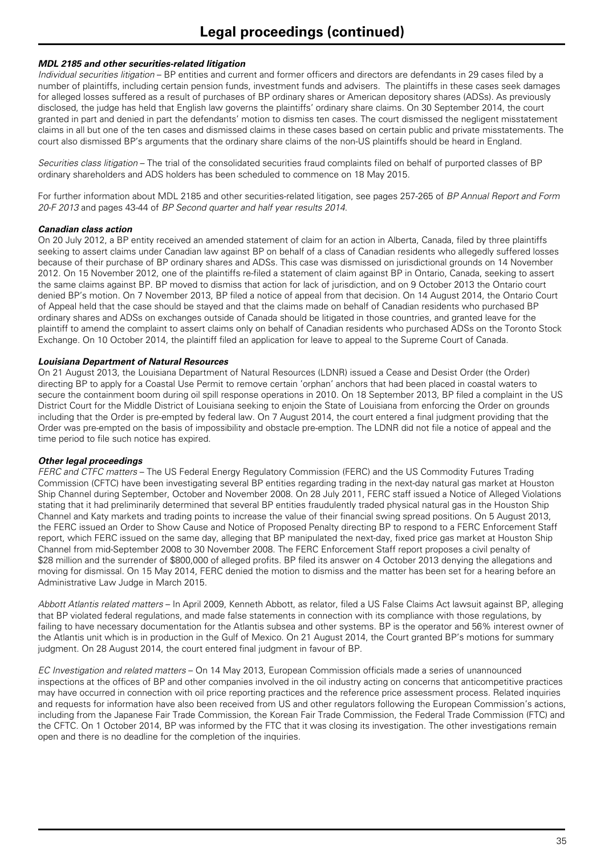#### *MDL 2185 and other securities-related litigation*

*Individual securities litigation* – BP entities and current and former officers and directors are defendants in 29 cases filed by a number of plaintiffs, including certain pension funds, investment funds and advisers. The plaintiffs in these cases seek damages for alleged losses suffered as a result of purchases of BP ordinary shares or American depository shares (ADSs). As previously disclosed, the judge has held that English law governs the plaintiffs' ordinary share claims. On 30 September 2014, the court granted in part and denied in part the defendants' motion to dismiss ten cases. The court dismissed the negligent misstatement claims in all but one of the ten cases and dismissed claims in these cases based on certain public and private misstatements. The court also dismissed BP's arguments that the ordinary share claims of the non-US plaintiffs should be heard in England.

*Securities class litigation* – The trial of the consolidated securities fraud complaints filed on behalf of purported classes of BP ordinary shareholders and ADS holders has been scheduled to commence on 18 May 2015.

For further information about MDL 2185 and other securities-related litigation, see pages 257-265 of *BP Annual Report and Form 20-F 2013* and pages 43-44 of *BP Second quarter and half year results 2014*.

#### *Canadian class action*

On 20 July 2012, a BP entity received an amended statement of claim for an action in Alberta, Canada, filed by three plaintiffs seeking to assert claims under Canadian law against BP on behalf of a class of Canadian residents who allegedly suffered losses because of their purchase of BP ordinary shares and ADSs. This case was dismissed on jurisdictional grounds on 14 November 2012. On 15 November 2012, one of the plaintiffs re-filed a statement of claim against BP in Ontario, Canada, seeking to assert the same claims against BP. BP moved to dismiss that action for lack of jurisdiction, and on 9 October 2013 the Ontario court denied BP's motion. On 7 November 2013, BP filed a notice of appeal from that decision. On 14 August 2014, the Ontario Court of Appeal held that the case should be stayed and that the claims made on behalf of Canadian residents who purchased BP ordinary shares and ADSs on exchanges outside of Canada should be litigated in those countries, and granted leave for the plaintiff to amend the complaint to assert claims only on behalf of Canadian residents who purchased ADSs on the Toronto Stock Exchange. On 10 October 2014, the plaintiff filed an application for leave to appeal to the Supreme Court of Canada.

#### *Louisiana Department of Natural Resources*

On 21 August 2013, the Louisiana Department of Natural Resources (LDNR) issued a Cease and Desist Order (the Order) directing BP to apply for a Coastal Use Permit to remove certain 'orphan' anchors that had been placed in coastal waters to secure the containment boom during oil spill response operations in 2010. On 18 September 2013, BP filed a complaint in the US District Court for the Middle District of Louisiana seeking to enjoin the State of Louisiana from enforcing the Order on grounds including that the Order is pre-empted by federal law. On 7 August 2014, the court entered a final judgment providing that the Order was pre-empted on the basis of impossibility and obstacle pre-emption. The LDNR did not file a notice of appeal and the time period to file such notice has expired.

#### *Other legal proceedings*

*FERC and CTFC matters* – The US Federal Energy Regulatory Commission (FERC) and the US Commodity Futures Trading Commission (CFTC) have been investigating several BP entities regarding trading in the next-day natural gas market at Houston Ship Channel during September, October and November 2008. On 28 July 2011, FERC staff issued a Notice of Alleged Violations stating that it had preliminarily determined that several BP entities fraudulently traded physical natural gas in the Houston Ship Channel and Katy markets and trading points to increase the value of their financial swing spread positions. On 5 August 2013, the FERC issued an Order to Show Cause and Notice of Proposed Penalty directing BP to respond to a FERC Enforcement Staff report, which FERC issued on the same day, alleging that BP manipulated the next-day, fixed price gas market at Houston Ship Channel from mid-September 2008 to 30 November 2008. The FERC Enforcement Staff report proposes a civil penalty of \$28 million and the surrender of \$800,000 of alleged profits. BP filed its answer on 4 October 2013 denying the allegations and moving for dismissal. On 15 May 2014, FERC denied the motion to dismiss and the matter has been set for a hearing before an Administrative Law Judge in March 2015.

*Abbott Atlantis related matters* – In April 2009, Kenneth Abbott, as relator, filed a US False Claims Act lawsuit against BP, alleging that BP violated federal regulations, and made false statements in connection with its compliance with those regulations, by failing to have necessary documentation for the Atlantis subsea and other systems. BP is the operator and 56% interest owner of the Atlantis unit which is in production in the Gulf of Mexico. On 21 August 2014, the Court granted BP's motions for summary judgment. On 28 August 2014, the court entered final judgment in favour of BP.

*EC Investigation and related matters* – On 14 May 2013, European Commission officials made a series of unannounced inspections at the offices of BP and other companies involved in the oil industry acting on concerns that anticompetitive practices may have occurred in connection with oil price reporting practices and the reference price assessment process. Related inquiries and requests for information have also been received from US and other regulators following the European Commission's actions, including from the Japanese Fair Trade Commission, the Korean Fair Trade Commission, the Federal Trade Commission (FTC) and the CFTC. On 1 October 2014, BP was informed by the FTC that it was closing its investigation. The other investigations remain open and there is no deadline for the completion of the inquiries.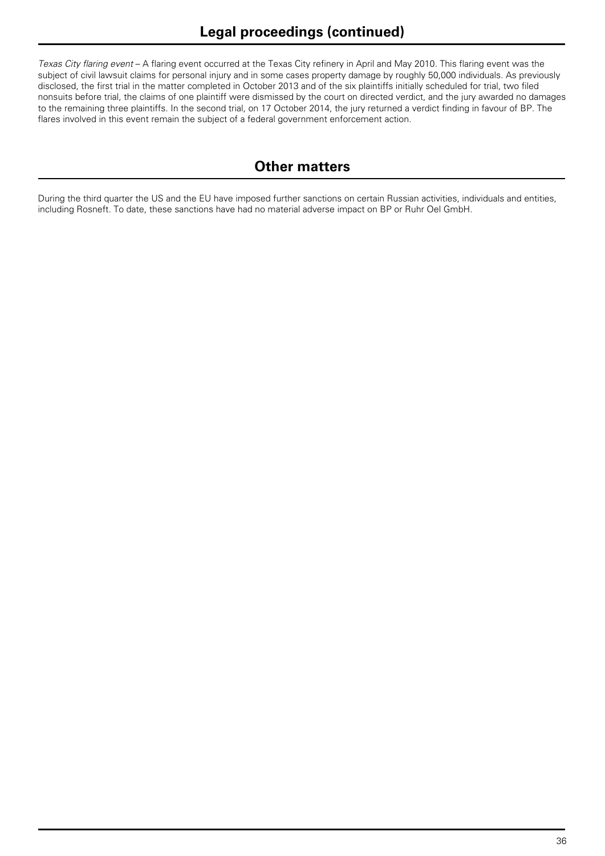*Texas City flaring event* – A flaring event occurred at the Texas City refinery in April and May 2010. This flaring event was the subject of civil lawsuit claims for personal injury and in some cases property damage by roughly 50,000 individuals. As previously disclosed, the first trial in the matter completed in October 2013 and of the six plaintiffs initially scheduled for trial, two filed nonsuits before trial, the claims of one plaintiff were dismissed by the court on directed verdict, and the jury awarded no damages to the remaining three plaintiffs. In the second trial, on 17 October 2014, the jury returned a verdict finding in favour of BP. The flares involved in this event remain the subject of a federal government enforcement action.

# **Other matters**

During the third quarter the US and the EU have imposed further sanctions on certain Russian activities, individuals and entities, including Rosneft. To date, these sanctions have had no material adverse impact on BP or Ruhr Oel GmbH.